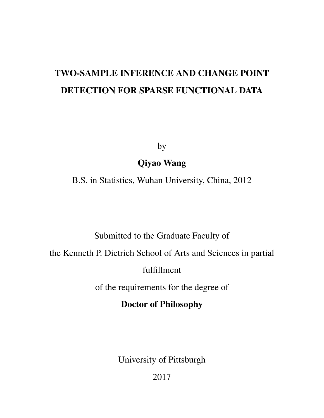# TWO-SAMPLE INFERENCE AND CHANGE POINT DETECTION FOR SPARSE FUNCTIONAL DATA

by

# Qiyao Wang

B.S. in Statistics, Wuhan University, China, 2012

# Submitted to the Graduate Faculty of

the Kenneth P. Dietrich School of Arts and Sciences in partial

fulfillment

of the requirements for the degree of

# Doctor of Philosophy

University of Pittsburgh

2017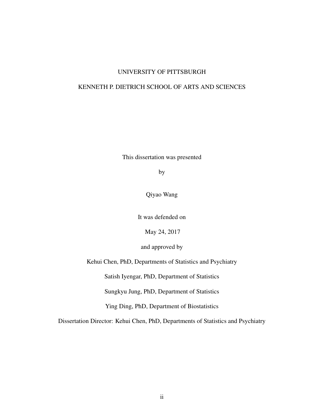### UNIVERSITY OF PITTSBURGH

### KENNETH P. DIETRICH SCHOOL OF ARTS AND SCIENCES

This dissertation was presented

by

Qiyao Wang

It was defended on

May 24, 2017

and approved by

Kehui Chen, PhD, Departments of Statistics and Psychiatry

Satish Iyengar, PhD, Department of Statistics

Sungkyu Jung, PhD, Department of Statistics

Ying Ding, PhD, Department of Biostatistics

Dissertation Director: Kehui Chen, PhD, Departments of Statistics and Psychiatry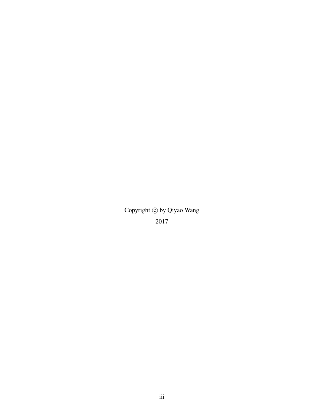Copyright  $\odot$  by Qiyao Wang 2017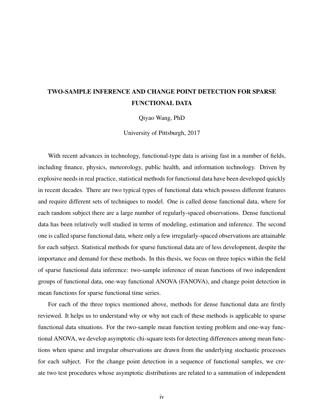# TWO-SAMPLE INFERENCE AND CHANGE POINT DETECTION FOR SPARSE FUNCTIONAL DATA

Qiyao Wang, PhD

University of Pittsburgh, 2017

With recent advances in technology, functional-type data is arising fast in a number of fields, including finance, physics, meteorology, public health, and information technology. Driven by explosive needs in real practice, statistical methods for functional data have been developed quickly in recent decades. There are two typical types of functional data which possess different features and require different sets of techniques to model. One is called dense functional data, where for each random subject there are a large number of regularly-spaced observations. Dense functional data has been relatively well studied in terms of modeling, estimation and inference. The second one is called sparse functional data, where only a few irregularly-spaced observations are attainable for each subject. Statistical methods for sparse functional data are of less development, despite the importance and demand for these methods. In this thesis, we focus on three topics within the field of sparse functional data inference: two-sample inference of mean functions of two independent groups of functional data, one-way functional ANOVA (FANOVA), and change point detection in mean functions for sparse functional time series.

For each of the three topics mentioned above, methods for dense functional data are firstly reviewed. It helps us to understand why or why not each of these methods is applicable to sparse functional data situations. For the two-sample mean function testing problem and one-way functional ANOVA, we develop asymptotic chi-square tests for detecting differences among mean functions when sparse and irregular observations are drawn from the underlying stochastic processes for each subject. For the change point detection in a sequence of functional samples, we create two test procedures whose asymptotic distributions are related to a summation of independent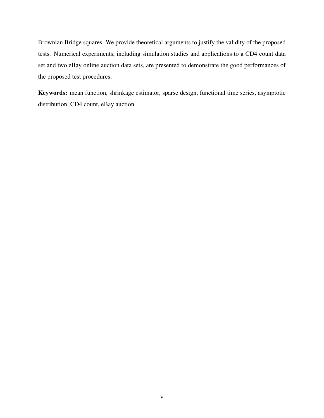Brownian Bridge squares. We provide theoretical arguments to justify the validity of the proposed tests. Numerical experiments, including simulation studies and applications to a CD4 count data set and two eBay online auction data sets, are presented to demonstrate the good performances of the proposed test procedures.

Keywords: mean function, shrinkage estimator, sparse design, functional time series, asymptotic distribution, CD4 count, eBay auction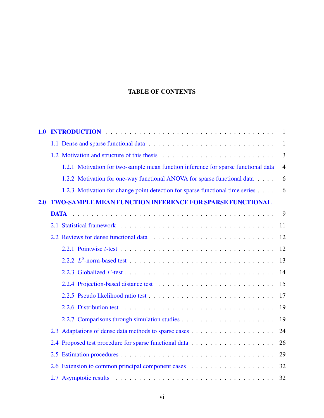### TABLE OF CONTENTS

| 1.0 |                                                                                    | -1             |
|-----|------------------------------------------------------------------------------------|----------------|
|     |                                                                                    | $\mathbf{1}$   |
|     |                                                                                    | $\overline{3}$ |
|     | 1.2.1 Motivation for two-sample mean function inference for sparse functional data | $\overline{4}$ |
|     | 1.2.2 Motivation for one-way functional ANOVA for sparse functional data           | 6              |
|     | 1.2.3 Motivation for change point detection for sparse functional time series      | 6              |
| 2.0 | <b>TWO-SAMPLE MEAN FUNCTION INFERENCE FOR SPARSE FUNCTIONAL</b>                    |                |
|     | <b>DATA</b>                                                                        | 9              |
|     | 2.1                                                                                | 11             |
|     |                                                                                    | 12             |
|     |                                                                                    | 12             |
|     |                                                                                    | 13             |
|     |                                                                                    | 14             |
|     |                                                                                    | 15             |
|     |                                                                                    | 17             |
|     |                                                                                    | 19             |
|     |                                                                                    | 19             |
|     |                                                                                    | 24             |
|     |                                                                                    | 26             |
|     |                                                                                    | 29             |
|     |                                                                                    | 32             |
|     |                                                                                    | 32             |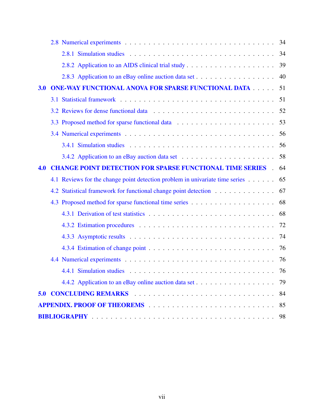|     |     |                                                                              | 34 |
|-----|-----|------------------------------------------------------------------------------|----|
|     |     |                                                                              | 34 |
|     |     |                                                                              |    |
|     |     |                                                                              | 40 |
| 3.0 |     | <b>ONE-WAY FUNCTIONAL ANOVA FOR SPARSE FUNCTIONAL DATA</b>                   | 51 |
|     |     |                                                                              | 51 |
|     |     |                                                                              | 52 |
|     |     |                                                                              | 53 |
|     |     |                                                                              | 56 |
|     |     |                                                                              | 56 |
|     |     |                                                                              | 58 |
| 4.0 |     | <b>CHANGE POINT DETECTION FOR SPARSE FUNCTIONAL TIME SERIES</b>              | 64 |
|     |     | 4.1 Reviews for the change point detection problem in univariate time series | 65 |
|     | 4.2 | Statistical framework for functional change point detection                  | 67 |
|     |     |                                                                              | 68 |
|     |     |                                                                              | 68 |
|     |     |                                                                              | 72 |
|     |     |                                                                              | 74 |
|     |     |                                                                              | 76 |
|     |     |                                                                              | 76 |
|     |     |                                                                              | 76 |
|     |     |                                                                              | 79 |
| 5.0 |     |                                                                              | 84 |
|     |     |                                                                              | 85 |
|     |     |                                                                              | 98 |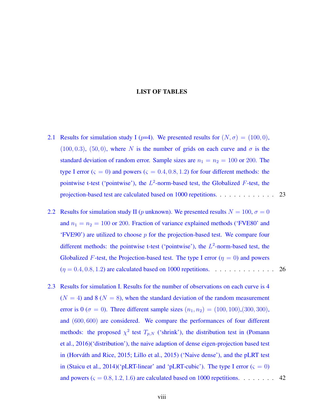#### LIST OF TABLES

- [2.1 Results for simulation study I \(](#page-36-0) $p=4$ ). We presented results for  $(N, \sigma) = (100, 0)$ ,  $(100, 0.3)$ ,  $(50, 0)$ , where *N* [is the number of grids on each curve and](#page-36-0)  $\sigma$  is the [standard deviation of random error. Sample sizes are](#page-36-0)  $n_1 = n_2 = 100$  or 200. The type I error ( $\varsigma = 0$ ) and powers ( $\varsigma = 0.4, 0.8, 1.2$ [\) for four different methods: the](#page-36-0) [pointwise t-test \('pointwise'\), the](#page-36-0) *L* 2 -norm-based test, the Globalized *F*-test, the [projection-based test are calculated based on 1000 repetitions.](#page-36-0) . . . . . . . . . . . . 23
- [2.2 Results for simulation study II \(](#page-39-1)*p* unknown). We presented results  $N = 100$ ,  $\sigma = 0$ and  $n_1 = n_2 = 100$  or 200[. Fraction of variance explained methods \('FVE80' and](#page-39-1) 'FVE90') are utilized to choose *p* [for the projection-based test. We compare four](#page-39-1) [different methods: the pointwise t-test \('pointwise'\), the](#page-39-1)  $L^2$ -norm-based test, the Globalized *F*[-test, the Projection-based test. The type I error \(](#page-39-1) $\eta = 0$ ) and powers (*η* = 0*.*4*,* 0*.*8*,* 1*.*2[\) are calculated based on 1000 repetitions.](#page-39-1) . . . . . . . . . . . . . 26
- [2.3 Results for simulation I. Results for the number of observations on each curve is 4](#page-55-0)  $(N = 4)$  and 8 ( $N = 8$ [\), when the standard deviation of the random measurement](#page-55-0) error is 0 ( $\sigma = 0$ [\). Three different sample sizes](#page-55-0)  $(n_1, n_2) = (100, 100), (300, 300),$ and (600*,* 600) [are considered. We compare the performances of four different](#page-55-0) methods: the proposed  $\chi^2$  test  $T_{p,N}$  [\('shrink'\), the distribution test in \(Pomann](#page-55-0) [et al.,](#page-114-0) [2016\)\('distribution'\), the naive adaption of dense eigen-projection based test](#page-55-0) in (Horváth and Rice,  $2015$ ; [Lillo et al.,](#page-113-1)  $2015$ ) ('Naive dense'), and the pLRT test in [\(Staicu et al.,](#page-115-0) 2014)('pLRT-linear' and 'pLRT-cubic'). The type I error  $(\varsigma = 0)$ and powers  $(\varsigma = 0.8, 1.2, 1.6)$  are calculated based on 1000 repetitions. . . . . . . . 42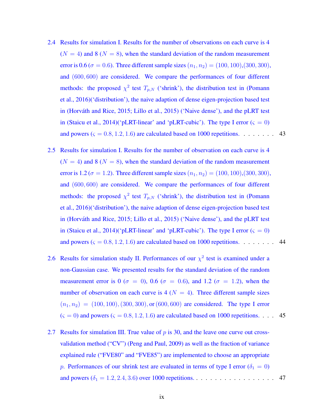- [2.4 Results for simulation I. Results for the number of observations on each curve is 4](#page-56-0)  $(N = 4)$  and 8 ( $N = 8$ [\), when the standard deviation of the random measurement](#page-56-0) error is 0.6 ( $\sigma$  = 0.6[\). Three different sample sizes](#page-56-0) ( $n_1, n_2$ ) = (100*,* 100),(300*,* 300), and (600*,* 600) [are considered. We compare the performances of four different](#page-56-0) methods: the proposed  $\chi^2$  test  $T_{p,N}$  [\('shrink'\), the distribution test in \(Pomann](#page-56-0) [et al.,](#page-114-0) [2016\)\('distribution'\), the naive adaption of dense eigen-projection based test](#page-56-0) in (Horváth and Rice, [2015;](#page-113-0) [Lillo et al.,](#page-113-1) [2015\) \('Naive dense'\), and the pLRT test](#page-56-0) in [\(Staicu et al.,](#page-115-0) 2014)('pLRT-linear' and 'pLRT-cubic'). The type I error  $(\varsigma = 0)$ and powers  $(\varsigma = 0.8, 1.2, 1.6)$  are calculated based on 1000 repetitions. . . . . . . . 43
- [2.5 Results for simulation I. Results for the number of observation on each curve is 4](#page-57-0)  $(N = 4)$  and 8 ( $N = 8$ [\), when the standard deviation of the random measurement](#page-57-0) error is 1.2 ( $\sigma = 1.2$ [\). Three different sample sizes](#page-57-0) ( $n_1, n_2$ ) = (100*,* 100),(300*,* 300), and (600*,* 600) [are considered. We compare the performances of four different](#page-57-0) methods: the proposed  $\chi^2$  test  $T_{p,N}$  [\('shrink'\), the distribution test in \(Pomann](#page-57-0) [et al.,](#page-114-0) [2016\)\('distribution'\), the naive adaption of dense eigen-projection based test](#page-57-0) in (Horváth and Rice, [2015;](#page-113-0) [Lillo et al.,](#page-113-1) [2015\) \('Naive dense'\), and the pLRT test](#page-57-0) in [\(Staicu et al.,](#page-115-0) 2014)('pLRT-linear' and 'pLRT-cubic'). The type I error  $(\varsigma = 0)$ and powers  $(\varsigma = 0.8, 1.2, 1.6)$  are calculated based on 1000 repetitions. . . . . . . . 44
- [2.6 Results for simulation study II. Performances of our](#page-58-0)  $\chi^2$  test is examined under a [non-Gaussian case. We presented results for the standard deviation of the random](#page-58-0) [measurement error is 0 \(](#page-58-0) $\sigma = 0$ ), 0.6 ( $\sigma = 0.6$ ), and 1.2 ( $\sigma = 1.2$ ), when the number of observation on each curve is  $4(N = 4)$ . Three different sample sizes  $(n_1, n_2) = (100, 100), (300, 300),$  or  $(600, 600)$  [are considered. The type I error](#page-58-0)  $(\varsigma = 0)$  and powers  $(\varsigma = 0.8, 1.2, 1.6)$  are calculated based on 1000 repetitions. . . . 45
- [2.7 Results for simulation III. True value of](#page-60-0) *p* is 30, and the leave one curve out cross[validation method \("CV"\) \(Peng and Paul,](#page-60-0) [2009\)](#page-114-1) as well as the fraction of variance [explained rule \("FVE80" and "FVE85"\) are implemented to choose an appropriate](#page-60-0) *p*[. Performances of our shrink test are evaluated in terms of type I error \(](#page-60-0) $\delta_1 = 0$ ) and powers  $(\delta_1 = 1.2, 2.4, 3.6)$  over 1000 repetitions. . . . . . . . . . . . . . . . . 47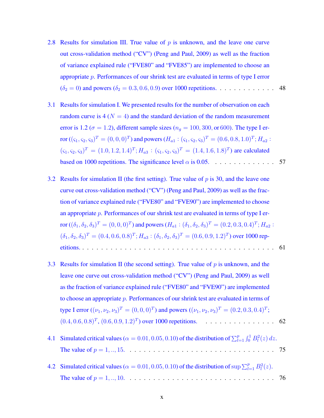- [2.8 Results for simulation III. True value of](#page-61-0) *p* is unknown, and the leave one curve [out cross-validation method \("CV"\) \(Peng and Paul,](#page-61-0) [2009\)](#page-114-1) as well as the fraction [of variance explained rule \("FVE80" and "FVE85"\) are implemented to choose an](#page-61-0) appropriate *p*[. Performances of our shrink test are evaluated in terms of type I error](#page-61-0)  $(\delta_2 = 0)$  and powers  $(\delta_2 = 0.3, 0.6, 0.9)$  over 1000 repetitions. . . . . . . . . . . . 48
- [3.1 Results for simulation I. We presented results for the number of observation on each](#page-70-0) random curve is  $4 (N = 4)$  and the standard deviation of the random measurement error is 1.2 ( $\sigma = 1.2$ [\), different sample sizes \(](#page-70-0) $n<sub>g</sub> = 100, 300,$  or 600). The type I error  $((\varsigma_1, \varsigma_2, \varsigma_3)^T = (0, 0, 0)^T)$  and powers  $(H_{a1}: (\varsigma_1, \varsigma_2, \varsigma_3)^T = (0.6, 0.8, 1.0)^T$ ;  $H_{a2}:$  $(\zeta_1, \zeta_2, \zeta_3)^T = (1.0, 1.2, 1.4)^T$ ;  $H_{a3} : (\zeta_1, \zeta_2, \zeta_3)^T = (1.4, 1.6, 1.8)^T$  are calculated [based on 1000 repetitions. The significance level](#page-70-0)  $\alpha$  is 0.05.  $\dots \dots \dots \dots \dots$  . 57
- [3.2 Results for simulation II \(the first setting\). True value of](#page-74-0) *p* is 30, and the leave one [curve out cross-validation method \("CV"\) \(Peng and Paul,](#page-74-0) [2009\)](#page-114-1) as well as the frac[tion of variance explained rule \("FVE80" and "FVE90"\) are implemented to choose](#page-74-0) an appropriate *p*[. Performances of our shrink test are evaluated in terms of type I er](#page-74-0)ror  $((\delta_1,\delta_2,\delta_3)^T=(0,0,0)^T)$  and powers  $(H_{a1}:(\delta_1,\delta_2,\delta_3)^T=(0.2,0.3,0.4)^T;H_{a2}:$  $(\delta_1, \delta_2, \delta_3)^T = (0.4, 0.6, 0.8)^T$ ;  $H_{a3} : (\delta_1, \delta_2, \delta_3)^T = (0.6, 0.9, 1.2)^T$ [\) over 1000 rep](#page-74-0)[etitions.](#page-74-0) . . . . . . . . . . . . . . . . . . . . . . . . . . . . . . . . . . . . . . . . . 61
- [3.3 Results for simulation II \(the second setting\). True value of](#page-75-0) *p* is unknown, and the [leave one curve out cross-validation method \("CV"\) \(Peng and Paul,](#page-75-0) [2009\)](#page-114-1) as well [as the fraction of variance explained rule \("FVE80" and "FVE90"\) are implemented](#page-75-0) to choose an appropriate *p*[. Performances of our shrink test are evaluated in terms of](#page-75-0) type I error  $((\nu_1, \nu_2, \nu_3)^T = (0, 0, 0)^T)$  and powers  $((\nu_1, \nu_2, \nu_3)^T = (0.2, 0.3, 0.4)^T$ ;  $(0.4, 0.6, 0.8)^T$ ,  $(0.6, 0.9, 1.2)^T$ [\) over 1000 repetitions.](#page-75-0) . . . . . . . . . . . . . . . . . 62
- [4.1 Simulated critical values \(](#page-88-0) $\alpha = 0.01, 0.05, 0.10$ ) of the distribution of  $\sum_{l=1}^{p} \int_0^1 B_l^2(z) dz$ . [The value of](#page-88-0) *p* = 1*, ..,* 15. . . . . . . . . . . . . . . . . . . . . . . . . . . . . . . . 75
- [4.2 Simulated critical values \(](#page-89-3) $\alpha = 0.01, 0.05, 0.10$ ) of the distribution of sup  $\sum_{l=1}^{p} B_l^2(z)$ . [The value of](#page-89-3)  $p = 1, ..., 10, ..., 10, ..., 10, ..., 10$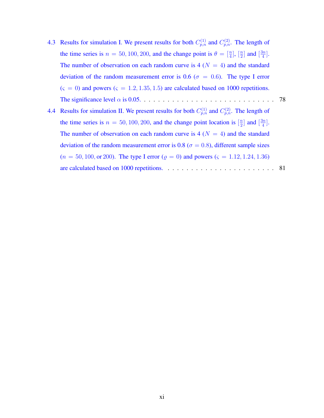- [4.3 Results for simulation I. We present results for both](#page-91-0)  $C_{p,n}^{(1)}$  and  $C_{p,n}^{(2)}$ . The length of the time series is  $n = 50, 100, 200$ [, and the change point is](#page-91-0)  $\theta = \begin{bmatrix} \frac{n}{4} \end{bmatrix}$ ,  $\begin{bmatrix} \frac{n}{2} \end{bmatrix}$  $\frac{n}{2}$  and  $\left[\frac{3n}{4}\right]$  $\frac{3n}{4}$ . The number of observation on each random curve is  $4(N = 4)$  and the standard [deviation of the random measurement error is 0.6 \(](#page-91-0) $\sigma = 0.6$ ). The type I error  $(\varsigma = 0)$  and powers  $(\varsigma = 1.2, 1.35, 1.5)$  are calculated based on 1000 repetitions. [The significance level](#page-91-0) *α* is 0.05. . . . . . . . . . . . . . . . . . . . . . . . . . . . . 78
- [4.4 Results for simulation II. We present results for both](#page-94-0)  $C_{p,n}^{(1)}$  and  $C_{p,n}^{(2)}$ . The length of the time series is  $n = 50, 100, 200$ [, and the change point location is](#page-94-0)  $\left[\frac{n}{2}\right]$  $\frac{n}{2}$  and  $\left[\frac{3n}{4}\right]$  $\frac{3n}{4}$ . The number of observation on each random curve is  $4(N = 4)$  and the standard [deviation of the random measurement error is 0.8 \(](#page-94-0) $\sigma$  = 0.8), different sample sizes  $(n = 50, 100, \text{or } 200)$ . The type I error  $(\rho = 0)$  and powers  $(\varsigma = 1.12, 1.24, 1.36)$ [are calculated based on 1000 repetitions.](#page-94-0) . . . . . . . . . . . . . . . . . . . . . . . 81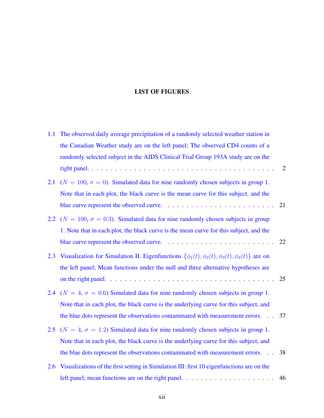### LIST OF FIGURES

| 1.1 | The observed daily average precipitation of a randomly selected weather station in                       |    |
|-----|----------------------------------------------------------------------------------------------------------|----|
|     | the Canadian Weather study are on the left panel; The observed CD4 counts of a                           |    |
|     | randomly selected subject in the AIDS Clinical Trial Group 193A study are on the                         |    |
|     |                                                                                                          | 2  |
| 2.1 | ( $N = 100$ , $\sigma = 0$ ). Simulated data for nine randomly chosen subjects in group 1.               |    |
|     | Note that in each plot, the black curve is the mean curve for this subject, and the                      |    |
|     |                                                                                                          | 21 |
|     | 2.2 ( $N = 100$ , $\sigma = 0.3$ ). Simulated data for nine randomly chosen subjects in group            |    |
|     | 1. Note that in each plot, the black curve is the mean curve for this subject, and the                   |    |
|     |                                                                                                          | 22 |
| 2.3 | Visualization for Simulation II. Eigenfunctions $\{\phi_1(t), \phi_2(t), \phi_3(t), \phi_4(t)\}\$ are on |    |
|     | the left panel; Mean functions under the null and three alternative hypotheses are                       |    |
|     |                                                                                                          | 25 |
|     | 2.4 ( $N = 4$ , $\sigma = 0.6$ ) Simulated data for nine randomly chosen subjects in group 1.            |    |
|     | Note that in each plot, the black curve is the underlying curve for this subject, and                    |    |
|     | the blue dots represent the observations contaminated with measurement errors. 37                        |    |
|     | 2.5 ( $N = 4$ , $\sigma = 1.2$ ) Simulated data for nine randomly chosen subjects in group 1.            |    |
|     | Note that in each plot, the black curve is the underlying curve for this subject, and                    |    |
|     | the blue dots represent the observations contaminated with measurement errors.                           | 38 |
| 2.6 | Visualizations of the first setting in Simulation III: first 10 eigenfunctions are on the                |    |
|     |                                                                                                          | 46 |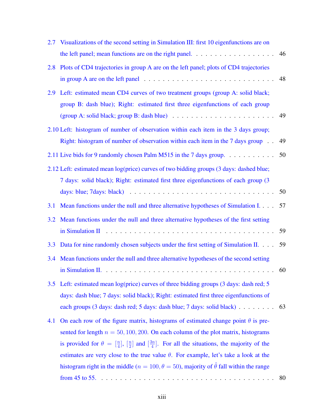| 2.7 | Visualizations of the second setting in Simulation III: first 10 eigenfunctions are on                                                                                                                            |    |
|-----|-------------------------------------------------------------------------------------------------------------------------------------------------------------------------------------------------------------------|----|
|     |                                                                                                                                                                                                                   | 46 |
| 2.8 | Plots of CD4 trajectories in group A are on the left panel; plots of CD4 trajectories                                                                                                                             |    |
|     | in group A are on the left panel $\ldots \ldots \ldots \ldots \ldots \ldots \ldots \ldots \ldots \ldots$                                                                                                          | 48 |
| 2.9 | Left: estimated mean CD4 curves of two treatment groups (group A: solid black;                                                                                                                                    |    |
|     | group B: dash blue); Right: estimated first three eigenfunctions of each group                                                                                                                                    |    |
|     |                                                                                                                                                                                                                   | 49 |
|     | 2.10 Left: histogram of number of observation within each item in the 3 days group;                                                                                                                               |    |
|     | Right: histogram of number of observation within each item in the 7 days group                                                                                                                                    | 49 |
|     | 2.11 Live bids for 9 randomly chosen Palm M515 in the 7 days group.                                                                                                                                               | 50 |
|     | 2.12 Left: estimated mean log(price) curves of two bidding groups (3 days: dashed blue;                                                                                                                           |    |
|     | 7 days: solid black); Right: estimated first three eigenfunctions of each group (3)                                                                                                                               |    |
|     | days: blue; 7days: black) $\ldots \ldots \ldots \ldots \ldots \ldots \ldots \ldots \ldots \ldots \ldots \ldots$                                                                                                   | 50 |
| 3.1 | Mean functions under the null and three alternative hypotheses of Simulation I.                                                                                                                                   | 57 |
| 3.2 | Mean functions under the null and three alternative hypotheses of the first setting                                                                                                                               |    |
|     |                                                                                                                                                                                                                   | 59 |
| 3.3 | Data for nine randomly chosen subjects under the first setting of Simulation II.                                                                                                                                  | 59 |
| 3.4 | Mean functions under the null and three alternative hypotheses of the second setting                                                                                                                              |    |
|     |                                                                                                                                                                                                                   | 60 |
| 3.5 | Left: estimated mean log(price) curves of three bidding groups (3 days: dash red; 5                                                                                                                               |    |
|     | days: dash blue; 7 days: solid black); Right: estimated first three eigenfunctions of                                                                                                                             |    |
|     | each groups (3 days: dash red; 5 days: dash blue; 7 days: solid black)                                                                                                                                            | 63 |
| 4.1 | On each row of the figure matrix, histograms of estimated change point $\theta$ is pre-                                                                                                                           |    |
|     | sented for length $n = 50, 100, 200$ . On each column of the plot matrix, histograms                                                                                                                              |    |
|     | is provided for $\theta = \begin{bmatrix} \frac{n}{4} \end{bmatrix}$ , $\begin{bmatrix} \frac{n}{2} \end{bmatrix}$ and $\begin{bmatrix} \frac{3n}{4} \end{bmatrix}$ . For all the situations, the majority of the |    |
|     | estimates are very close to the true value $\theta$ . For example, let's take a look at the                                                                                                                       |    |
|     | histogram right in the middle ( $n = 100, \theta = 50$ ), majority of $\hat{\theta}$ fall within the range                                                                                                        |    |
|     |                                                                                                                                                                                                                   | 80 |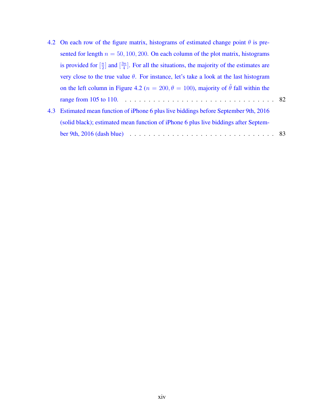|     | 4.2 On each row of the figure matrix, histograms of estimated change point $\theta$ is pre-                                            |  |
|-----|----------------------------------------------------------------------------------------------------------------------------------------|--|
|     | sented for length $n = 50, 100, 200$ . On each column of the plot matrix, histograms                                                   |  |
|     | is provided for $\left[\frac{n}{2}\right]$ and $\left[\frac{3n}{4}\right]$ . For all the situations, the majority of the estimates are |  |
|     | very close to the true value $\theta$ . For instance, let's take a look at the last histogram                                          |  |
|     | on the left column in Figure 4.2 ( $n = 200, \theta = 100$ ), majority of $\hat{\theta}$ fall within the                               |  |
|     |                                                                                                                                        |  |
| 4.3 | Estimated mean function of iPhone 6 plus live biddings before September 9th, 2016                                                      |  |
|     | (solid black); estimated mean function of iPhone 6 plus live biddings after Septem-                                                    |  |
|     | ber 9th, 2016 (dash blue) $\ldots \ldots \ldots \ldots \ldots \ldots \ldots \ldots \ldots \ldots \ldots \ldots 83$                     |  |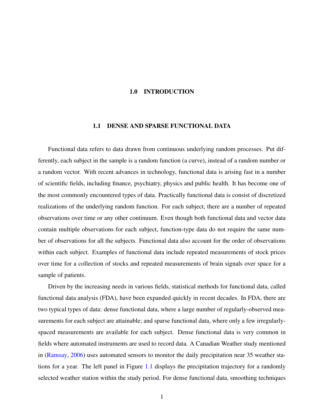### 1.0 INTRODUCTION

#### <span id="page-14-0"></span>1.1 DENSE AND SPARSE FUNCTIONAL DATA

<span id="page-14-1"></span>Functional data refers to data drawn from continuous underlying random processes. Put differently, each subject in the sample is a random function (a curve), instead of a random number or a random vector. With recent advances in technology, functional data is arising fast in a number of scientific fields, including finance, psychiatry, physics and public health. It has become one of the most commonly encountered types of data. Practically functional data is consist of discretized realizations of the underlying random function. For each subject, there are a number of repeated observations over time or any other continuum. Even though both functional data and vector data contain multiple observations for each subject, function-type data do not require the same number of observations for all the subjects. Functional data also account for the order of observations within each subject. Examples of functional data include repeated measurements of stock prices over time for a collection of stocks and repeated measurements of brain signals over space for a sample of patients.

Driven by the increasing needs in various fields, statistical methods for functional data, called functional data analysis (FDA), have been expanded quickly in recent decades. In FDA, there are two typical types of data: dense functional data, where a large number of regularly-observed measurements for each subject are attainable; and sparse functional data, where only a few irregularlyspaced measurements are available for each subject. Dense functional data is very common in fields where automated instruments are used to record data. A Canadian Weather study mentioned in [\(Ramsay,](#page-114-2) [2006\)](#page-114-2) uses automated sensors to monitor the daily precipitation near 35 weather stations for a year. The left panel in Figure [1.1](#page-15-0) displays the precipitation trajectory for a randomly selected weather station within the study period. For dense functional data, smoothing techniques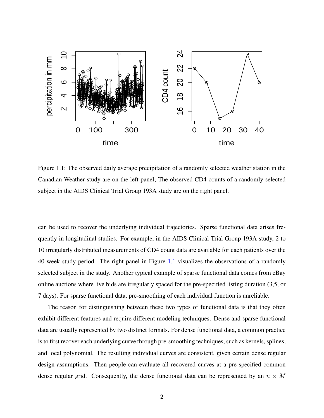

<span id="page-15-0"></span>Figure 1.1: The observed daily average precipitation of a randomly selected weather station in the Canadian Weather study are on the left panel; The observed CD4 counts of a randomly selected subject in the AIDS Clinical Trial Group 193A study are on the right panel.

can be used to recover the underlying individual trajectories. Sparse functional data arises frequently in longitudinal studies. For example, in the AIDS Clinical Trial Group 193A study, 2 to 10 irregularly distributed measurements of CD4 count data are available for each patients over the 40 week study period. The right panel in Figure [1.1](#page-15-0) visualizes the observations of a randomly selected subject in the study. Another typical example of sparse functional data comes from eBay online auctions where live bids are irregularly spaced for the pre-specified listing duration (3,5, or 7 days). For sparse functional data, pre-smoothing of each individual function is unreliable.

The reason for distinguishing between these two types of functional data is that they often exhibit different features and require different modeling techniques. Dense and sparse functional data are usually represented by two distinct formats. For dense functional data, a common practice is to first recover each underlying curve through pre-smoothing techniques, such as kernels, splines, and local polynomial. The resulting individual curves are consistent, given certain dense regular design assumptions. Then people can evaluate all recovered curves at a pre-specified common dense regular grid. Consequently, the dense functional data can be represented by an  $n \times M$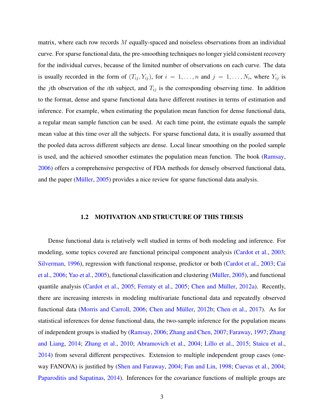matrix, where each row records *M* equally-spaced and noiseless observations from an individual curve. For sparse functional data, the pre-smoothing techniques no longer yield consistent recovery for the individual curves, because of the limited number of observations on each curve. The data is usually recorded in the form of  $(T_{ij}, Y_{ij})$ , for  $i = 1, \ldots, n$  and  $j = 1, \ldots, N_i$ , where  $Y_{ij}$  is the *j*th observation of the *i*th subject, and  $T_{ij}$  is the corresponding observing time. In addition to the format, dense and sparse functional data have different routines in terms of estimation and inference. For example, when estimating the population mean function for dense functional data, a regular mean sample function can be used. At each time point, the estimate equals the sample mean value at this time over all the subjects. For sparse functional data, it is usually assumed that the pooled data across different subjects are dense. Local linear smoothing on the pooled sample is used, and the achieved smoother estimates the population mean function. The book [\(Ramsay,](#page-114-2) [2006\)](#page-114-2) offers a comprehensive perspective of FDA methods for densely observed functional data, and the paper (Müller,  $2005$ ) provides a nice review for sparse functional data analysis.

#### 1.2 MOTIVATION AND STRUCTURE OF THIS THESIS

<span id="page-16-0"></span>Dense functional data is relatively well studied in terms of both modeling and inference. For modeling, some topics covered are functional principal component analysis [\(Cardot et al.,](#page-111-1) [2003;](#page-111-1) [Silverman,](#page-115-1) [1996\)](#page-115-1), regression with functional response, predictor or both [\(Cardot et al.,](#page-111-1) [2003;](#page-111-1) [Cai](#page-111-2) [et al.,](#page-111-2)  $2006$ ; [Yao et al.,](#page-115-2)  $2005$ ), functional classification and clustering (Müller,  $2005$ ), and functional quantile analysis [\(Cardot et al.,](#page-111-3) [2005;](#page-112-0) [Ferraty et al.,](#page-112-0) 2005; Chen and Müller, [2012a\)](#page-112-1). Recently, there are increasing interests in modeling multivariate functional data and repeatedly observed functional data [\(Morris and Carroll,](#page-114-4) [2006;](#page-114-4) Chen and Müller, [2012b;](#page-112-2) [Chen et al.,](#page-112-3) [2017\)](#page-112-3). As for statistical inferences for dense functional data, the two-sample inference for the population means of independent groups is studied by [\(Ramsay,](#page-114-2) [2006;](#page-114-2) [Zhang and Chen,](#page-115-3) [2007;](#page-115-3) [Faraway,](#page-112-4) [1997;](#page-112-4) [Zhang](#page-115-4) [and Liang,](#page-115-4) [2014;](#page-115-4) [Zhang et al.,](#page-115-5) [2010;](#page-115-5) [Abramovich et al.,](#page-111-4) [2004;](#page-111-4) [Lillo et al.,](#page-113-1) [2015;](#page-113-1) [Staicu et al.,](#page-115-0) [2014\)](#page-115-0) from several different perspectives. Extension to multiple independent group cases (oneway FANOVA) is justified by [\(Shen and Faraway,](#page-114-5) [2004;](#page-114-5) [Fan and Lin,](#page-112-5) [1998;](#page-112-5) [Cuevas et al.,](#page-112-6) [2004;](#page-112-6) [Paparoditis and Sapatinas,](#page-114-6) [2014\)](#page-114-6). Inferences for the covariance functions of multiple groups are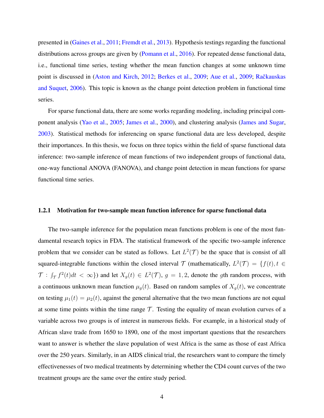presented in [\(Gaines et al.,](#page-112-7) [2011;](#page-112-7) [Fremdt et al.,](#page-112-8) [2013\)](#page-112-8). Hypothesis testings regarding the functional distributions across groups are given by [\(Pomann et al.,](#page-114-0) [2016\)](#page-114-0). For repeated dense functional data, i.e., functional time series, testing whether the mean function changes at some unknown time point is discussed in [\(Aston and Kirch,](#page-111-5) [2012;](#page-111-5) [Berkes et al.,](#page-111-6) [2009;](#page-111-7) [Aue et al.,](#page-111-7) 2009; Račkauskas [and Suquet,](#page-114-7) [2006\)](#page-114-7). This topic is known as the change point detection problem in functional time series.

For sparse functional data, there are some works regarding modeling, including principal component analysis [\(Yao et al.,](#page-115-2) [2005;](#page-115-2) [James et al.,](#page-113-2) [2000\)](#page-113-2), and clustering analysis [\(James and Sugar,](#page-113-3) [2003\)](#page-113-3). Statistical methods for inferencing on sparse functional data are less developed, despite their importances. In this thesis, we focus on three topics within the field of sparse functional data inference: two-sample inference of mean functions of two independent groups of functional data, one-way functional ANOVA (FANOVA), and change point detection in mean functions for sparse functional time series.

#### <span id="page-17-0"></span>1.2.1 Motivation for two-sample mean function inference for sparse functional data

The two-sample inference for the population mean functions problem is one of the most fundamental research topics in FDA. The statistical framework of the specific two-sample inference problem that we consider can be stated as follows. Let  $L^2(\mathcal{T})$  be the space that is consist of all squared-integrable functions within the closed interval  $\mathcal T$  (mathematically,  $L^2(\mathcal T) = \{f(t), t \in$  $\mathcal{T}: \int_{\mathcal{T}} f^2(t)dt < \infty$ ) and let  $X_g(t) \in L^2(\mathcal{T})$ ,  $g = 1, 2$ , denote the *g*th random process, with a continuous unknown mean function  $\mu_g(t)$ . Based on random samples of  $X_g(t)$ , we concentrate on testing  $\mu_1(t) = \mu_2(t)$ , against the general alternative that the two mean functions are not equal at some time points within the time range  $\mathcal T$ . Testing the equality of mean evolution curves of a variable across two groups is of interest in numerous fields. For example, in a historical study of African slave trade from 1650 to 1890, one of the most important questions that the researchers want to answer is whether the slave population of west Africa is the same as those of east Africa over the 250 years. Similarly, in an AIDS clinical trial, the researchers want to compare the timely effectivenesses of two medical treatments by determining whether the CD4 count curves of the two treatment groups are the same over the entire study period.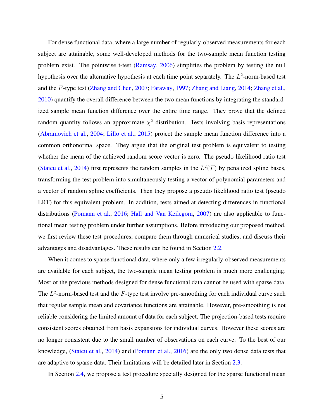For dense functional data, where a large number of regularly-observed measurements for each subject are attainable, some well-developed methods for the two-sample mean function testing problem exist. The pointwise t-test [\(Ramsay,](#page-114-2) [2006\)](#page-114-2) simplifies the problem by testing the null hypothesis over the alternative hypothesis at each time point separately. The L<sup>2</sup>-norm-based test and the *F*-type test [\(Zhang and Chen,](#page-115-3) [2007;](#page-115-3) [Faraway,](#page-112-4) [1997;](#page-112-4) [Zhang and Liang,](#page-115-4) [2014;](#page-115-4) [Zhang et al.,](#page-115-5) [2010\)](#page-115-5) quantify the overall difference between the two mean functions by integrating the standardized sample mean function difference over the entire time range. They prove that the defined random quantity follows an approximate  $\chi^2$  distribution. Tests involving basis representations [\(Abramovich et al.,](#page-111-4) [2004;](#page-111-4) [Lillo et al.,](#page-113-1) [2015\)](#page-113-1) project the sample mean function difference into a common orthonormal space. They argue that the original test problem is equivalent to testing whether the mean of the achieved random score vector is zero. The pseudo likelihood ratio test [\(Staicu et al.,](#page-115-0) [2014\)](#page-115-0) first represents the random samples in the  $L^2(\mathcal{T})$  by penalized spline bases, transforming the test problem into simultaneously testing a vector of polynomial parameters and a vector of random spline coefficients. Then they propose a pseudo likelihood ratio test (pseudo LRT) for this equivalent problem. In addition, tests aimed at detecting differences in functional distributions [\(Pomann et al.,](#page-114-0) [2016;](#page-114-0) [Hall and Van Keilegom,](#page-113-4) [2007\)](#page-113-4) are also applicable to functional mean testing problem under further assumptions. Before introducing our proposed method, we first review these test procedures, compare them through numerical studies, and discuss their advantages and disadvantages. These results can be found in Section [2.2.](#page-25-0)

When it comes to sparse functional data, where only a few irregularly-observed measurements are available for each subject, the two-sample mean testing problem is much more challenging. Most of the previous methods designed for dense functional data cannot be used with sparse data. The *L* 2 -norm-based test and the *F*-type test involve pre-smoothing for each individual curve such that regular sample mean and covariance functions are attainable. However, pre-smoothing is not reliable considering the limited amount of data for each subject. The projection-based tests require consistent scores obtained from basis expansions for individual curves. However these scores are no longer consistent due to the small number of observations on each curve. To the best of our knowledge, [\(Staicu et al.,](#page-115-0) [2014\)](#page-115-0) and [\(Pomann et al.,](#page-114-0) [2016\)](#page-114-0) are the only two dense data tests that are adaptive to sparse data. Their limitations will be detailed later in Section [2.3.](#page-37-0)

In Section [2.4,](#page-39-0) we propose a test procedure specially designed for the sparse functional mean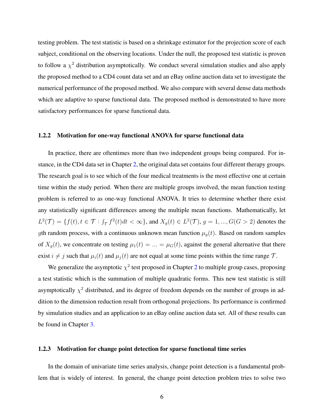testing problem. The test statistic is based on a shrinkage estimator for the projection score of each subject, conditional on the observing locations. Under the null, the proposed test statistic is proven to follow a  $\chi^2$  distribution asymptotically. We conduct several simulation studies and also apply the proposed method to a CD4 count data set and an eBay online auction data set to investigate the numerical performance of the proposed method. We also compare with several dense data methods which are adaptive to sparse functional data. The proposed method is demonstrated to have more satisfactory performances for sparse functional data.

#### <span id="page-19-0"></span>1.2.2 Motivation for one-way functional ANOVA for sparse functional data

In practice, there are oftentimes more than two independent groups being compared. For instance, in the CD4 data set in Chapter [2,](#page-22-0) the original data set contains four different therapy groups. The research goal is to see which of the four medical treatments is the most effective one at certain time within the study period. When there are multiple groups involved, the mean function testing problem is referred to as one-way functional ANOVA. It tries to determine whether there exist any statistically significant differences among the multiple mean functions. Mathematically, let  $L^2(\mathcal{T}) = \{f(t), t \in \mathcal{T} : \int_{\mathcal{T}} f^2(t)dt < \infty\}$ , and  $X_g(t) \in L^2(\mathcal{T})$ ,  $g = 1, ..., G(G > 2)$  denotes the *g*th random process, with a continuous unknown mean function  $\mu_q(t)$ . Based on random samples of  $X_g(t)$ , we concentrate on testing  $\mu_1(t) = \ldots = \mu_G(t)$ , against the general alternative that there exist  $i \neq j$  such that  $\mu_i(t)$  and  $\mu_j(t)$  are not equal at some time points within the time range  $\mathcal{T}$ .

We generalize the asymptotic  $\chi^2$  $\chi^2$  test proposed in Chapter 2 to multiple group cases, proposing a test statistic which is the summation of multiple quadratic forms. This new test statistic is still asymptotically  $\chi^2$  distributed, and its degree of freedom depends on the number of groups in addition to the dimension reduction result from orthogonal projections. Its performance is confirmed by simulation studies and an application to an eBay online auction data set. All of these results can be found in Chapter [3.](#page-64-0)

#### <span id="page-19-1"></span>1.2.3 Motivation for change point detection for sparse functional time series

In the domain of univariate time series analysis, change point detection is a fundamental problem that is widely of interest. In general, the change point detection problem tries to solve two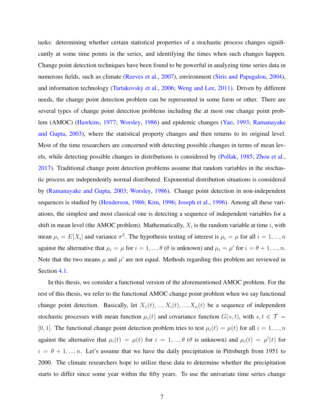tasks: determining whether certain statistical properties of a stochastic process changes significantly at some time points in the series, and identifying the times when such changes happen. Change point detection techniques have been found to be powerful in analyzing time series data in numerous fields, such as climate [\(Reeves et al.,](#page-114-8) [2007\)](#page-114-8), environment [\(Siris and Papagalou,](#page-115-6) [2004\)](#page-115-6), and information technology [\(Tartakovsky et al.,](#page-115-7) [2006;](#page-115-7) [Weng and Lee,](#page-115-8) [2011\)](#page-115-8). Driven by different needs, the change point detection problem can be represented in some form or other. There are several types of change point detection problems including the at most one change point problem (AMOC) [\(Hawkins,](#page-113-5) [1977;](#page-113-5) [Worsley,](#page-115-9) [1986\)](#page-115-9) and epidemic changes [\(Yao,](#page-115-10) [1993;](#page-115-10) [Ramanayake](#page-114-9) [and Gupta,](#page-114-9) [2003\)](#page-114-9), where the statistical property changes and then returns to its original level. Most of the time researchers are concerned with detecting possible changes in terms of mean levels, while detecting possible changes in distributions is considered by [\(Pollak,](#page-114-10) [1985;](#page-114-10) [Zhou et al.,](#page-115-11) [2017\)](#page-115-11). Traditional change point detection problems assume that random variables in the stochastic process are independently normal distributed. Exponential distribution situations is considered by [\(Ramanayake and Gupta,](#page-114-9) [2003;](#page-114-9) [Worsley,](#page-115-9) [1986\)](#page-115-9). Change point detection in non-independent sequences is studied by [\(Henderson,](#page-113-6) [1986;](#page-113-6) [Kim,](#page-113-7) [1996;](#page-113-7) [Joseph et al.,](#page-113-8) [1996\)](#page-113-8). Among all these variations, the simplest and most classical one is detecting a sequence of independent variables for a shift in mean level (the AMOC problem). Mathematically,  $X_i$  is the random variable at time *i*, with mean  $\mu_i = E[X_i]$  and variance  $\sigma^2$ . The hypothesis testing of interest is  $\mu_i = \mu$  for all  $i = 1, ..., n$ against the alternative that  $\mu_i = \mu$  for  $i = 1, ..., \theta$  ( $\theta$  is unknown) and  $\mu_i = \mu'$  for  $i = \theta + 1, ..., n$ . Note that the two means  $\mu$  and  $\mu'$  are not equal. Methods regarding this problem are reviewed in Section [4.1.](#page-78-0)

In this thesis, we consider a functional version of the aforementioned AMOC problem. For the rest of this thesis, we refer to the functional AMOC change point problem when we say functional change point detection. Basically, let  $X_1(t), ..., X_i(t), ..., X_n(t)$  be a sequence of independent stochastic processes with mean function  $\mu_i(t)$  and covariance function  $G(s, t)$ , with  $s, t \in \mathcal{T}$ [0, 1]. The functional change point detection problem tries to test  $\mu_i(t) = \mu(t)$  for all  $i = 1, ..., n$ against the alternative that  $\mu_i(t) = \mu(t)$  for  $i = 1, ..., \theta$  ( $\theta$  is unknown) and  $\mu_i(t) = \mu'(t)$  for  $i = \theta + 1, ..., n$ . Let's assume that we have the daily precipitation in Pittsburgh from 1951 to 2000. The climate researchers hope to utilize these data to determine whether the precipitation starts to differ since some year within the fifty years. To use the univariate time series change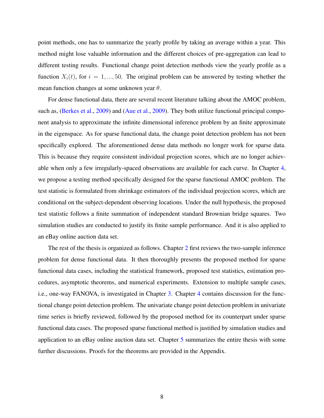point methods, one has to summarize the yearly profile by taking an average within a year. This method might lose valuable information and the different choices of pre-aggregation can lead to different testing results. Functional change point detection methods view the yearly profile as a function  $X_i(t)$ , for  $i = 1, ..., 50$ . The original problem can be answered by testing whether the mean function changes at some unknown year *θ*.

For dense functional data, there are several recent literature talking about the AMOC problem, such as, [\(Berkes et al.,](#page-111-6) [2009\)](#page-111-7) and [\(Aue et al.,](#page-111-7) 2009). They both utilize functional principal component analysis to approximate the infinite dimensional inference problem by an finite approximate in the eigenspace. As for sparse functional data, the change point detection problem has not been specifically explored. The aforementioned dense data methods no longer work for sparse data. This is because they require consistent individual projection scores, which are no longer achievable when only a few irregularly-spaced observations are available for each curve. In Chapter [4,](#page-77-0) we propose a testing method specifically designed for the sparse functional AMOC problem. The test statistic is formulated from shrinkage estimators of the individual projection scores, which are conditional on the subject-dependent observing locations. Under the null hypothesis, the proposed test statistic follows a finite summation of independent standard Brownian bridge squares. Two simulation studies are conducted to justify its finite sample performance. And it is also applied to an eBay online auction data set.

The rest of the thesis is organized as follows. Chapter [2](#page-22-0) first reviews the two-sample inference problem for dense functional data. It then thoroughly presents the proposed method for sparse functional data cases, including the statistical framework, proposed test statistics, estimation procedures, asymptotic theorems, and numerical experiments. Extension to multiple sample cases, i.e., one-way FANOVA, is investigated in Chapter [3.](#page-64-0) Chapter [4](#page-77-0) contains discussion for the functional change point detection problem. The univariate change point detection problem in univariate time series is briefly reviewed, followed by the proposed method for its counterpart under sparse functional data cases. The proposed sparse functional method is justified by simulation studies and application to an eBay online auction data set. Chapter [5](#page-97-0) summarizes the entire thesis with some further discussions. Proofs for the theorems are provided in the Appendix.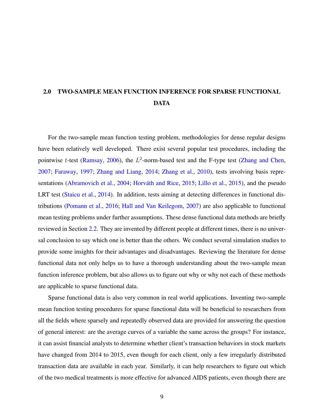## <span id="page-22-0"></span>2.0 TWO-SAMPLE MEAN FUNCTION INFERENCE FOR SPARSE FUNCTIONAL DATA

For the two-sample mean function testing problem, methodologies for dense regular designs have been relatively well developed. There exist several popular test procedures, including the pointwise *t*-test [\(Ramsay,](#page-114-2) [2006\)](#page-114-2), the L<sup>2</sup>-norm-based test and the F-type test [\(Zhang and Chen,](#page-115-3) [2007;](#page-115-3) [Faraway,](#page-112-4) [1997;](#page-112-4) [Zhang and Liang,](#page-115-4) [2014;](#page-115-4) [Zhang et al.,](#page-115-5) [2010\)](#page-115-5), tests involving basis repre-sentations [\(Abramovich et al.,](#page-111-4) [2004;](#page-111-4) Horváth and Rice, [2015;](#page-113-0) [Lillo et al.,](#page-113-1) [2015\)](#page-113-1), and the pseudo LRT test [\(Staicu et al.,](#page-115-0) [2014\)](#page-115-0). In addition, tests aiming at detecting differences in functional distributions [\(Pomann et al.,](#page-114-0) [2016;](#page-114-0) [Hall and Van Keilegom,](#page-113-4) [2007\)](#page-113-4) are also applicable to functional mean testing problems under further assumptions. These dense functional data methods are briefly reviewed in Section [2.2.](#page-25-0) They are invented by different people at different times, there is no universal conclusion to say which one is better than the others. We conduct several simulation studies to provide some insights for their advantages and disadvantages. Reviewing the literature for dense functional data not only helps us to have a thorough understanding about the two-sample mean function inference problem, but also allows us to figure out why or why not each of these methods are applicable to sparse functional data.

Sparse functional data is also very common in real world applications. Inventing two-sample mean function testing procedures for sparse functional data will be beneficial to researchers from all the fields where sparsely and repeatedly observed data are provided for answering the question of general interest: are the average curves of a variable the same across the groups? For instance, it can assist financial analysts to determine whether client's transaction behaviors in stock markets have changed from 2014 to 2015, even though for each client, only a few irregularly distributed transaction data are available in each year. Similarly, it can help researchers to figure out which of the two medical treatments is more effective for advanced AIDS patients, even though there are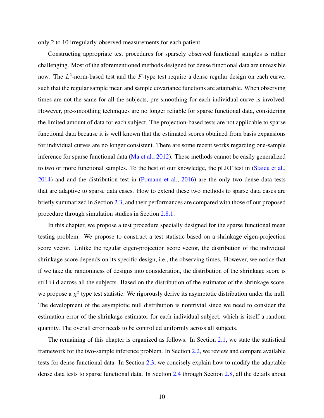only 2 to 10 irregularly-observed measurements for each patient.

Constructing appropriate test procedures for sparsely observed functional samples is rather challenging. Most of the aforementioned methods designed for dense functional data are unfeasible now. The *L* 2 -norm-based test and the *F*-type test require a dense regular design on each curve, such that the regular sample mean and sample covariance functions are attainable. When observing times are not the same for all the subjects, pre-smoothing for each individual curve is involved. However, pre-smoothing techniques are no longer reliable for sparse functional data, considering the limited amount of data for each subject. The projection-based tests are not applicable to sparse functional data because it is well known that the estimated scores obtained from basis expansions for individual curves are no longer consistent. There are some recent works regarding one-sample inference for sparse functional data [\(Ma et al.,](#page-114-11) [2012\)](#page-114-11). These methods cannot be easily generalized to two or more functional samples. To the best of our knowledge, the pLRT test in [\(Staicu et al.,](#page-115-0) [2014\)](#page-115-0) and and the distribution test in [\(Pomann et al.,](#page-114-0) [2016\)](#page-114-0) are the only two dense data tests that are adaptive to sparse data cases. How to extend these two methods to sparse data cases are briefly summarized in Section [2.3,](#page-37-0) and their performances are compared with those of our proposed procedure through simulation studies in Section [2.8.1.](#page-47-1)

In this chapter, we propose a test procedure specially designed for the sparse functional mean testing problem. We propose to construct a test statistic based on a shrinkage eigen-projection score vector. Unlike the regular eigen-projection score vector, the distribution of the individual shrinkage score depends on its specific design, i.e., the observing times. However, we notice that if we take the randomness of designs into consideration, the distribution of the shrinkage score is still i.i.d across all the subjects. Based on the distribution of the estimator of the shrinkage score, we propose a  $\chi^2$  type test statistic. We rigorously derive its asymptotic distribution under the null. The development of the asymptotic null distribution is nontrivial since we need to consider the estimation error of the shrinkage estimator for each individual subject, which is itself a random quantity. The overall error needs to be controlled uniformly across all subjects.

The remaining of this chapter is organized as follows. In Section [2.1,](#page-24-0) we state the statistical framework for the two-sample inference problem. In Section [2.2,](#page-25-0) we review and compare available tests for dense functional data. In Section [2.3,](#page-37-0) we concisely explain how to modify the adaptable dense data tests to sparse functional data. In Section [2.4](#page-39-0) through Section [2.8,](#page-47-0) all the details about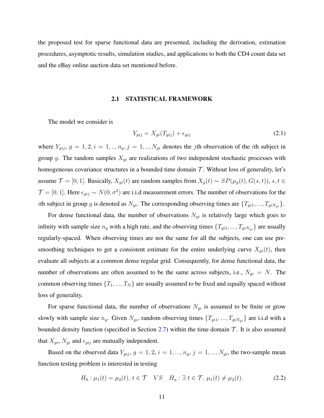the proposed test for sparse functional data are presented, including the derivation, estimation procedures, asymptotic results, simulation studies, and applications to both the CD4 count data set and the eBay online auction data set mentioned before.

#### <span id="page-24-2"></span>2.1 STATISTICAL FRAMEWORK

<span id="page-24-0"></span>The model we consider is

$$
Y_{gij} = X_{gi}(T_{gij}) + \epsilon_{gij} \tag{2.1}
$$

where  $Y_{gij}$ ,  $g = 1, 2, i = 1, ..., n_g$ ,  $j = 1, ..., N_{gi}$  denotes the *j*th observation of the *i*th subject in group *g*. The random samples *Xgi* are realizations of two independent stochastic processes with homogeneous covariance structures in a bounded time domain  $T$ . Without loss of generality, let's assume  $\mathcal{T} = [0, 1]$ . Basically,  $X_{gi}(t)$  are random samples from  $X_g(t) \sim SP(\mu_g(t), G(s, t))$ ,  $s, t \in$  $\mathcal{T} = [0, 1]$ . Here  $\epsilon_{gij} \sim N(0, \sigma^2)$  are i.i.d measurement errors. The number of observations for the *i*th subject in group *g* is denoted as  $N_{gi}$ . The corresponding observing times are  $\{T_{gi1}, ..., T_{giN_{gi}}\}$ .

For dense functional data, the number of observations  $N_{gi}$  is relatively large which goes to infinity with sample size  $n_g$  with a high rate, and the observing times  $\{T_{gi1}, ..., T_{giN_{gi}}\}$  are usually regularly-spaced. When observing times are not the same for all the subjects, one can use presmoothing techniques to get a consistent estimate for the entire underlying curve  $X_{gi}(t)$ , then evaluate all subjects at a common dense regular grid. Consequently, for dense functional data, the number of observations are often assumed to be the same across subjects, i.e.,  $N_{gi} = N$ . The common observing times  $\{T_1, ..., T_N\}$  are usually assumed to be fixed and equally spaced without loss of generality.

For sparse functional data, the number of observations  $N_{gi}$  is assumed to be finite or grow slowly with sample size  $n_g$ . Given  $N_{gi}$ , random observing times  $\{T_{gi1}, ..., T_{giN_{gi}}\}$  are i.i.d with a bounded density function (specified in Section [2.7\)](#page-45-1) within the time domain  $\mathcal{T}$ . It is also assumed that  $X_{gi}$ ,  $N_{gi}$  and  $\epsilon_{gij}$  are mutually independent.

Based on the observed data  $Y_{gij}$ ,  $g = 1, 2, i = 1, ..., n_g$ ,  $j = 1, ..., N_{gi}$ , the two-sample mean function testing problem is interested in testing

<span id="page-24-1"></span>
$$
H_0: \mu_1(t) = \mu_2(t), \ t \in \mathcal{T} \quad VS \quad H_a: \ \exists \ t \in \mathcal{T}, \ \mu_1(t) \neq \mu_2(t). \tag{2.2}
$$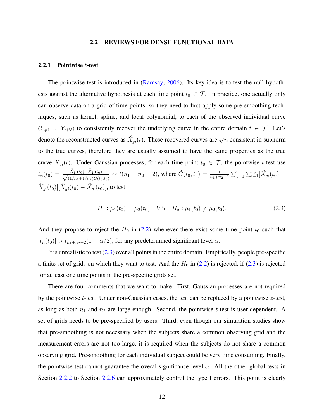#### 2.2 REVIEWS FOR DENSE FUNCTIONAL DATA

#### <span id="page-25-1"></span><span id="page-25-0"></span>2.2.1 Pointwise *t*-test

The pointwise test is introduced in [\(Ramsay,](#page-114-2) [2006\)](#page-114-2). Its key idea is to test the null hypothesis against the alternative hypothesis at each time point  $t_0 \in \mathcal{T}$ . In practice, one actually only can observe data on a grid of time points, so they need to first apply some pre-smoothing techniques, such as kernel, spline, and local polynomial, to each of the observed individual curve  $(Y_{gi1},..., Y_{giN})$  to consistently recover the underlying curve in the entire domain  $t \in \mathcal{T}$ . Let's denote the reconstructed curves as  $\check{X}_{gi}(t)$ . These recovered curves are  $\sqrt{n}$  consistent in supnorm to the true curves, therefore they are usually assumed to have the same properties as the true curve  $X_{qi}(t)$ . Under Gaussian processes, for each time point  $t_0 \in \mathcal{T}$ , the pointwise *t*-test use  $t_n(t_0) = \frac{\bar{\check{X}}_1.(t_0) - \bar{\check{X}}_2.(t_0)}{\sqrt{(1 + \bar{\check{X}}_1 + \bar{\check{X}}_2)}}$  $\frac{\dot{X}_{1}(t_0) - \dot{X}_{2}(t_0)}{(1/n_1 + 1/n_2)\hat{G}(t_0, t_0)} \sim t(n_1 + n_2 - 2)$ , where  $\hat{G}(t_0, t_0) = \frac{1}{n_1 + n_2 - 1} \sum_{g=1}^{n_2} \sum_{i=1}^{n_g} [\check{X}_{gi}(t_0) - \check{X}_{gi}(t_0)]$  $\bar{\check{X}}_g(t_0)][\check{X}_{gi}(t_0)-\bar{\check{X}}_g(t_0)],$  to test

<span id="page-25-2"></span>
$$
H_0: \mu_1(t_0) = \mu_2(t_0) \quad VS \quad H_a: \mu_1(t_0) \neq \mu_2(t_0). \tag{2.3}
$$

And they propose to reject the  $H_0$  in [\(2.2\)](#page-24-1) whenever there exist some time point  $t_0$  such that  $|t_n(t_0)| > t_{n_1+n_2-2}(1-\alpha/2)$ , for any predetermined significant level  $\alpha$ .

It is unrealistic to test  $(2.3)$  over all points in the entire domain. Empirically, people pre-specific a finite set of grids on which they want to test. And the  $H_0$  in [\(2.2\)](#page-24-1) is rejected, if [\(2.3\)](#page-25-2) is rejected for at least one time points in the pre-specific grids set.

There are four comments that we want to make. First, Gaussian processes are not required by the pointwise *t*-test. Under non-Gaussian cases, the test can be replaced by a pointwise *z*-test, as long as both *n*<sup>1</sup> and *n*<sup>2</sup> are large enough. Second, the pointwise *t*-test is user-dependent. A set of grids needs to be pre-specified by users. Third, even though our simulation studies show that pre-smoothing is not necessary when the subjects share a common observing grid and the measurement errors are not too large, it is required when the subjects do not share a common observing grid. Pre-smoothing for each individual subject could be very time consuming. Finally, the pointwise test cannot guarantee the overal significance level  $\alpha$ . All the other global tests in Section [2.2.2](#page-26-0) to Section [2.2.6](#page-32-0) can approximately control the type I errors. This point is clearly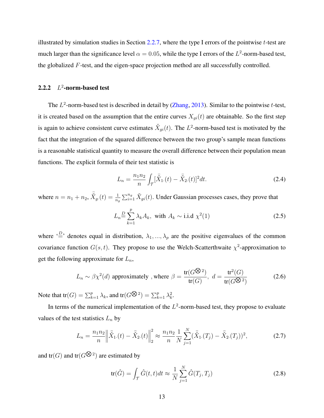illustrated by simulation studies in Section [2.2.7,](#page-32-1) where the type I errors of the pointwise *t*-test are much larger than the significance level  $\alpha = 0.05$ , while the type I errors of the  $L^2$ -norm-based test, the globalized *F*-test, and the eigen-space projection method are all successfully controlled.

#### <span id="page-26-0"></span>2.2.2 *L* 2 -norm-based test

The *L* 2 -norm-based test is described in detail by [\(Zhang,](#page-115-12) [2013\)](#page-115-12). Similar to the pointwise *t*-test, it is created based on the assumption that the entire curves  $X_{qi}(t)$  are obtainable. So the first step is again to achieve consistent curve estimates  $\check{X}_{gi}(t)$ . The  $L^2$ -norm-based test is motivated by the fact that the integration of the squared difference between the two group's sample mean functions is a reasonable statistical quantity to measure the overall difference between their population mean functions. The explicit formula of their test statistic is

$$
L_n = \frac{n_1 n_2}{n} \int_{\mathcal{T}} [\bar{\check{X}}_1(t) - \bar{\check{X}}_2(t)]^2 dt.
$$
 (2.4)

where  $n = n_1 + n_2$ ,  $\bar{X}_g(t) = \frac{1}{n_g} \sum_{i=1}^{n_g} \check{X}_{gi}(t)$ . Under Gaussian processes cases, they prove that

$$
L_n \stackrel{D}{=} \sum_{k=1}^p \lambda_k A_k, \text{ with } A_k \sim \text{i.i.d } \chi^2(1) \tag{2.5}
$$

where  $\cdot \stackrel{D}{=}$  denotes equal in distribution,  $\lambda_1, ..., \lambda_p$  are the positive eigenvalues of the common covariance function  $G(s, t)$ . They propose to use the Welch-Scatterthwaite  $\chi^2$ -approximation to get the following approximate for *Ln*,

$$
L_n \sim \beta \chi^2(d) \text{ approximately }, \text{where } \beta = \frac{\text{tr}(G^{\bigotimes 2})}{\text{tr}(G)}, d = \frac{\text{tr}^2(G)}{\text{tr}(G^{\bigotimes 2})}
$$
(2.6)

Note that  $tr(G) = \sum_{k=1}^{p} \lambda_k$ , and  $tr(G^{\bigotimes 2}) = \sum_{k=1}^{p} \lambda_k^2$ .

In terms of the numerical implementation of the  $L^2$ -norm-based test, they propose to evaluate values of the test statistics  $L_n$  by

$$
L_n = \frac{n_1 n_2}{n} \left\| \tilde{X}_{1.}(t) - \tilde{X}_{2.}(t) \right\|_2^2 \approx \frac{n_1 n_2}{n} \frac{1}{N} \sum_{j=1}^N (\tilde{X}_{1.}(T_j) - \tilde{X}_{2.}(T_j))^2, \tag{2.7}
$$

and  $tr(G)$  and  $tr(G^{\bigotimes 2})$  are estimated by

$$
\operatorname{tr}(\hat{G}) = \int_{\mathcal{T}} \hat{G}(t, t)dt \approx \frac{1}{N} \sum_{j=1}^{N} \hat{G}(T_j, T_j)
$$
\n(2.8)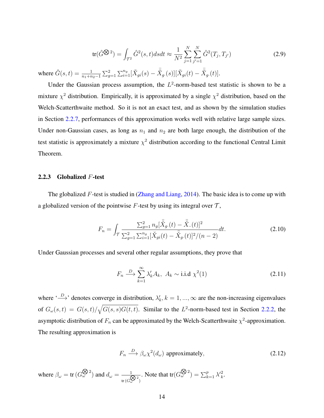$$
\text{tr}(\hat{G}^{\bigotimes 2}) = \int_{\mathcal{T}^2} \hat{G}^2(s, t) ds dt \approx \frac{1}{N^2} \sum_{j=1}^N \sum_{j'=1}^N \hat{G}^2(T_j, T_{j'}) \tag{2.9}
$$

where  $\hat{G}(s,t) = \frac{1}{n_1 + n_2 - 1} \sum_{g=1}^2 \sum_{i=1}^{n_g} [\check{X}_{gi}(s) - \check{\check{X}}_{g}(s)][\check{X}_{gi}(t) - \check{\check{X}}_{g}(t)].$ 

Under the Gaussian process assumption, the  $L^2$ -norm-based test statistic is shown to be a mixture  $\chi^2$  distribution. Empirically, it is approximated by a single  $\chi^2$  distribution, based on the Welch-Scatterthwaite method. So it is not an exact test, and as shown by the simulation studies in Section [2.2.7,](#page-32-1) performances of this approximation works well with relative large sample sizes. Under non-Gaussian cases, as long as  $n_1$  and  $n_2$  are both large enough, the distribution of the test statistic is approximately a mixture  $\chi^2$  distribution according to the functional Central Limit Theorem.

#### <span id="page-27-0"></span>2.2.3 Globalized *F*-test

The globalized *F*-test is studied in [\(Zhang and Liang,](#page-115-4) [2014\)](#page-115-4). The basic idea is to come up with a globalized version of the pointwise  $F$ -test by using its integral over  $\mathcal{T}$ ,

$$
F_n = \int_{\mathcal{T}} \frac{\sum_{g=1}^2 n_g [\bar{X}_g(t) - \bar{X}_g(t)]^2}{\sum_{g=1}^2 \sum_{i=1}^{n_g} [\bar{X}_{gi}(t) - \bar{X}_g(t)]^2 / (n-2)} dt.
$$
 (2.10)

Under Gaussian processes and several other regular assumptions, they prove that

$$
F_n \xrightarrow{D} \sum_{k=1}^{\infty} \lambda'_k A_k, \ A_k \sim \text{i.i.d } \chi^2(1)
$$
 (2.11)

where ' $\stackrel{D}{\longrightarrow}$ ' denotes converge in distribution,  $\lambda'_k$ ,  $k = 1, ..., \infty$  are the non-increasing eigenvalues of  $G_{\omega}(s,t) = G(s,t)/\sqrt{G(s,s)G(t,t)}$ . Similar to the *L*<sup>2</sup>-norm-based test in Section [2.2.2,](#page-26-0) the asymptotic distribution of  $F_n$  can be approximated by the Welch-Scatterthwaite  $\chi^2$ -approximation. The resulting approximation is

$$
F_n \xrightarrow{D} \beta_\omega \chi^2(d_\omega) \text{ approximately,}
$$
 (2.12)

where  $\beta_{\omega} = \text{tr}\,(G_{\omega}^{\bigotimes 2})$  and  $d_{\omega} = \frac{1}{\beta}$  $\sqrt{\text{tr}\,(G\omega^{\bigotimes 2})}$ . Note that  $tr(G_{\omega}^{\bigotimes 2}) = \sum_{k=1}^{p} \lambda_k^2$ .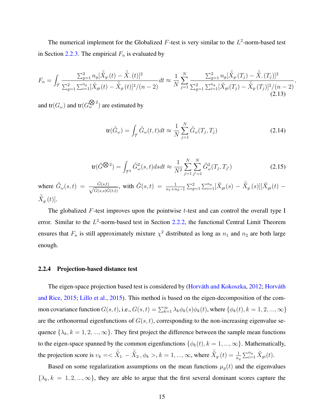The numerical implement for the Globalized  $F$ -test is very similar to the  $L^2$ -norm-based test in Section [2.2.3.](#page-27-0) The empirical  $F_n$  is evaluated by

$$
F_n = \int_{\mathcal{T}} \frac{\sum_{g=1}^2 n_g [\bar{X}_{g.}(t) - \bar{X}_{..}(t)]^2}{\sum_{g=1}^2 \sum_{i=1}^{n_g} [\bar{X}_{gi}(t) - \bar{X}_{g.}(t)]^2 / (n-2)} dt \approx \frac{1}{N} \sum_{j=1}^N \frac{\sum_{g=1}^2 n_g [\bar{X}_{g.}(T_j) - \bar{X}_{..}(T_j)]^2}{\sum_{g=1}^2 \sum_{i=1}^{n_g} [\bar{X}_{gi}(T_j) - \bar{X}_{g.}(T_j)]^2 / (n-2)}
$$
\n(2.13)

and  $\text{tr}(G_{\omega})$  and  $\text{tr}(G_{\omega}^{\bigotimes 2})$  are estimated by

$$
\operatorname{tr}(\hat{G}_{\omega}) = \int_{\mathcal{T}} \hat{G}_{\omega}(t, t) dt \approx \frac{1}{N} \sum_{j=1}^{N} \hat{G}_{\omega}(T_j, T_j)
$$
(2.14)

*,*

$$
\text{tr}(\hat{G}^{\bigotimes 2}) = \int_{\mathcal{T}^2} \hat{G}^2_{\omega}(s, t) ds dt \approx \frac{1}{N^2} \sum_{j=1}^N \sum_{j'=1}^N \hat{G}^2_{\omega}(T_j, T_{j'}) \tag{2.15}
$$

where  $\hat{G}_{\omega}(s,t) = \frac{\hat{G}(s,t)}{\sqrt{\hat{G}(\omega_{\omega})\hat{S}(\omega_{\omega})}}$  $\frac{\hat{G}(s,t)}{\hat{G}(s,s)\hat{G}(t,t)},$  with  $\hat{G}(s,t) = \frac{1}{n_1+n_2-1}\sum_{g=1}^2\sum_{i=1}^{n_g}[\check{X}_{gi}(s)-\bar{\check{X}}_{g\cdot}(s)][\check{X}_{gi}(t) \bar{\check{X}}_{g \cdot}(t)].$ 

The globalized *F*-test improves upon the pointwise *t*-test and can control the overall type I error. Similar to the L<sup>2</sup>-norm-based test in Section [2.2.2,](#page-26-0) the functional Central Limit Theorem ensures that  $F_n$  is still approximately mixture  $\chi^2$  distributed as long as  $n_1$  and  $n_2$  are both large enough.

#### <span id="page-28-0"></span>2.2.4 Projection-based distance test

The eigen-space projection based test is considered by (Horváth and Kokoszka, [2012;](#page-113-9) Horváth [and Rice,](#page-113-0) [2015;](#page-113-0) [Lillo et al.,](#page-113-1) [2015\)](#page-113-1). This method is based on the eigen-decomposition of the common covariance function  $G(s,t)$ , i.e.,  $G(s,t) = \sum_{k=1}^{\infty} \lambda_k \phi_k(s) \phi_k(t)$ , where  $\{\phi_k(t), k = 1, 2, ..., \infty\}$ are the orthonormal eigenfunctions of  $G(s, t)$ , corresponding to the non-increasing eigenvalue sequence  $\{\lambda_k, k = 1, 2, ..., \infty\}$ . They first project the difference between the sample mean functions to the eigen-space spanned by the common eigenfunctions  $\{\phi_k(t), k = 1, ..., \infty\}$ . Mathematically, the projection score is  $v_k = \langle \overline{X}_1 - \overline{X}_2, \phi_k \rangle$ ,  $k = 1, ..., \infty$ , where  $\overline{X}_g(t) = \frac{1}{n_g} \sum_{i=1}^{n_g} \check{X}_{gi}(t)$ .

Based on some regularization assumptions on the mean functions  $\mu_q(t)$  and the eigenvalues  $\{\lambda_k, k = 1, 2, ..., \infty\}$ , they are able to argue that the first several dominant scores capture the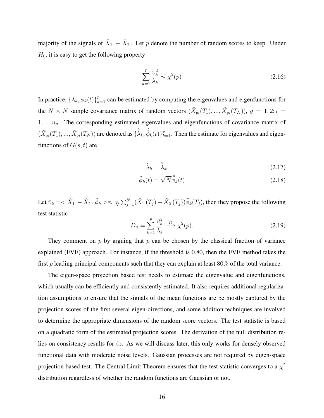majority of the signals of  $\bar{X}_1 - \bar{X}_2$ . Let *p* denote the number of random scores to keep. Under  $H_0$ , it is easy to get the following property

$$
\sum_{k=1}^{p} \frac{\upsilon_k^2}{\lambda_k} \sim \chi^2(p) \tag{2.16}
$$

In practice,  $\{\lambda_k, \phi_k(t)\}_{k=1}^p$  can be estimated by computing the eigenvalues and eigenfunctions for the *N* × *N* sample covariance matrix of random vectors  $(\breve{X}_{gi}(T_1), ..., \breve{X}_{gi}(T_N))$ ,  $g = 1, 2; i =$ 1*, ..., ng*. The corresponding estimated eigenvalues and eigenfunctions of covariance matrix of  $(\check{X}_{gi}(T_1), ..., \check{X}_{gi}(T_N))$  are denoted as  $\{\hat{\tilde{\lambda}}_k, \hat{\phi}_k(t)\}_{k=1}^p$ . Then the estimate for eigenvalues and eigenfunctions of  $G(s, t)$  are

$$
\hat{\lambda}_k = \hat{\tilde{\lambda}}_k \tag{2.17}
$$

$$
\hat{\phi}_k(t) = \sqrt{N} \hat{\phi}_k(t) \tag{2.18}
$$

Let  $\hat{v}_k = <\bar{\check{X}}_1 - \bar{\check{X}}_2$ .,  $\hat{\phi}_k > \approx \frac{1}{N}$  $\frac{1}{N} \sum_{j=1}^{N} (\bar{X}_1 (T_j) - \bar{X}_2 (T_j)) \hat{\phi}_k(T_j)$ , then they propose the following test statistic

$$
D_n = \sum_{k=1}^p \frac{\hat{v}_k^2}{\hat{\lambda}_k} \xrightarrow{D} \chi^2(p). \tag{2.19}
$$

They comment on  $p$  by arguing that  $p$  can be chosen by the classical fraction of variance explained (FVE) approach. For instance, if the threshold is 0.80, then the FVE method takes the first  $p$  leading principal components such that they can explain at least  $80\%$  of the total variance.

The eigen-space projection based test needs to estimate the eigenvalue and eigenfunctions, which usually can be efficiently and consistently estimated. It also requires additional regularization assumptions to ensure that the signals of the mean functions are be mostly captured by the projection scores of the first several eigen-directions, and some addition techniques are involved to determine the appropriate dimensions of the random score vectors. The test statistic is based on a quadratic form of the estimated projection scores. The derivation of the null distribution relies on consistency results for  $\hat{v}_k$ . As we will discuss later, this only works for densely observed functional data with moderate noise levels. Gaussian processes are not required by eigen-space projection based test. The Central Limit Theorem ensures that the test statistic converges to a  $\chi^2$ distribution regardless of whether the random functions are Gaussian or not.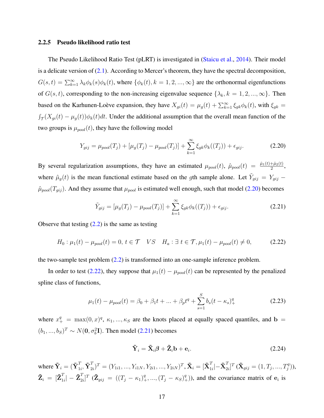#### <span id="page-30-0"></span>2.2.5 Pseudo likelihood ratio test

The Pseudo Likelihood Ratio Test (pLRT) is investigated in [\(Staicu et al.,](#page-115-0) [2014\)](#page-115-0). Their model is a delicate version of  $(2.1)$ . According to Mercer's theorem, they have the spectral decomposition,  $G(s,t) = \sum_{k=1}^{\infty} \lambda_k \phi_k(s) \phi_k(t)$ , where  $\{\phi_k(t), k = 1, 2, ..., \infty\}$  are the orthonormal eigenfunctions of  $G(s, t)$ , corresponding to the non-increasing eigenvalue sequence  $\{\lambda_k, k = 1, 2, ..., \infty\}$ . Then based on the Karhunen-Loève expansion, they have  $X_{gi}(t) = \mu_g(t) + \sum_{k=1}^{\infty} \xi_{gk} \phi_k(t)$ , with  $\xi_{gk}$  $\int_{\mathcal{T}}(X_{gi}(t) - \mu_g(t))\phi_k(t)dt$ . Under the additional assumption that the overall mean function of the two groups is  $\mu_{pool}(t)$ , they have the following model

<span id="page-30-1"></span>
$$
Y_{gij} = \mu_{pool}(T_j) + [\mu_g(T_j) - \mu_{pool}(T_j)] + \sum_{k=1}^{\infty} \xi_{gk} \phi_k((T_j)) + \epsilon_{gij}.
$$
 (2.20)

By several regularization assumptions, they have an estimated  $\mu_{pool}(t)$ ,  $\hat{\mu}_{pool}(t) = \frac{\hat{\mu}_1(t) + \hat{\mu}_2(t)}{2}$ , where  $\hat{\mu}_g(t)$  is the mean functional estimate based on the *g*th sample alone. Let  $\tilde{Y}_{gij} = Y_{gij}$  $\hat{\mu}_{pool}(T_{gij})$ . And they assume that  $\mu_{pool}$  is estimated well enough, such that model [\(2.20\)](#page-30-1) becomes

<span id="page-30-3"></span><span id="page-30-2"></span>
$$
\tilde{Y}_{gij} = [\mu_g(T_j) - \mu_{pool}(T_j)] + \sum_{k=1}^{\infty} \xi_{gk} \phi_k((T_j)) + \epsilon_{gij}.
$$
\n(2.21)

Observe that testing  $(2.2)$  is the same as testing

$$
H_0: \mu_1(t) - \mu_{pool}(t) = 0, \ t \in \mathcal{T} \quad VS \quad H_a: \exists \ t \in \mathcal{T}, \mu_1(t) - \mu_{pool}(t) \neq 0,
$$
 (2.22)

the two-sample test problem [\(2.2\)](#page-24-1) is transformed into an one-sample inference problem.

In order to test [\(2.22\)](#page-30-2), they suppose that  $\mu_1(t) - \mu_{pool}(t)$  can be represented by the penalized spline class of functions,

$$
\mu_1(t) - \mu_{pool}(t) = \beta_0 + \beta_1 t + \dots + \beta_p t^q + \sum_{s=1}^S b_s (t - \kappa_s)_+^q
$$
\n(2.23)

where  $x_{+}^{q} = \max(0, x)^{q}$ ,  $\kappa_1, ..., \kappa_s$  are the knots placed at equally spaced quantiles, and **b** =  $(b_1, ..., b_S)^T \sim N(0, \sigma_b^2 I)$ . Then model [\(2.21\)](#page-30-3) becomes

$$
\tilde{\mathbf{Y}}_i = \tilde{\mathbf{X}}_i \boldsymbol{\beta} + \tilde{\mathbf{Z}}_i \mathbf{b} + \mathbf{e}_i.
$$
 (2.24)

where  $\mathbf{\tilde{Y}}_i = (\mathbf{\tilde{Y}}_{1i}^T$  $_{1i}^T,\mathbf{\tilde{Y}}_{2}^T$  $\{T_{2i}^T\}^T = (Y_{1i1},...,Y_{i1N},Y_{2i1},...,Y_{2iN})^T, \mathbf{\tilde{X}}_i = [\mathbf{\tilde{X}}_1^T,$  $\frac{T}{1i}$  $|-\mathbf{\tilde{X}}_2^T$  $[T_{2i}]^T$  ( $\tilde{\mathbf{X}}_{gij} = (1, T_j, ..., T_j^q)$ ),  $\tilde{\textbf{Z}}_i \ = \ [\tilde{\textbf{Z}}_1^T$  $\left. \frac{T}{1i} \right| - \tilde{\textbf{Z}}_{2i}^T$  $T_{2i}^T$   $(\mathbf{Z}_{gij} = ((T_j - \kappa_1)_+^q, ..., (T_j - \kappa_S)_+^q)$ , and the covariance matrix of  $\mathbf{e}_i$  is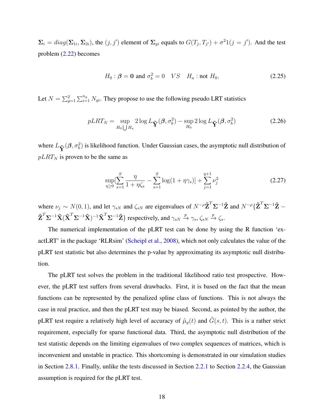$\Sigma_i = diag(\Sigma_{1i}, \Sigma_{2i})$ , the  $(j, j')$  element of  $\Sigma_{gi}$  equals to  $G(T_j, T_{j'}) + \sigma^2 1(j = j')$ . And the test problem [\(2.22\)](#page-30-2) becomes

$$
H_0: \beta = 0 \text{ and } \sigma_b^2 = 0 \quad VS \quad H_a: \text{not } H_0,
$$
\n
$$
(2.25)
$$

Let  $N = \sum_{g=1}^{n} \sum_{i=1}^{n_g} N_{gi}$ . They propose to use the following pseudo LRT statistics

$$
pLRT_N = \sup_{H_0 \setminus H_a} 2\log L_{\tilde{\mathbf{Y}}}(\boldsymbol{\beta}, \sigma_b^2) - \sup_{H_0} 2\log L_{\tilde{\mathbf{Y}}}(\boldsymbol{\beta}, \sigma_b^2)
$$
(2.26)

where  $L_{\tilde{\mathbf{Y}}}(\boldsymbol{\beta},\sigma_b^2)$  is likelihood function. Under Gaussian cases, the asymptotic null distribution of  $pLRT_N$  is proven to be the same as

$$
\sup_{\eta \ge 0} \left[ \sum_{s=1}^{S} \frac{\eta}{1 + \eta \zeta_s} - \sum_{s=1}^{S} \log(1 + \eta \gamma_s) \right] + \sum_{j=1}^{q+1} \nu_j^2 \tag{2.27}
$$

where  $\nu_j \sim N(0, 1)$ , and let  $\gamma_{sN}$  and  $\zeta_{sN}$  are eigenvalues of  $N^{-\rho} \tilde{\mathbf{Z}}^T \mathbf{\Sigma}^{-1} \tilde{\mathbf{Z}}$  and  $N^{-\rho} {\{\tilde{\mathbf{Z}}^T \mathbf{\Sigma}^{-1} \tilde{\mathbf{Z}} - \mathbf{Z}^T \mathbf{\Sigma}^{-1} \tilde{\mathbf{Z}}\}}$  $\tilde{\mathbf{Z}}^T \Sigma^{-1} \tilde{\mathbf{X}} (\tilde{\mathbf{X}}^T \Sigma^{-1} \tilde{\mathbf{X}})^{-1} \tilde{\mathbf{X}}^T \Sigma^{-1} \tilde{\mathbf{Z}} \}$  respectively, and  $\gamma_{sN} \xrightarrow{p} \gamma_s$ ,  $\zeta_{sN} \xrightarrow{p} \zeta_s$ .

The numerical implementation of the pLRT test can be done by using the R function 'exactLRT' in the package 'RLRsim' [\(Scheipl et al.,](#page-114-12) [2008\)](#page-114-12), which not only calculates the value of the pLRT test statistic but also determines the p-value by approximating its asymptotic null distribution.

The pLRT test solves the problem in the traditional likelihood ratio test prospective. However, the pLRT test suffers from several drawbacks. First, it is based on the fact that the mean functions can be represented by the penalized spline class of functions. This is not always the case in real practice, and then the pLRT test may be biased. Second, as pointed by the author, the pLRT test require a relatively high level of accuracy of  $\hat{\mu}_g(t)$  and  $\hat{G}(s,t)$ . This is a rather strict requirement, especially for sparse functional data. Third, the asymptotic null distribution of the test statistic depends on the limiting eigenvalues of two complex sequences of matrices, which is inconvenient and unstable in practice. This shortcoming is demonstrated in our simulation studies in Section [2.8.1.](#page-47-1) Finally, unlike the tests discussed in Section [2.2.1](#page-25-1) to Section [2.2.4,](#page-28-0) the Gaussian assumption is required for the pLRT test.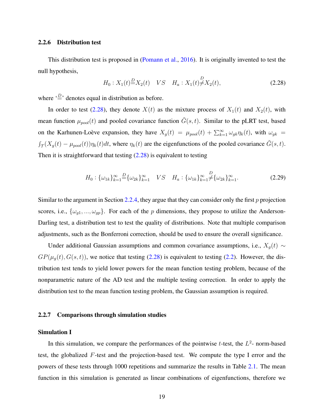#### <span id="page-32-0"></span>2.2.6 Distribution test

This distribution test is proposed in [\(Pomann et al.,](#page-114-0) [2016\)](#page-114-0). It is originally invented to test the null hypothesis,

<span id="page-32-2"></span>
$$
H_0: X_1(t) \stackrel{D}{=} X_2(t) \quad VS \quad H_a: X_1(t) \neq X_2(t), \tag{2.28}
$$

where  $\stackrel{\text{{\tiny 1}}}{=}$  denotes equal in distribution as before.

In order to test [\(2.28\)](#page-32-2), they denote  $X(t)$  as the mixture process of  $X_1(t)$  and  $X_2(t)$ , with mean function  $\mu_{pool}(t)$  and pooled covariance function  $\tilde{G}(s, t)$ . Similar to the pLRT test, based on the Karhunen-Loève expansion, they have  $X_g(t) = \mu_{pool}(t) + \sum_{k=1}^{\infty} \omega_{gk} \eta_k(t)$ , with  $\omega_{gk}$  $\int_{\mathcal{T}}(X_g(t) - \mu_{pool}(t))\eta_k(t)dt$ , where  $\eta_k(t)$  are the eigenfunctions of the pooled covariance  $\tilde{G}(s,t)$ . Then it is straightforward that testing  $(2.28)$  is equivalent to testing

$$
H_0: \{\omega_{1k}\}_{k=1}^{\infty} = \{\omega_{2k}\}_{k=1}^{\infty} \quad VS \quad H_a: \{\omega_{1k}\}_{k=1}^{\infty} \neq \{\omega_{2k}\}_{k=1}^{\infty}.
$$
 (2.29)

Similar to the argument in Section [2.2.4,](#page-28-0) they argue that they can consider only the first *p* projection scores, i.e.,  $\{\omega_{g1},...,\omega_{gp}\}$ . For each of the *p* dimensions, they propose to utilize the Anderson-Darling test, a distribution test to test the quality of distributions. Note that multiple comparison adjustments, such as the Bonferroni correction, should be used to ensure the overall significance.

Under additional Gaussian assumptions and common covariance assumptions, i.e.,  $X_g(t)$  ∼  $GP(\mu_g(t), G(s, t))$ , we notice that testing [\(2.28\)](#page-32-2) is equivalent to testing [\(2.2\)](#page-24-1). However, the distribution test tends to yield lower powers for the mean function testing problem, because of the nonparametric nature of the AD test and the multiple testing correction. In order to apply the distribution test to the mean function testing problem, the Gaussian assumption is required.

#### <span id="page-32-1"></span>2.2.7 Comparisons through simulation studies

#### Simulation I

In this simulation, we compare the performances of the pointwise  $t$ -test, the  $L^2$ - norm-based test, the globalized *F*-test and the projection-based test. We compute the type I error and the powers of these tests through 1000 repetitions and summarize the results in Table [2.1.](#page-36-0) The mean function in this simulation is generated as linear combinations of eigenfunctions, therefore we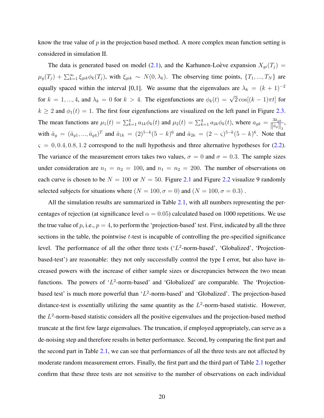know the true value of *p* in the projection based method. A more complex mean function setting is considered in simulation II.

The data is generated based on model [\(2.1\)](#page-24-2), and the Karhunen-Loève expansion  $X_{gi}(T_j)$  =  $\mu_g(T_j) + \sum_{k=1}^{\infty} \xi_{gik} \phi_k(T_j)$ , with  $\xi_{gik} \sim N(0, \lambda_k)$ . The observing time points,  $\{T_1, ..., T_N\}$  are equally spaced within the interval [0,1]. We assume that the eigenvalues are  $\lambda_k = (k+1)^{-2}$ for  $k = 1, ..., 4$ , and  $\lambda_k = 0$  for  $k > 4$ . The eigenfunctions are  $\phi_k(t) = \sqrt{2} \cos[(k-1)\pi t]$  for  $k \ge 2$  and  $\phi_1(t) = 1$ . The first four eigenfunctions are visualized on the left panel in Figure [2.3.](#page-38-0) The mean functions are  $\mu_1(t) = \sum_{k=1}^4 a_{1k} \phi_k(t)$  and  $\mu_2(t) = \sum_{k=1}^4 a_{2k} \phi_k(t)$ , where  $a_{gk} = \frac{3\bar{a}_{gk}}{||\bar{a}_s||}$  $\frac{3a_{g k}}{\left\| \bar{a}_{g} \right\|_2}$  $\bar{a}_g = (\bar{a}_{g1},...,\bar{a}_{g4})^T$  and  $\bar{a}_{1k} = (2)^{5-k}(5-k)^6$  and  $\bar{a}_{2k} = (2-\varsigma)^{5-k}(5-k)^6$ . Note that  $\varsigma = 0, 0.4, 0.8, 1.2$  correspond to the null hypothesis and three alternative hypotheses for  $(2.2)$ . The variance of the measurement errors takes two values,  $\sigma = 0$  and  $\sigma = 0.3$ . The sample sizes under consideration are  $n_1 = n_2 = 100$ , and  $n_1 = n_2 = 200$ . The number of observations on each curve is chosen to be  $N = 100$  or  $N = 50$ . Figure [2.1](#page-34-0) and Figure [2.2](#page-35-0) visualize 9 randomly selected subjects for situations where  $(N = 100, \sigma = 0)$  and  $(N = 100, \sigma = 0.3)$ .

All the simulation results are summarized in Table [2.1,](#page-36-0) with all numbers representing the percentages of rejection (at significance level  $\alpha = 0.05$ ) calculated based on 1000 repetitions. We use the true value of  $p$ , i.e.,  $p = 4$ , to perform the 'projection-based' test. First, indicated by all the three sections in the table, the pointwise *t*-test is incapable of controlling the pre-specified significance level. The performance of all the other three tests ('L<sup>2</sup>-norm-based', 'Globalized', 'Projectionbased-test') are reasonable: they not only successfully control the type I error, but also have increased powers with the increase of either sample sizes or discrepancies between the two mean functions. The powers of 'L<sup>2</sup>-norm-based' and 'Globalized' are comparable. The 'Projectionbased test' is much more powerful than '*L* 2 -norm-based' and 'Globalized'. The projection-based distance-test is essentially utilizing the same quantity as the  $L^2$ -norm-based statistic. However, the *L* 2 -norm-based statistic considers all the positive eigenvalues and the projection-based method truncate at the first few large eigenvalues. The truncation, if employed appropriately, can serve as a de-noising step and therefore results in better performance. Second, by comparing the first part and the second part in Table [2.1,](#page-36-0) we can see that performances of all the three tests are not affected by moderate random measurement errors. Finally, the first part and the third part of Table [2.1](#page-36-0) together confirm that these three tests are not sensitive to the number of observations on each individual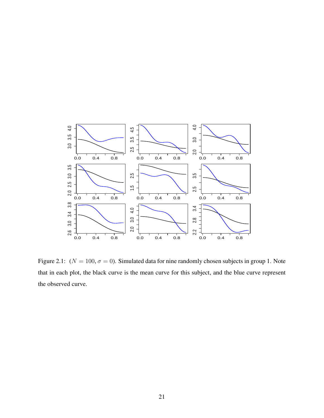

<span id="page-34-0"></span>Figure 2.1:  $(N = 100, \sigma = 0)$ . Simulated data for nine randomly chosen subjects in group 1. Note that in each plot, the black curve is the mean curve for this subject, and the blue curve represent the observed curve.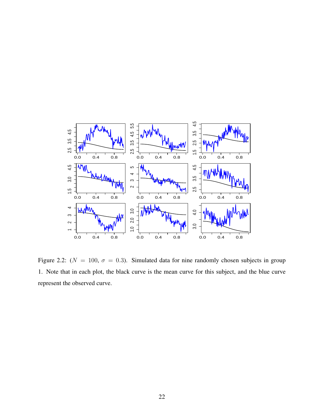

<span id="page-35-0"></span>Figure 2.2: ( $N = 100$ ,  $\sigma = 0.3$ ). Simulated data for nine randomly chosen subjects in group 1. Note that in each plot, the black curve is the mean curve for this subject, and the blue curve represent the observed curve.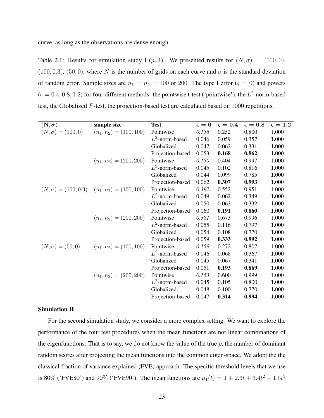curve, as long as the observations are dense enough.

Table 2.1: Results for simulation study I ( $p=4$ ). We presented results for  $(N, \sigma) = (100, 0)$ , (100, 0.3), (50, 0), where *N* is the number of grids on each curve and  $\sigma$  is the standard deviation of random error. Sample sizes are  $n_1 = n_2 = 100$  or 200. The type I error ( $\varsigma = 0$ ) and powers  $(\zeta = 0.4, 0.8, 1.2)$  for four different methods: the pointwise t-test ('pointwise'), the  $L^2$ -norm-based test, the Globalized *F*-test, the projection-based test are calculated based on 1000 repetitions.

| $(\mathbf{N},\boldsymbol{\sigma})$ | sample size                                          | <b>Test</b>       | $\varsigma=0$ | $\varsigma = 0.4$ | $\varsigma=0.8$ | $\varsigma = 1.2$ |
|------------------------------------|------------------------------------------------------|-------------------|---------------|-------------------|-----------------|-------------------|
| $(N, \sigma) = (100, 0)$           | $(n_1, n_2) = (100, 100)$                            | Pointwise         | 0.156         | 0.252             | 0.800           | 1.000             |
|                                    |                                                      | $L^2$ -norm-based | 0.046         | 0.059             | 0.357           | 1.000             |
|                                    |                                                      | Globalized        | 0.047         | 0.062             | 0.331           | 1.000             |
|                                    |                                                      | Projection-based  | 0.053         | 0.168             | 0.862           | 1.000             |
|                                    | $(n_1, n_2) = (200, 200)$                            | Pointwise         | 0.150         | 0.404             | 0.997           | 1.000             |
|                                    |                                                      | $L^2$ -norm-based | 0.045         | 0.102             | 0.816           | 1.000             |
|                                    |                                                      | Globalized        | 0.044         | 0.099             | 0.785           | 1.000             |
|                                    |                                                      | Projection-based  | 0.062         | 0.307             | 0.993           | 1.000             |
|                                    | $(N, \sigma) = (100, 0.3)$ $(n_1, n_2) = (100, 100)$ | Pointwise         | 0.392         | 0.552             | 0.951           | 1.000             |
|                                    |                                                      | $L^2$ -norm-based | 0.049         | 0.062             | 0.349           | 1.000             |
|                                    |                                                      | Globalized        | 0.050         | 0.063             | 0.332           | 1.000             |
|                                    |                                                      | Projection-based  | 0.060         | 0.191             | 0.860           | 1.000             |
|                                    | $(n_1, n_2) = (200, 200)$                            | Pointwise         | 0.381         | 0.673             | 0.996           | 1.000             |
|                                    |                                                      | $L^2$ -norm-based | 0.055         | 0.116             | 0.797           | 1.000             |
|                                    |                                                      | Globalized        | 0.054         | 0.108             | 0.770           | 1.000             |
|                                    |                                                      | Projection-based  | 0.059         | 0.333             | 0.992           | 1.000             |
| $(N, \sigma) = (50, 0)$            | $(n_1, n_2) = (100, 100)$                            | Pointwise         | 0.159         | 0.272             | 0.807           | 1.000             |
|                                    |                                                      | $L^2$ -norm-based | 0.046         | 0.068             | 0.367           | 1.000             |
|                                    |                                                      | Globalized        | 0.045         | 0.067             | 0.341           | 1.000             |
|                                    |                                                      | Projection-based  | 0.051         | 0.193             | 0.869           | 1.000             |
|                                    | $(n_1, n_2) = (200, 200)$                            | Pointwise         | 0.153         | 0.600             | 0.999           | 1.000             |
|                                    |                                                      | $L^2$ -norm-based | 0.045         | 0.105             | 0.800           | 1.000             |
|                                    |                                                      | Globalized        | 0.048         | 0.100             | 0.770           | 1.000             |
|                                    |                                                      | Projection-based  | 0.047         | 0.314             | 0.994           | 1.000             |

### Simulation II

For the second simulation study, we consider a more complex setting. We want to explore the performance of the four test procedures when the mean functions are not linear combinations of the eigenfunctions. That is to say, we do not know the value of the true  $p$ , the number of dominant random scores after projecting the mean functions into the common eigen-space. We adopt the the classical fraction of variance explained (FVE) approach. The specific threshold levels that we use is 80% ('FVE80') and 90% ('FVE90'). The mean functions are  $\mu_1(t) = 1 + 2.3t + 3.4t^2 + 1.5t^3$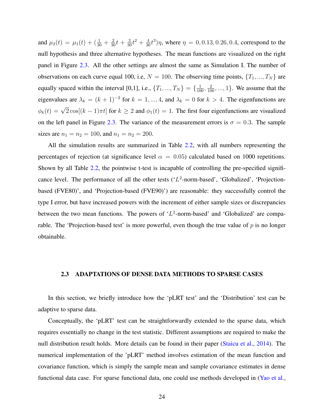and  $\mu_2(t) = \mu_1(t) + \left(\frac{1}{30} + \frac{2}{30}t + \frac{3}{30}t^2 + \frac{4}{30}t^3\right)\eta$ , where  $\eta = 0, 0.13, 0.26, 0.4$ , correspond to the null hypothesis and three alternative hypotheses. The mean functions are visualized on the right panel in Figure [2.3.](#page-38-0) All the other settings are almost the same as Simulation I. The number of observations on each curve equal 100, i.e,  $N = 100$ . The observing time points,  $\{T_1, ..., T_N\}$  are equally spaced within the interval [0,1], i.e.,  $\{T_1, ..., T_N\} = \{\frac{1}{100}, \frac{2}{100}, ..., 1\}$ . We assume that the eigenvalues are  $\lambda_k = (k+1)^{-2}$  for  $k = 1, ..., 4$ , and  $\lambda_k = 0$  for  $k > 4$ . The eigenfunctions are  $\phi_k(t) = \sqrt{2} \cos[(k-1)\pi t]$  for  $k \ge 2$  and  $\phi_1(t) = 1$ . The first four eigenfunctions are visualized on the left panel in Figure [2.3.](#page-38-0) The variance of the measurement errors is  $\sigma = 0.3$ . The sample sizes are  $n_1 = n_2 = 100$ , and  $n_1 = n_2 = 200$ .

All the simulation results are summarized in Table [2.2,](#page-39-0) with all numbers representing the percentages of rejection (at significance level  $\alpha = 0.05$ ) calculated based on 1000 repetitions. Shown by all Table [2.2,](#page-39-0) the pointwise t-test is incapable of controlling the pre-specified significance level. The performance of all the other tests ('L<sup>2</sup>-norm-based', 'Globalized', 'Projectionbased (FVE80)', and 'Projection-based (FVE90)') are reasonable: they successfully control the type I error, but have increased powers with the increment of either sample sizes or discrepancies between the two mean functions. The powers of  $L^2$ -norm-based' and 'Globalized' are comparable. The 'Projection-based test' is more powerful, even though the true value of *p* is no longer obtainable.

### 2.3 ADAPTATIONS OF DENSE DATA METHODS TO SPARSE CASES

In this section, we briefly introduce how the 'pLRT test' and the 'Distribution' test can be adaptive to sparse data.

Conceptually, the 'pLRT' test can be straightforwardly extended to the sparse data, which requires essentially no change in the test statistic. Different assumptions are required to make the null distribution result holds. More details can be found in their paper [\(Staicu et al.,](#page-115-0) [2014\)](#page-115-0). The numerical implementation of the 'pLRT' method involves estimation of the mean function and covariance function, which is simply the sample mean and sample covariance estimates in dense functional data case. For sparse functional data, one could use methods developed in [\(Yao et al.,](#page-115-1)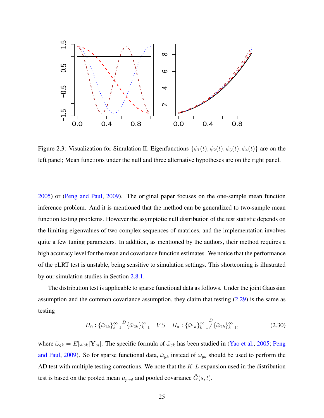

<span id="page-38-0"></span>Figure 2.3: Visualization for Simulation II. Eigenfunctions  $\{\phi_1(t), \phi_2(t), \phi_3(t), \phi_4(t)\}\$ are on the left panel; Mean functions under the null and three alternative hypotheses are on the right panel.

[2005\)](#page-115-1) or [\(Peng and Paul,](#page-114-0) [2009\)](#page-114-0). The original paper focuses on the one-sample mean function inference problem. And it is mentioned that the method can be generalized to two-sample mean function testing problems. However the asymptotic null distribution of the test statistic depends on the limiting eigenvalues of two complex sequences of matrices, and the implementation involves quite a few tuning parameters. In addition, as mentioned by the authors, their method requires a high accuracy level for the mean and covariance function estimates. We notice that the performance of the pLRT test is unstable, being sensitive to simulation settings. This shortcoming is illustrated by our simulation studies in Section [2.8.1.](#page-47-0)

The distribution test is applicable to sparse functional data as follows. Under the joint Gaussian assumption and the common covariance assumption, they claim that testing  $(2.29)$  is the same as testing

$$
H_0: \{\tilde{\omega}_{1k}\}_{k=1}^{\infty} = \{\tilde{\omega}_{2k}\}_{k=1}^{\infty} \quad VS \quad H_a: \{\tilde{\omega}_{1k}\}_{k=1}^{\infty} \neq \{\tilde{\omega}_{2k}\}_{k=1}^{\infty}, \tag{2.30}
$$

where  $\tilde{\omega}_{gk} = E[\omega_{gk}|\mathbf{Y}_{gi}]$ . The specific formula of  $\tilde{\omega}_{gk}$  has been studied in [\(Yao et al.,](#page-115-1) [2005;](#page-115-1) [Peng](#page-114-0) [and Paul,](#page-114-0) [2009\)](#page-114-0). So for sparse functional data,  $\tilde{\omega}_{gk}$  instead of  $\omega_{gk}$  should be used to perform the AD test with multiple testing corrections. We note that the *K*-*L* expansion used in the distribution test is based on the pooled mean  $\mu_{pool}$  and pooled covariance  $\tilde{G}(s,t)$ .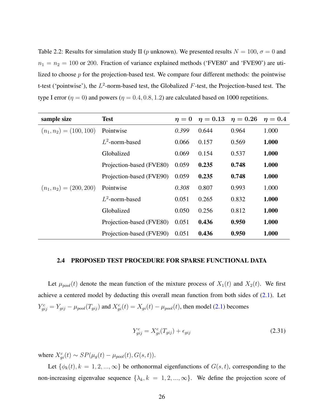<span id="page-39-0"></span>Table 2.2: Results for simulation study II (*p* unknown). We presented results  $N = 100$ ,  $\sigma = 0$  and  $n_1 = n_2 = 100$  or 200. Fraction of variance explained methods ('FVE80' and 'FVE90') are utilized to choose *p* for the projection-based test. We compare four different methods: the pointwise t-test ('pointwise'), the  $L^2$ -norm-based test, the Globalized  $F$ -test, the Projection-based test. The type I error ( $\eta = 0$ ) and powers ( $\eta = 0.4, 0.8, 1.2$ ) are calculated based on 1000 repetitions.

| sample size               | <b>Test</b>              | $\eta=0$ | $\eta=0.13$ | $\eta=0.26$ | $\eta=0.4$ |
|---------------------------|--------------------------|----------|-------------|-------------|------------|
| $(n_1, n_2) = (100, 100)$ | Pointwise                | 0.399    | 0.644       | 0.964       | 1.000      |
|                           | $L^2$ -norm-based        | 0.066    | 0.157       | 0.569       | 1.000      |
|                           | Globalized               | 0.069    | 0.154       | 0.537       | 1.000      |
|                           | Projection-based (FVE80) | 0.059    | 0.235       | 0.748       | 1.000      |
|                           | Projection-based (FVE90) | 0.059    | 0.235       | 0.748       | 1.000      |
| $(n_1, n_2) = (200, 200)$ | Pointwise                | 0.308    | 0.807       | 0.993       | 1.000      |
|                           | $L^2$ -norm-based        | 0.051    | 0.265       | 0.832       | 1.000      |
|                           | Globalized               | 0.050    | 0.256       | 0.812       | 1.000      |
|                           | Projection-based (FVE80) | 0.051    | 0.436       | 0.950       | 1.000      |
|                           | Projection-based (FVE90) | 0.051    | 0.436       | 0.950       | 1.000      |

## <span id="page-39-1"></span>2.4 PROPOSED TEST PROCEDURE FOR SPARSE FUNCTIONAL DATA

Let  $\mu_{pool}(t)$  denote the mean function of the mixture process of  $X_1(t)$  and  $X_2(t)$ . We first achieve a centered model by deducting this overall mean function from both sides of  $(2.1)$ . Let  $Y_{gij}^c = Y_{gij} - \mu_{pool}(T_{gij})$  and  $X_{gi}^c(t) = X_{gi}(t) - \mu_{pool}(t)$ , then model [\(2.1\)](#page-24-0) becomes

$$
Y_{gij}^c = X_{gi}^c(T_{gij}) + \epsilon_{gij}
$$
\n(2.31)

where  $X_{gi}^c(t) \sim SP(\mu_g(t) - \mu_{pool}(t), G(s, t)).$ 

Let  $\{\phi_k(t), k = 1, 2, ..., \infty\}$  be orthonormal eigenfunctions of  $G(s, t)$ , corresponding to the non-increasing eigenvalue sequence  $\{\lambda_k, k = 1, 2, ..., \infty\}$ . We define the projection score of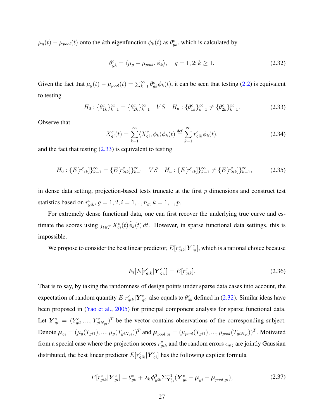$\mu_g(t) - \mu_{pool}(t)$  onto the *k*th eigenfunction  $\phi_k(t)$  as  $\theta_{gk}^c$ , which is calculated by

<span id="page-40-1"></span>
$$
\theta_{gk}^c = \langle \mu_g - \mu_{pool}, \phi_k \rangle, \quad g = 1, 2; k \ge 1. \tag{2.32}
$$

<span id="page-40-0"></span>Given the fact that  $\mu_g(t) - \mu_{pool}(t) = \sum_{k=1}^{\infty} \theta_{gk}^c \phi_k(t)$ , it can be seen that testing [\(2.2\)](#page-24-1) is equivalent to testing

<span id="page-40-2"></span>
$$
H_0: \{\theta_{1k}^c\}_{k=1}^\infty = \{\theta_{2k}^c\}_{k=1}^\infty \quad VS \quad H_a: \{\theta_{1k}^c\}_{k=1}^\infty \neq \{\theta_{2k}^c\}_{k=1}^\infty. \tag{2.33}
$$

Observe that

$$
X_{gi}^c(t) = \sum_{k=1}^{\infty} \langle X_{gi}^c, \phi_k \rangle \phi_k(t) \stackrel{\text{def}}{=} \sum_{k=1}^{\infty} r_{gik}^c \phi_k(t), \tag{2.34}
$$

and the fact that testing  $(2.33)$  is equivalent to testing

$$
H_0: \{E[r_{1ik}^c]\}_{k=1}^{\infty} = \{E[r_{2ik}^c]\}_{k=1}^{\infty} \quad VS \quad H_a: \{E[r_{1ik}^c]\}_{k=1}^{\infty} \neq \{E[r_{2ik}^c]\}_{k=1}^{\infty},\tag{2.35}
$$

in dense data setting, projection-based tests truncate at the first *p* dimensions and construct test statistics based on  $r_{gik}^c$ ,  $g = 1, 2, i = 1, ..., n_g, k = 1, ..., p$ .

For extremely dense functional data, one can first recover the underlying true curve and estimate the scores using  $\int_{t \in \mathcal{T}} X_{gi}^c(t) \hat{\phi}_k(t) dt$ . However, in sparse functional data settings, this is impossible.

We propose to consider the best linear predictor,  $E[r_{gik}^c|\bm{Y}_{gi}^c]$ , which is a rational choice because

$$
E_t[E[r_{gik}^c|\boldsymbol{Y}_{gi}^c]] = E[r_{gik}^c].
$$
\n(2.36)

That is to say, by taking the randomness of design points under sparse data cases into account, the expectation of random quantity  $E[r_{gik}^c|\bm{Y}_{gi}^c]$  also equals to  $\theta_{gk}^c$  defined in [\(2.32\)](#page-40-1). Similar ideas have been proposed in [\(Yao et al.,](#page-115-1) [2005\)](#page-115-1) for principal component analysis for sparse functional data. Let  $Y_{gi}^c = (Y_{gi1}^c, ..., Y_{giNgi}^c)^T$  be the vector contains observations of the corresponding subject. Denote  $\boldsymbol{\mu}_{gi} = (\mu_g(T_{gi1}), ..., \mu_g(T_{giN_{gi}}))^T$  and  $\boldsymbol{\mu}_{pool,gi} = (\mu_{pool}(T_{gi1}), ..., \mu_{pool}(T_{giN_{gi}}))^T$ . Motivated from a special case where the projection scores  $r_{gik}^c$  and the random errors  $\epsilon_{gij}$  are jointly Gaussian distributed, the best linear predictor  $E[r_{gik}^c|\boldsymbol{Y}_{gi}^c]$  has the following explicit formula

$$
E[r_{gik}^c|\boldsymbol{Y}_{gi}^c] = \theta_{gk}^c + \lambda_k \boldsymbol{\phi}_{gik}^T \boldsymbol{\Sigma}_{\boldsymbol{Y}_{gi}^c}^{-1} (\boldsymbol{Y}_{gi}^c - \boldsymbol{\mu}_{gi} + \boldsymbol{\mu}_{pool,gi}),
$$
(2.37)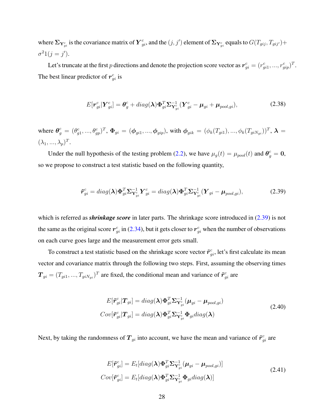where  $\sum_{Y_{gi}^c}$  is the covariance matrix of  $Y_{gi}^c$ , and the  $(j, j')$  element of  $\sum_{Y_{gi}^c}$  equals to  $G(T_{gij}, T_{gij'})$  +  $\sigma^2 1(j = j').$ 

Let's truncate at the first *p* directions and denote the projection score vector as  $r_{gi}^c = (r_{gi1}^c, ..., r_{gip}^c)^T$ . The best linear predictor of  $r_{gi}^c$  is

$$
E[\boldsymbol{r}_{gi}^c|\boldsymbol{Y}_{gi}^c] = \boldsymbol{\theta}_g^c + diag(\boldsymbol{\lambda})\boldsymbol{\Phi}_{gi}^T \boldsymbol{\Sigma}_{\boldsymbol{Y}_{gi}^c}^{-1} (\boldsymbol{Y}_{gi}^c - \boldsymbol{\mu}_{gi} + \boldsymbol{\mu}_{pool,gi}),
$$
(2.38)

where  $\theta_g^c = (\theta_{g1}^c, ..., \theta_{gp}^c)^T$ ,  $\Phi_{gi} = (\phi_{gi1}, ..., \phi_{gip})$ , with  $\phi_{gik} = (\phi_k(T_{gi1}), ..., \phi_k(T_{giN_{gi}}))^T$ ,  $\lambda =$  $(\lambda_1, ..., \lambda_p)^T$ .

Under the null hypothesis of the testing problem [\(2.2\)](#page-24-1), we have  $\mu_g(t) = \mu_{pool}(t)$  and  $\theta_g^c = 0$ , so we propose to construct a test statistic based on the following quantity,

<span id="page-41-0"></span>
$$
\tilde{\boldsymbol{r}}_{gi}^c = diag(\boldsymbol{\lambda}) \boldsymbol{\Phi}_{gi}^T \boldsymbol{\Sigma}_{\mathbf{Y}_{gi}^c}^{-1} \boldsymbol{Y}_{gi}^c = diag(\boldsymbol{\lambda}) \boldsymbol{\Phi}_{gi}^T \boldsymbol{\Sigma}_{\mathbf{Y}_{gi}^c}^{-1} (\boldsymbol{Y}_{gi} - \boldsymbol{\mu}_{pool, gi}),
$$
(2.39)

which is referred as *shrinkage score* in later parts. The shrinkage score introduced in [\(2.39\)](#page-41-0) is not the same as the original score  $r_{gi}^c$  in [\(2.34\)](#page-40-2), but it gets closer to  $r_{gi}^c$  when the number of observations on each curve goes large and the measurement error gets small.

To construct a test statistic based on the shrinkage score vector  $\tilde{\bm{r}}^c_{gi}$ , let's first calculate its mean vector and covariance matrix through the following two steps. First, assuming the observing times  $T_{gi} = (T_{gi1}, ..., T_{giNgi})^T$  are fixed, the conditional mean and variance of  $\tilde{r}_{gi}^c$  are

$$
E[\tilde{\boldsymbol{r}}_{gi}^{c}|\boldsymbol{T}_{gi}] = diag(\boldsymbol{\lambda})\boldsymbol{\Phi}_{gi}^{T}\boldsymbol{\Sigma}_{\boldsymbol{Y}_{gi}^{c}}^{-1}(\boldsymbol{\mu}_{gi} - \boldsymbol{\mu}_{pool,gi})
$$
  
\n
$$
Cov[\tilde{\boldsymbol{r}}_{gi}^{c}|\boldsymbol{T}_{gi}] = diag(\boldsymbol{\lambda})\boldsymbol{\Phi}_{gi}^{T}\boldsymbol{\Sigma}_{\boldsymbol{Y}_{gi}^{c}}^{-1}\boldsymbol{\Phi}_{gi}diag(\boldsymbol{\lambda})
$$
\n(2.40)

Next, by taking the randomness of  $T_{gi}$  into account, we have the mean and variance of  $\tilde{r}_{gi}^c$  are

$$
E[\tilde{\boldsymbol{r}}_{gi}^c] = E_t[diag(\boldsymbol{\lambda})\boldsymbol{\Phi}_{gi}^T \boldsymbol{\Sigma}_{\mathbf{Y}_{gi}^c}^{-1} (\boldsymbol{\mu}_{gi} - \boldsymbol{\mu}_{pool,gi})]
$$
  
\n
$$
Cov[\tilde{\boldsymbol{r}}_{gi}^c] = E_t[diag(\boldsymbol{\lambda})\boldsymbol{\Phi}_{gi}^T \boldsymbol{\Sigma}_{\mathbf{Y}_{gi}^c}^{-1} \boldsymbol{\Phi}_{gi} diag(\boldsymbol{\lambda})]
$$
\n(2.41)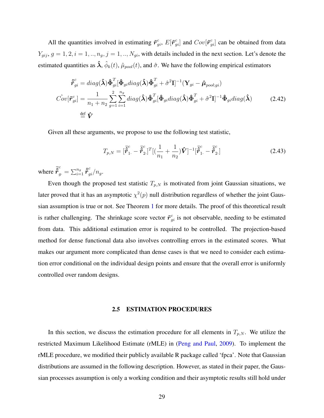All the quantities involved in estimating  $\tilde{r}_{gi}^c$ ,  $E[\tilde{r}_{gi}^c]$  and  $Cov[\tilde{r}_{gi}^c]$  can be obtained from data  $Y_{gij}$ ,  $g = 1, 2, i = 1, ..., n_g$ ,  $j = 1, ..., N_{gi}$ , with details included in the next section. Let's denote the estimated quantities as  $\hat{\bm{\lambda}}, \hat{\phi}_k(t)$ ,  $\hat{\mu}_{pool}(t)$ , and  $\hat{\sigma}$ . We have the following empirical estimators

$$
\hat{\vec{r}}_{gi}^c = diag(\hat{\lambda}) \hat{\Phi}_{gi}^T [\hat{\Phi}_{gi} diag(\hat{\lambda}) \hat{\Phi}_{gi}^T + \hat{\sigma}^2 \mathbf{I}]^{-1} (\mathbf{Y}_{gi} - \hat{\boldsymbol{\mu}}_{pool;gi})
$$

$$
\hat{Cov}[\tilde{\boldsymbol{r}}_{gi}^c] = \frac{1}{n_1 + n_2} \sum_{g=1}^2 \sum_{i=1}^{n_g} diag(\hat{\lambda}) \hat{\Phi}_{gi}^T [\hat{\Phi}_{gi} diag(\hat{\lambda}) \hat{\Phi}_{gi}^T + \hat{\sigma}^2 \mathbf{I}]^{-1} \hat{\Phi}_{gi} diag(\hat{\lambda})
$$
(2.42)
$$
\stackrel{\text{def}}{=} \hat{\mathbf{V}}
$$

Given all these arguments, we propose to use the following test statistic,

$$
T_{p,N} = [\vec{\tilde{r}}_{1.}^{c} - \vec{\tilde{r}}_{2.}^{c}]^{T} [(\frac{1}{n_{1}} + \frac{1}{n_{2}}) \hat{V}]^{-1} [\vec{\tilde{r}}_{1.}^{c} - \vec{\tilde{r}}_{2.}^{c}]
$$
\n(2.43)

where  $\tilde{\hat{\mathbf{r}}}_g^c = \sum_{i=1}^{n_g} \hat{\tilde{\mathbf{r}}}_{gi}^c/n_g.$ 

Even though the proposed test statistic  $T_{p,N}$  is motivated from joint Gaussian situations, we later proved that it has an asymptotic  $\chi^2(p)$  null distribution regardless of whether the joint Gaussian assumption is true or not. See Theorem [1](#page-46-0) for more details. The proof of this theoretical result is rather challenging. The shrinkage score vector  $\tilde{r}^c_{gi}$  is not observable, needing to be estimated from data. This additional estimation error is required to be controlled. The projection-based method for dense functional data also involves controlling errors in the estimated scores. What makes our argument more complicated than dense cases is that we need to consider each estimation error conditional on the individual design points and ensure that the overall error is uniformly controlled over random designs.

#### 2.5 ESTIMATION PROCEDURES

<span id="page-42-0"></span>In this section, we discuss the estimation procedure for all elements in  $T_{p,N}$ . We utilize the restricted Maximum Likelihood Estimate (rMLE) in [\(Peng and Paul,](#page-114-0) [2009\)](#page-114-0). To implement the rMLE procedure, we modified their publicly available R package called 'fpca'. Note that Gaussian distributions are assumed in the following description. However, as stated in their paper, the Gaussian processes assumption is only a working condition and their asymptotic results still hold under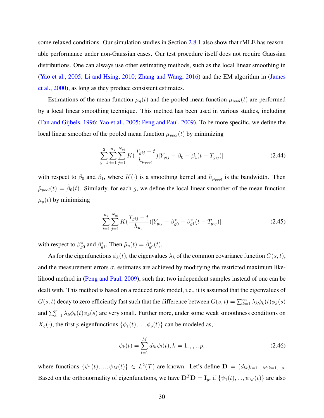some relaxed conditions. Our simulation studies in Section [2.8.1](#page-47-0) also show that rMLE has reasonable performance under non-Gaussian cases. Our test procedure itself does not require Gaussian distributions. One can always use other estimating methods, such as the local linear smoothing in [\(Yao et al.,](#page-115-1) [2005;](#page-115-1) [Li and Hsing,](#page-113-0) [2010;](#page-113-0) [Zhang and Wang,](#page-115-2) [2016\)](#page-115-2) and the EM algorithm in [\(James](#page-113-1) [et al.,](#page-113-1) [2000\)](#page-113-1), as long as they produce consistent estimates.

Estimations of the mean function  $\mu_g(t)$  and the pooled mean function  $\mu_{pool}(t)$  are performed by a local linear smoothing technique. This method has been used in various studies, including [\(Fan and Gijbels,](#page-112-0) [1996;](#page-112-0) [Yao et al.,](#page-115-1) [2005;](#page-115-1) [Peng and Paul,](#page-114-0) [2009\)](#page-114-0). To be more specific, we define the local linear smoother of the pooled mean function  $\mu_{pool}(t)$  by minimizing

$$
\sum_{g=1}^{2} \sum_{i=1}^{n_g} \sum_{j=1}^{N_{gi}} K\left(\frac{T_{gij} - t}{h_{\mu_{pool}}}\right) [Y_{gij} - \beta_0 - \beta_1(t - T_{gij})] \tag{2.44}
$$

with respect to  $\beta_0$  and  $\beta_1$ , where  $K(\cdot)$  is a smoothing kernel and  $h_{\mu_{pool}}$  is the bandwidth. Then  $\hat{\mu}_{pool}(t) = \hat{\beta}_0(t)$ . Similarly, for each *g*, we define the local linear smoother of the mean function  $\mu_g(t)$  by minimizing

<span id="page-43-0"></span>
$$
\sum_{i=1}^{n_g} \sum_{j=1}^{N_{gi}} K\left(\frac{T_{gij} - t}{h_{\mu_g}}\right) \left[Y_{gij} - \beta_{g0}^* - \beta_{g1}^*(t - T_{gij})\right]
$$
\n(2.45)

with respect to  $\beta_{g0}^*$  and  $\beta_{g1}^*$ . Then  $\hat{\mu}_g(t) = \hat{\beta}_{g0}^*(t)$ .

As for the eigenfunctions  $\phi_k(t)$ , the eigenvalues  $\lambda_k$  of the common covariance function  $G(s, t)$ , and the measurement errors  $\sigma$ , estimates are achieved by modifying the restricted maximum likelihood method in [\(Peng and Paul,](#page-114-0) [2009\)](#page-114-0), such that two independent samples instead of one can be dealt with. This method is based on a reduced rank model, i.e., it is assumed that the eigenvalues of  $G(s,t)$  decay to zero efficiently fast such that the difference between  $G(s,t) = \sum_{k=1}^{\infty} \lambda_k \phi_k(t) \phi_k(s)$ and  $\sum_{k=1}^{p} \lambda_k \phi_k(t) \phi_k(s)$  are very small. Further more, under some weak smoothness conditions on *X<sub>g</sub>*( $\cdot$ ), the first *p* eigenfunctions { $\phi_1(t), \ldots, \phi_p(t)$ } can be modeled as,

$$
\phi_k(t) = \sum_{l=1}^M d_{lk} \psi_l(t), k = 1, \dots, p,
$$
\n(2.46)

where functions  $\{\psi_1(t), ..., \psi_M(t)\}\in L^2(\mathcal{T})$  are known. Let's define  $\mathbf{D} = (d_{lk})_{l=1, ..., M; k=1, ..., p}$ . Based on the orthonormality of eigenfunctions, we have  $\mathbf{D}^T \mathbf{D} = \mathbf{I}_p$ , if  $\{\psi_1(t), ..., \psi_M(t)\}$  are also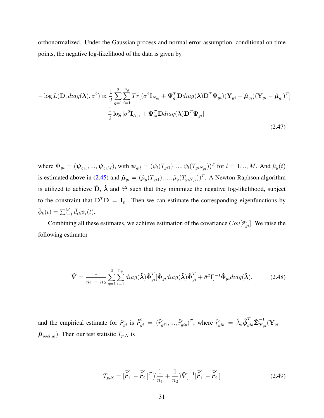orthonormalized. Under the Gaussian process and normal error assumption, conditional on time points, the negative log-likelihood of the data is given by

$$
-\log L(\mathbf{D}, diag(\boldsymbol{\lambda}), \sigma^2) \propto \frac{1}{2} \sum_{g=1}^{2} \sum_{i=1}^{n_g} Tr[(\sigma^2 \mathbf{I}_{N_{gi}} + \boldsymbol{\Psi}_{gi}^T \mathbf{D} diag(\boldsymbol{\lambda}) \mathbf{D}^T \boldsymbol{\Psi}_{gi}) (\mathbf{Y}_{gi} - \hat{\boldsymbol{\mu}}_{gi}) (\mathbf{Y}_{gi} - \hat{\boldsymbol{\mu}}_{gi})^T ]
$$

$$
+ \frac{1}{2} \log |\sigma^2 \mathbf{I}_{N_{gi}} + \boldsymbol{\Psi}_{gi}^T \mathbf{D} diag(\boldsymbol{\lambda}) \mathbf{D}^T \boldsymbol{\Psi}_{gi}|
$$
(2.47)

where  $\Psi_{gi} = (\psi_{gi1}, ..., \psi_{giM})$ , with  $\psi_{gil} = (\psi_l(T_{gi1}), ..., \psi_l(T_{giN_{gi}}))^T$  for  $l = 1, ..., M$ . And  $\hat{\mu}_g(t)$ is estimated above in [\(2.45\)](#page-43-0) and  $\hat{\mu}_{gi} = (\hat{\mu}_g(T_{gi1}), ..., \hat{\mu}_g(T_{giN_{gi}}))^T$ . A Newton-Raphson algorithm is utilized to achieve  $\hat{D}$ ,  $\hat{\lambda}$  and  $\hat{\sigma}^2$  such that they minimize the negative log-likelihood, subject to the constraint that  $D^T D = I_p$ . Then we can estimate the corresponding eigenfunctions by  $\hat{\phi}_k(t) = \sum_{l=1}^M \hat{d}_{lk} \psi_l(t).$ 

Combining all these estimates, we achieve estimation of the covariance  $Cov[\tilde{\mathbf{r}}_{gi}^c]$ . We raise the following estimator

$$
\hat{\mathbf{V}} = \frac{1}{n_1 + n_2} \sum_{g=1}^{2} \sum_{i=1}^{n_g} diag(\hat{\boldsymbol{\lambda}}) \hat{\boldsymbol{\Phi}}_{gi}^T [\hat{\boldsymbol{\Phi}}_{gi} diag(\hat{\boldsymbol{\lambda}}) \hat{\boldsymbol{\Phi}}_{gi}^T + \hat{\sigma}^2 \mathbf{I}]^{-1} \hat{\boldsymbol{\Phi}}_{gi} diag(\hat{\boldsymbol{\lambda}}),
$$
(2.48)

and the empirical estimate for  $\tilde{r}_{gi}^c$  is  $\hat{\tilde{r}}_{gi}^c = (\hat{r}_{gi1}^c, ..., \hat{r}_{gip}^c)^T$ , where  $\hat{r}_{gik}^c = \hat{\lambda}_k \hat{\phi}_{gik}^T \hat{\Sigma}_{Y_q}^{-1}$  $\mathbf{Y}_{gi}^{\text{-}}(\mathbf{Y}_{gi} \hat{\mu}_{pool;gi}$ ). Then our test statistic  $T_{p,N}$  is

$$
T_{p,N} = [\vec{\hat{r}}_{1.}^{c} - \vec{\hat{r}}_{2.}^{c}]^{T} [(\frac{1}{n_{1}} + \frac{1}{n_{2}}) \hat{V}]^{-1} [\vec{\hat{r}}_{1.}^{c} - \vec{\hat{r}}_{2.}^{c}]
$$
\n(2.49)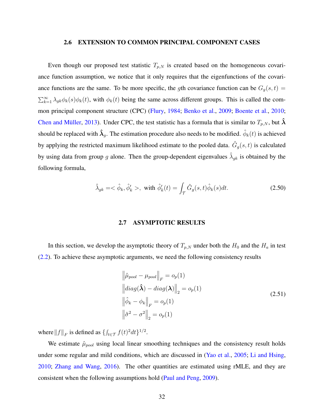### 2.6 EXTENSION TO COMMON PRINCIPAL COMPONENT CASES

<span id="page-45-1"></span>Even though our proposed test statistic  $T_{p,N}$  is created based on the homogeneous covariance function assumption, we notice that it only requires that the eigenfunctions of the covariance functions are the same. To be more specific, the *g*th covariance function can be  $G_g(s,t)$  =  $\sum_{k=1}^{\infty} \lambda_{gk} \phi_k(s) \phi_k(t)$ , with  $\phi_k(t)$  being the same across different groups. This is called the common principal component structure (CPC) [\(Flury,](#page-112-1) [1984;](#page-112-1) [Benko et al.,](#page-111-0) [2009;](#page-111-0) [Boente et al.,](#page-111-1) [2010;](#page-111-1) Chen and Müller, [2013\)](#page-112-2). Under CPC, the test statistic has a formula that is similar to  $T_{p,N}$ , but  $\hat{\boldsymbol{\lambda}}$ should be replaced with  $\hat{\bm{\lambda}}_g$ . The estimation procedure also needs to be modified.  $\hat{\phi}_k(t)$  is achieved by applying the restricted maximum likelihood estimate to the pooled data.  $\hat{G}_g(s,t)$  is calculated by using data from group *g* alone. Then the group-dependent eigenvalues  $\hat{\lambda}_{gk}$  is obtained by the following formula,

$$
\hat{\lambda}_{gk} = \langle \hat{\phi}_k, \hat{\phi}'_k \rangle, \text{ with } \hat{\phi}'_k(t) = \int_{\mathcal{T}} \hat{G}_g(s, t) \hat{\phi}_k(s) dt. \tag{2.50}
$$

### 2.7 ASYMPTOTIC RESULTS

<span id="page-45-2"></span>In this section, we develop the asymptotic theory of  $T_{p,N}$  under both the  $H_0$  and the  $H_a$  in test [\(2.2\)](#page-24-1). To achieve these asymptotic arguments, we need the following consistency results

<span id="page-45-0"></span>
$$
\left\|\hat{\mu}_{pool} - \mu_{pool}\right\|_{F} = o_p(1)
$$
  
\n
$$
\left\|diag(\hat{\lambda}) - diag(\lambda)\right\|_{2} = o_p(1)
$$
  
\n
$$
\left\|\hat{\phi}_k - \phi_k\right\|_{F} = o_p(1)
$$
  
\n
$$
\left\|\hat{\sigma}^2 - \sigma^2\right\|_{2} = o_p(1)
$$
\n(2.51)

where  $||f||_F$  is defined as  $\{\int_{t \in \mathcal{T}} f(t)^2 dt\}^{1/2}$ .

We estimate  $\hat{\mu}_{pool}$  using local linear smoothing techniques and the consistency result holds under some regular and mild conditions, which are discussed in [\(Yao et al.,](#page-115-1) [2005;](#page-115-1) [Li and Hsing,](#page-113-0) [2010;](#page-113-0) [Zhang and Wang,](#page-115-2) [2016\)](#page-115-2). The other quantities are estimated using rMLE, and they are consistent when the following assumptions hold [\(Paul and Peng,](#page-114-1) [2009\)](#page-114-1).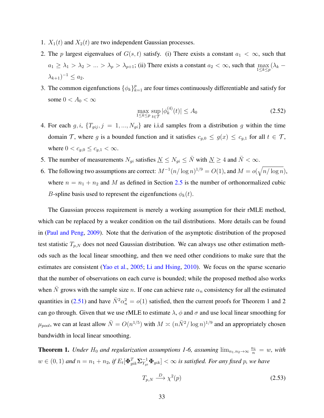- 1.  $X_1(t)$  and  $X_2(t)$  are two independent Gaussian processes.
- 2. The *p* largest eigenvalues of  $G(s, t)$  satisfy. (i) There exists a constant  $a_1 < \infty$ , such that  $a_1 \geq \lambda_1 > \lambda_2 > ... > \lambda_p > \lambda_{p+1}$ ; (ii) There exists a constant  $a_2 < \infty$ , such that  $\max_{1 \leq k \leq p} (\lambda_k \lambda_{k+1}$ )<sup>-1</sup> ≤ *a*<sub>2</sub>.
- 3. The common eigenfunctions  $\{\phi_k\}_{k=1}^p$  are four times continuously differentiable and satisfy for some  $0 < A_0 < \infty$

$$
\max_{1 \le k \le p} \sup_{t \in \mathcal{T}} |\phi_k^{(4)}(t)| \le A_0 \tag{2.52}
$$

- 4. For each  $g, i$ ,  $\{T_{gij}, j = 1, ..., N_{gi}\}\$  are i.i.d samples from a distribution  $g$  within the time domain T, where *g* is a bounded function and it satisfies  $c_{g,0} \le g(x) \le c_{g,1}$  for all  $t \in \mathcal{T}$ , where  $0 < c_{g,0} \le c_{g,1} < \infty$ .
- 5. The number of measurements  $N_{qi}$  satisfies  $N \le N_{qi} \le \bar{N}$  with  $N \ge 4$  and  $\bar{N} < \infty$ .
- 6. The following two assumptions are correct:  $M^{-1}(n/\log n)^{1/9} = O(1)$ , and  $M = o(\sqrt{n/\log n})$ , where  $n = n_1 + n_2$  and M as defined in Section [2.5](#page-42-0) is the number of orthonormalized cubic *B*-spline basis used to represent the eigenfunctions  $\phi_k(t)$ .

The Gaussian process requirement is merely a working assumption for their rMLE method, which can be replaced by a weaker condition on the tail distributions. More details can be found in [\(Paul and Peng,](#page-114-1) [2009\)](#page-114-1). Note that the derivation of the asymptotic distribution of the proposed test statistic  $T_{p,N}$  does not need Gaussian distribution. We can always use other estimation methods such as the local linear smoothing, and then we need other conditions to make sure that the estimates are consistent [\(Yao et al.,](#page-115-1) [2005;](#page-115-1) [Li and Hsing,](#page-113-0) [2010\)](#page-113-0). We focus on the sparse scenario that the number of observations on each curve is bounded; while the proposed method also works when  $\bar{N}$  grows with the sample size *n*. If one can achieve rate  $\alpha_n$  consistency for all the estimated quantities in [\(2.51\)](#page-45-0) and have  $\bar{N}^2 \alpha_n^2 = o(1)$  satisfied, then the current proofs for Theorem 1 and 2 can go through. Given that we use rMLE to estimate  $\lambda$ ,  $\phi$  and  $\sigma$  and use local linear smoothing for  $\mu_{pool}$ , we can at least allow  $\bar{N} = O(n^{1/5})$  with  $M \asymp (n\bar{N}^2/\log n)^{1/9}$  and an appropriately chosen bandwidth in local linear smoothing.

<span id="page-46-0"></span>**Theorem 1.** Under  $H_0$  and regularization assumptions 1-6, assuming  $\lim_{n_1,n_2\to\infty}\frac{n_1}{n} = w$ , with  $w\in(0,1)$  and  $n=n_1+n_2$ , if  $E_t[\mathbf{\Phi}_{gik}^T\mathbf{\Sigma}_{Y_{gi}}^{-1}\mathbf{\Phi}_{gik}]<\infty$  is satisfied. For any fixed p, we have

$$
T_{p,N} \xrightarrow{D} \chi^2(p) \tag{2.53}
$$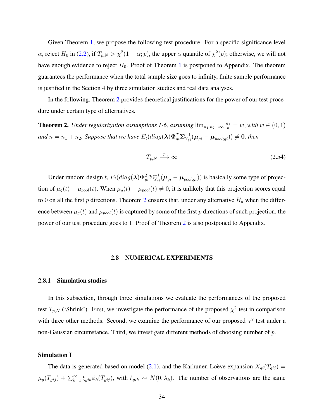Given Theorem [1,](#page-46-0) we propose the following test procedure. For a specific significance level *α*, reject *H*<sup>0</sup> in [\(2.2\)](#page-24-1), if  $T_{p,N} > \chi^2(1-\alpha;p)$ , the upper *α* quantile of  $\chi^2(p)$ ; otherwise, we will not have enough evidence to reject  $H_0$ . Proof of Theorem [1](#page-46-0) is postponed to Appendix. The theorem guarantees the performance when the total sample size goes to infinity, finite sample performance is justified in the Section 4 by three simulation studies and real data analyses.

In the following, Theorem [2](#page-47-1) provides theoretical justifications for the power of our test procedure under certain type of alternatives.

<span id="page-47-1"></span>**Theorem 2.** Under regularization assumptions 1-6, assuming  $\lim_{n_1,n_2\to\infty} \frac{n_1}{n} = w$ , with  $w \in (0,1)$ and  $n=n_1+n_2$ . Suppose that we have  $E_t(diag(\lambda)\Phi_{gi}^T\Sigma_{Y_{gi}}^{-1}(\mu_{gi}-\mu_{pool;gi}))\neq 0$ , then

$$
T_{p,N} \xrightarrow{p} \infty \tag{2.54}
$$

Under random design *t*,  $E_t(diag(\lambda)\Phi_{gi}^T\Sigma_{Y_{gi}}^{-1}(\mu_{gi} - \mu_{pool;gi}))$  is basically some type of projection of  $\mu_g(t) - \mu_{pool}(t)$ . When  $\mu_g(t) - \mu_{pool}(t) \neq 0$ , it is unlikely that this projection scores equal to 0 on all the first  $p$  directions. Theorem [2](#page-47-1) ensures that, under any alternative  $H_a$  when the difference between  $\mu_g(t)$  and  $\mu_{pool}(t)$  is captured by some of the first *p* directions of such projection, the power of our test procedure goes to 1. Proof of Theorem [2](#page-47-1) is also postponed to Appendix.

#### 2.8 NUMERICAL EXPERIMENTS

#### <span id="page-47-0"></span>2.8.1 Simulation studies

In this subsection, through three simulations we evaluate the performances of the proposed test  $T_{p,N}$  ('Shrink'). First, we investigate the performance of the proposed  $\chi^2$  test in comparison with three other methods. Second, we examine the performance of our proposed  $\chi^2$  test under a non-Gaussian circumstance. Third, we investigate different methods of choosing number of *p*.

#### Simulation I

The data is generated based on model [\(2.1\)](#page-24-0), and the Karhunen-Loève expansion  $X_{gi}(T_{gij}) =$  $\mu_g(T_{gij}) + \sum_{k=1}^{\infty} \xi_{gik} \phi_k(T_{gij})$ , with  $\xi_{gik} \sim N(0, \lambda_k)$ . The number of observations are the same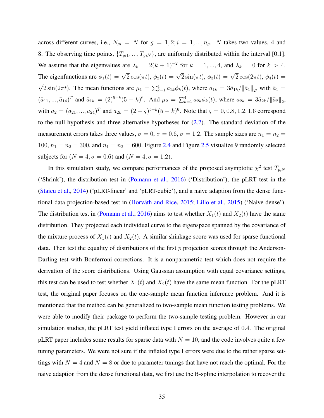across different curves, i.e.,  $N_{gi} = N$  for  $g = 1, 2; i = 1, ..., n_g$ . *N* takes two values, 4 and 8. The observing time points,  $\{T_{gi1},...,T_{giN}\}$ , are uniformly distributed within the interval [0,1]. We assume that the eigenvalues are  $\lambda_k = 2(k+1)^{-2}$  for  $k = 1, ..., 4$ , and  $\lambda_k = 0$  for  $k > 4$ . The eigenfunctions are  $\phi_1(t) = \sqrt{2} \cos(\pi t), \, \phi_2(t) = \sqrt{2} \sin(\pi t), \, \phi_3(t) = \sqrt{2} \cos(2\pi t), \, \phi_4(t) =$ √  $\overline{2} \sin(2\pi t)$ . The mean functions are  $\mu_1 = \sum_{k=1}^4 a_{1k} \phi_k(t)$ , where  $a_{1k} = 3\bar{a}_{1k}/\|\bar{a}_1\|_2$ , with  $\bar{a}_1 =$  $(\bar{a}_{11},...,\bar{a}_{14})^T$  and  $\bar{a}_{1k} = (2)^{5-k}(5-k)^6$ . And  $\mu_2 = \sum_{k=1}^4 a_{2k} \phi_k(t)$ , where  $a_{2k} = 3\bar{a}_{2k}/\|\bar{a}_2\|_2$ , with  $\bar{a}_2 = (\bar{a}_{21}, ..., \bar{a}_{24})^T$  and  $\bar{a}_{2k} = (2 - \varsigma)^{5-k} (5 - k)^6$ . Note that  $\varsigma = 0, 0.8, 1.2, 1.6$  correspond to the null hypothesis and three alternative hypotheses for  $(2.2)$ . The standard deviation of the measurement errors takes three values,  $\sigma = 0$ ,  $\sigma = 0.6$ ,  $\sigma = 1.2$ . The sample sizes are  $n_1 = n_2$ 100,  $n_1 = n_2 = 300$ , and  $n_1 = n_2 = 600$ . Figure [2.4](#page-50-0) and Figure [2.5](#page-51-0) visualize 9 randomly selected subjects for ( $N = 4, \sigma = 0.6$ ) and ( $N = 4, \sigma = 1.2$ ).

In this simulation study, we compare performances of the proposed asymptotic  $\chi^2$  test  $T_{p,N}$ ('Shrink'), the distribution test in [\(Pomann et al.,](#page-114-2) [2016\)](#page-114-2) ('Distribution'), the pLRT test in the [\(Staicu et al.,](#page-115-0) [2014\)](#page-115-0) ('pLRT-linear' and 'pLRT-cubic'), and a naive adaption from the dense func-tional data projection-based test in (Horváth and Rice, [2015;](#page-113-2) [Lillo et al.,](#page-113-3) [2015\)](#page-113-3) ('Naive dense'). The distribution test in [\(Pomann et al.,](#page-114-2) [2016\)](#page-114-2) aims to test whether  $X_1(t)$  and  $X_2(t)$  have the same distribution. They projected each individual curve to the eigenspace spanned by the covariance of the mixture process of  $X_1(t)$  and  $X_2(t)$ . A similar shinkage score was used for sparse functional data. Then test the equality of distributions of the first *p* projection scores through the Anderson-Darling test with Bonferroni corrections. It is a nonparametric test which does not require the derivation of the score distributions. Using Gaussian assumption with equal covariance settings, this test can be used to test whether  $X_1(t)$  and  $X_2(t)$  have the same mean function. For the pLRT test, the original paper focuses on the one-sample mean function inference problem. And it is mentioned that the method can be generalized to two-sample mean function testing problems. We were able to modify their package to perform the two-sample testing problem. However in our simulation studies, the pLRT test yield inflated type I errors on the average of 0*.*4. The original pLRT paper includes some results for sparse data with  $N = 10$ , and the code involves quite a few tuning parameters. We were not sure if the inflated type I errors were due to the rather sparse settings with  $N = 4$  and  $N = 8$  or due to parameter tunings that have not reach the optimal. For the naive adaption from the dense functional data, we first use the B-spline interpolation to recover the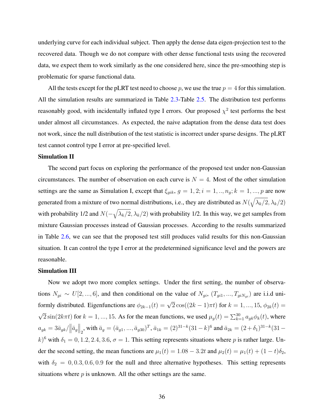underlying curve for each individual subject. Then apply the dense data eigen-projection test to the recovered data. Though we do not compare with other dense functional tests using the recovered data, we expect them to work similarly as the one considered here, since the pre-smoothing step is problematic for sparse functional data.

All the tests except for the pLRT test need to choose  $p$ , we use the true  $p = 4$  for this simulation. All the simulation results are summarized in Table [2.3-](#page-55-0)Table [2.5.](#page-57-0) The distribution test performs reasonably good, with incidentally inflated type I errors. Our proposed  $\chi^2$  test performs the best under almost all circumstances. As expected, the naive adaptation from the dense data test does not work, since the null distribution of the test statistic is incorrect under sparse designs. The pLRT test cannot control type I error at pre-specified level.

# Simulation II

The second part focus on exploring the performance of the proposed test under non-Gaussian circumstances. The number of observation on each curve is  $N = 4$ . Most of the other simulation settings are the same as Simulation I, except that  $\xi_{gik}$ ,  $g = 1, 2; i = 1, ..., n_g; k = 1, ..., p$  are now generated from a mixture of two normal distributions, i.e., they are distributed as  $N(\sqrt{\lambda_k/2}, \lambda_k/2)$ with probability 1/2 and  $N(-\sqrt{\lambda_k/2}, \lambda_k/2)$  with probability 1/2. In this way, we get samples from mixture Gaussian processes instead of Gaussian processes. According to the results summarized in Table [2.6,](#page-58-0) we can see that the proposed test still produces valid results for this non-Gaussian situation. It can control the type I error at the predetermined significance level and the powers are reasonable.

# Simulation III

Now we adopt two more complex settings. Under the first setting, the number of observations  $N_{gi} \sim U[2, ..., 6]$ , and then conditional on the value of  $N_{gi}$ ,  $(T_{gi1}, ..., T_{giNgi})$  are i.i.d uniformly distributed. Eigenfunctions are  $\phi_{2k-1}(t) = \sqrt{2} \cos((2k-1)\pi t)$  for  $k = 1, ..., 15, \phi_{2k}(t) =$ √  $\overline{2} \sin(2k\pi t)$  for  $k = 1, ..., 15$ . As for the mean functions, we used  $\mu_g(t) = \sum_{k=1}^{30} a_{gk} \phi_k(t)$ , where  $a_{gk} = 3\bar{a}_{gk}/\left\|\bar{a}_g\right\|_2$ , with  $\bar{a}_g = (\bar{a}_{g1},...,\bar{a}_{g30})^T$ ,  $\bar{a}_{1k} = (2)^{31-k}(31-k)^6$  and  $\bar{a}_{2k} = (2+\delta_1)^{31-k}(31-k)^6$  $k$ <sup>6</sup> with  $\delta_1 = 0, 1.2, 2.4, 3.6, \sigma = 1$ . This setting represents situations where *p* is rather large. Under the second setting, the mean functions are  $\mu_1(t) = 1.08 - 3.2t$  and  $\mu_2(t) = \mu_1(t) + (1 - t)\delta_2$ , with  $\delta_2 = 0, 0.3, 0.6, 0.9$  for the null and three alternative hypotheses. This setting represents situations where *p* is unknown. All the other settings are the same.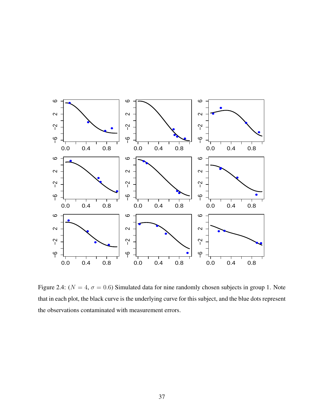

<span id="page-50-0"></span>Figure 2.4: ( $N = 4$ ,  $\sigma = 0.6$ ) Simulated data for nine randomly chosen subjects in group 1. Note that in each plot, the black curve is the underlying curve for this subject, and the blue dots represent the observations contaminated with measurement errors.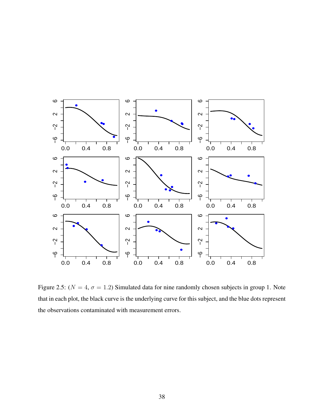

<span id="page-51-0"></span>Figure 2.5: ( $N = 4$ ,  $\sigma = 1.2$ ) Simulated data for nine randomly chosen subjects in group 1. Note that in each plot, the black curve is the underlying curve for this subject, and the blue dots represent the observations contaminated with measurement errors.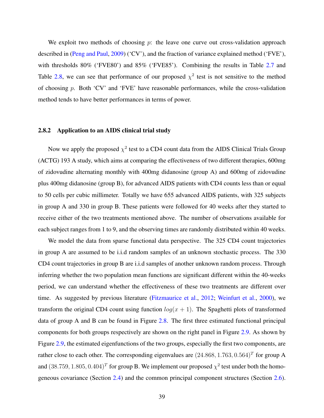We exploit two methods of choosing *p*: the leave one curve out cross-validation approach described in [\(Peng and Paul,](#page-114-0) [2009\)](#page-114-0) ('CV'), and the fraction of variance explained method ('FVE'), with thresholds 80% ('FVE80') and 85% ('FVE85'). Combining the results in Table [2.7](#page-60-0) and Table [2.8,](#page-61-0) we can see that performance of our proposed  $\chi^2$  test is not sensitive to the method of choosing *p*. Both 'CV' and 'FVE' have reasonable performances, while the cross-validation method tends to have better performances in terms of power.

## 2.8.2 Application to an AIDS clinical trial study

Now we apply the proposed  $\chi^2$  test to a CD4 count data from the AIDS Clinical Trials Group (ACTG) 193 A study, which aims at comparing the effectiveness of two different therapies, 600mg of zidovudine alternating monthly with 400mg didanosine (group A) and 600mg of zidovudine plus 400mg didanosine (group B), for advanced AIDS patients with CD4 counts less than or equal to 50 cells per cubic millimeter. Totally we have 655 advanced AIDS patients, with 325 subjects in group A and 330 in group B. These patients were followed for 40 weeks after they started to receive either of the two treatments mentioned above. The number of observations available for each subject ranges from 1 to 9, and the observing times are randomly distributed within 40 weeks.

We model the data from sparse functional data perspective. The 325 CD4 count trajectories in group A are assumed to be i.i.d random samples of an unknown stochastic process. The 330 CD4 count trajectories in group B are i.i.d samples of another unknown random process. Through inferring whether the two population mean functions are significant different within the 40-weeks period, we can understand whether the effectiveness of these two treatments are different over time. As suggested by previous literature [\(Fitzmaurice et al.,](#page-112-3) [2012;](#page-112-3) [Weinfurt et al.,](#page-115-3) [2000\)](#page-115-3), we transform the original CD4 count using function  $log(x + 1)$ . The Spaghetti plots of transformed data of group A and B can be found in Figure [2.8.](#page-61-1) The first three estimated functional principal components for both groups respectively are shown on the right panel in Figure [2.9.](#page-62-0) As shown by Figure [2.9,](#page-62-0) the estimated eigenfunctions of the two groups, especially the first two components, are rather close to each other. The corresponding eigenvalues are (24*.*868*,* 1*.*763*,* 0*.*564)*<sup>T</sup>* for group A and  $(38.759, 1.805, 0.404)^T$  for group B. We implement our proposed  $\chi^2$  test under both the homogeneous covariance (Section [2.4\)](#page-39-1) and the common principal component structures (Section [2.6\)](#page-45-1).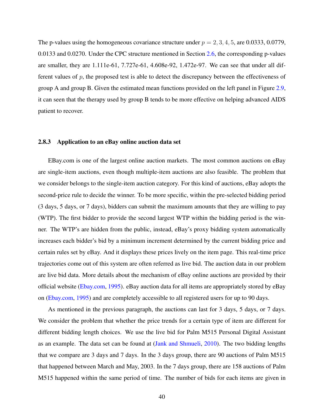The p-values using the homogeneous covariance structure under  $p = 2, 3, 4, 5$ , are 0.0333, 0.0779, 0.0133 and 0.0270. Under the CPC structure mentioned in Section [2.6,](#page-45-1) the corresponding p-values are smaller, they are 1.111e-61, 7.727e-61, 4.608e-92, 1.472e-97. We can see that under all different values of *p*, the proposed test is able to detect the discrepancy between the effectiveness of group A and group B. Given the estimated mean functions provided on the left panel in Figure [2.9,](#page-62-0) it can seen that the therapy used by group B tends to be more effective on helping advanced AIDS patient to recover.

# <span id="page-53-0"></span>2.8.3 Application to an eBay online auction data set

EBay.com is one of the largest online auction markets. The most common auctions on eBay are single-item auctions, even though multiple-item auctions are also feasible. The problem that we consider belongs to the single-item auction category. For this kind of auctions, eBay adopts the second-price rule to decide the winner. To be more specific, within the pre-selected bidding period (3 days, 5 days, or 7 days), bidders can submit the maximum amounts that they are willing to pay (WTP). The first bidder to provide the second largest WTP within the bidding period is the winner. The WTP's are hidden from the public, instead, eBay's proxy bidding system automatically increases each bidder's bid by a minimum increment determined by the current bidding price and certain rules set by eBay. And it displays these prices lively on the item page. This real-time price trajectories come out of this system are often referred as live bid. The auction data in our problem are live bid data. More details about the mechanism of eBay online auctions are provided by their official website [\(Ebay.com,](#page-112-4) [1995\)](#page-112-4). eBay auction data for all items are appropriately stored by eBay on [\(Ebay.com,](#page-112-4) [1995\)](#page-112-4) and are completely accessible to all registered users for up to 90 days.

As mentioned in the previous paragraph, the auctions can last for 3 days, 5 days, or 7 days. We consider the problem that whether the price trends for a certain type of item are different for different bidding length choices. We use the live bid for Palm M515 Personal Digital Assistant as an example. The data set can be found at [\(Jank and Shmueli,](#page-113-4) [2010\)](#page-113-4). The two bidding lengths that we compare are 3 days and 7 days. In the 3 days group, there are 90 auctions of Palm M515 that happened between March and May, 2003. In the 7 days group, there are 158 auctions of Palm M515 happened within the same period of time. The number of bids for each items are given in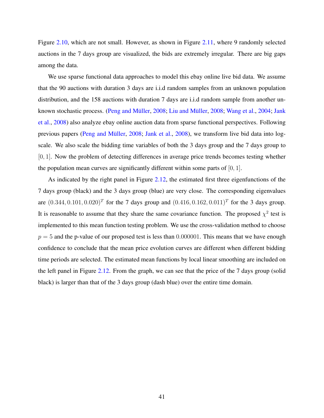Figure [2.10,](#page-62-1) which are not small. However, as shown in Figure [2.11,](#page-63-0) where 9 randomly selected auctions in the 7 days group are visualized, the bids are extremely irregular. There are big gaps among the data.

We use sparse functional data approaches to model this ebay online live bid data. We assume that the 90 auctions with duration 3 days are i.i.d random samples from an unknown population distribution, and the 158 auctions with duration 7 days are i.i.d random sample from another un-known stochastic process. (Peng and Müller, [2008;](#page-113-5) Liu and Müller, 2008; [Wang et al.,](#page-115-4) [2004;](#page-115-4) [Jank](#page-113-6) [et al.,](#page-113-6) [2008\)](#page-113-6) also analyze ebay online auction data from sparse functional perspectives. Following previous papers (Peng and Müller, [2008;](#page-114-3) [Jank et al.,](#page-113-6) [2008\)](#page-113-6), we transform live bid data into logscale. We also scale the bidding time variables of both the 3 days group and the 7 days group to [0, 1]. Now the problem of detecting differences in average price trends becomes testing whether the population mean curves are significantly different within some parts of [0*,* 1].

As indicated by the right panel in Figure [2.12,](#page-63-1) the estimated first three eigenfunctions of the 7 days group (black) and the 3 days group (blue) are very close. The corresponding eigenvalues are  $(0.344, 0.101, 0.020)^T$  for the 7 days group and  $(0.416, 0.162, 0.011)^T$  for the 3 days group. It is reasonable to assume that they share the same covariance function. The proposed  $\chi^2$  test is implemented to this mean function testing problem. We use the cross-validation method to choose  $p = 5$  and the p-value of our proposed test is less than 0.000001. This means that we have enough confidence to conclude that the mean price evolution curves are different when different bidding time periods are selected. The estimated mean functions by local linear smoothing are included on the left panel in Figure [2.12.](#page-63-1) From the graph, we can see that the price of the 7 days group (solid black) is larger than that of the 3 days group (dash blue) over the entire time domain.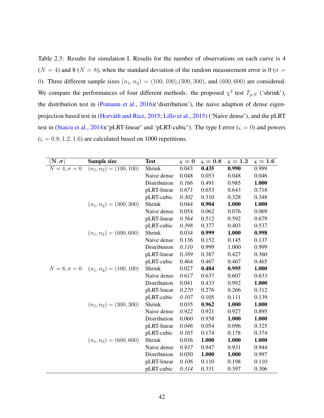<span id="page-55-0"></span>Table 2.3: Results for simulation I. Results for the number of observations on each curve is 4  $(N = 4)$  and 8 ( $N = 8$ ), when the standard deviation of the random measurement error is 0 ( $\sigma =$ 0). Three different sample sizes  $(n_1, n_2) = (100, 100), (300, 300)$ , and  $(600, 600)$  are considered. We compare the performances of four different methods: the proposed  $\chi^2$  test  $T_{p,N}$  ('shrink'), the distribution test in [\(Pomann et al.,](#page-114-2) [2016\)](#page-114-2)('distribution'), the naive adaption of dense eigen-projection based test in (Horváth and Rice, [2015;](#page-113-2) [Lillo et al.,](#page-113-3) [2015\)](#page-113-3) ('Naive dense'), and the pLRT test in [\(Staicu et al.,](#page-115-0) [2014\)](#page-115-0)('pLRT-linear' and 'pLRT-cubic'). The type I error ( $\varsigma = 0$ ) and powers (*ς* = 0*.*8*,* 1*.*2*,* 1*.*6) are calculated based on 1000 repetitions.

| $(\mathbf{N},\pmb{\sigma})$ | <b>Sample size</b>                                | <b>Test</b>  | $\varsigma = 0$ | $\varsigma = 0.8$ | $\varsigma = 1.2$ | $\varsigma = 1.6$ |
|-----------------------------|---------------------------------------------------|--------------|-----------------|-------------------|-------------------|-------------------|
| $N=4, \sigma=0$             | $(n_1, n_2) = (100, 100)$                         | Shrink       | 0.043           | 0.435             | 0.990             | 0.999             |
|                             |                                                   | Naive dense  | 0.048           | 0.053             | 0.048             | 0.046             |
|                             |                                                   | Distribution | 0.166           | 0.491             | 0.985             | 1.000             |
|                             |                                                   | pLRT-linear  | 0.671           | 0.653             | 0.643             | 0.718             |
|                             |                                                   | pLRT-cubic   | 0.302           | 0.310             | 0.328             | 0.348             |
|                             | $(n_1, n_2) = (300, 300)$                         | Shrink       | 0.044           | 0.904             | 1.000             | 1.000             |
|                             |                                                   | Naive dense  | 0.054           | 0.062             | 0.076             | 0.069             |
|                             |                                                   | pLRT-linear  | 0.564           | 0.512             | 0.592             | 0.679             |
|                             |                                                   | pLRT-cubic   | 0.398           | 0.377             | 0.403             | 0.537             |
|                             | $(n_1, n_2) = (600, 600)$                         | Shrink       | 0.034           | 0.999             | 1.000             | 0.998             |
|                             |                                                   | Naive dense  | 0.136           | 0.152             | 0.145             | 0.137             |
|                             |                                                   | Distribution | 0.110           | 0.999             | 1.000             | 0.999             |
|                             |                                                   | pLRT-linear  | 0.389           | 0.387             | 0.427             | 0.360             |
|                             |                                                   | pLRT-cubic   | 0.464           | 0.467             | 0.467             | 0.465             |
|                             | $N = 8, \sigma = 0 \quad (n_1, n_2) = (100, 100)$ | Shrink       | 0.027           | 0.484             | 0.995             | 1.000             |
|                             |                                                   | Naive dense  | 0.617           | 0.637             | 0.607             | 0.633             |
|                             |                                                   | Distribution | 0.041           | 0.433             | 0.992             | 1.000             |
|                             |                                                   | pLRT-linear  | 0.270           | 0.276             | 0.266             | 0.312             |
|                             |                                                   | pLRT-cubic   | 0.107           | 0.105             | 0.111             | 0.139             |
|                             | $(n_1, n_2) = (300, 300)$                         | Shrink       | 0.035           | 0.962             | 1.000             | 1.000             |
|                             |                                                   | Naive dense  | 0.922           | 0.921             | 0.927             | 0.895             |
|                             |                                                   | Distribution | 0.060           | 0.938             | 1.000             | 1.000             |
|                             |                                                   | pLRT-linear  | 0.046           | 0.054             | 0.096             | 0.325             |
|                             |                                                   | pLRT-cubic   | 0.165           | 0.174             | 0.178             | 0.374             |
|                             | $(n_1, n_2) = (600, 600)$                         | Shrink       | 0.036           | 1.000             | 1.000             | 1.000             |
|                             |                                                   | Naive dense  | 0.937           | 0.947             | 0.931             | 0.944             |
|                             |                                                   | Distribution | 0.050           | 1.000             | 1.000             | 0.997             |
|                             |                                                   | pLRT-linear  | 0.106           | 0.110             | 0.198             | 0.110             |
|                             |                                                   | pLRT-cubic   | 0.314           | 0.331             | 0.397             | 0.306             |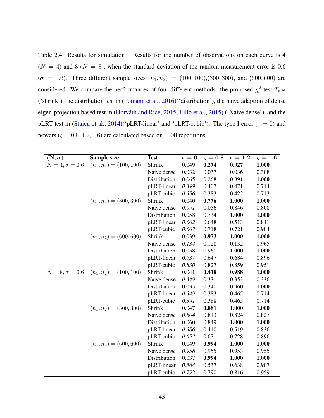Table 2.4: Results for simulation I. Results for the number of observations on each curve is 4  $(N = 4)$  and 8 ( $N = 8$ ), when the standard deviation of the random measurement error is 0.6  $(\sigma = 0.6)$ . Three different sample sizes  $(n_1, n_2) = (100, 100), (300, 300)$ , and  $(600, 600)$  are considered. We compare the performances of four different methods: the proposed  $\chi^2$  test  $T_{p,N}$ ('shrink'), the distribution test in [\(Pomann et al.,](#page-114-2) [2016\)](#page-114-2)('distribution'), the naive adaption of dense eigen-projection based test in (Horváth and Rice, [2015;](#page-113-2) [Lillo et al.,](#page-113-3) [2015\)](#page-113-3) ('Naive dense'), and the pLRT test in [\(Staicu et al.,](#page-115-0) [2014\)](#page-115-0)('pLRT-linear' and 'pLRT-cubic'). The type I error ( $\varsigma = 0$ ) and powers ( $\varsigma = 0.8, 1.2, 1.6$ ) are calculated based on 1000 repetitions.

| $(\mathbf{N},\boldsymbol{\sigma})$ | Sample size                                     | <b>Test</b>  | $\varsigma = 0$ | $\varsigma=0.8$ | $\varsigma = 1.2$ | $\varsigma = 1.6$ |
|------------------------------------|-------------------------------------------------|--------------|-----------------|-----------------|-------------------|-------------------|
| $N=4, \sigma=0.6$                  | $(n_1, n_2) = (100, 100)$                       | Shrink       | 0.049           | 0.274           | 0.927             | 1.000             |
|                                    |                                                 | Naive dense  | 0.032           | 0.037           | 0.036             | 0.308             |
|                                    |                                                 | Distribution | 0.065           | 0.268           | 0.891             | 1.000             |
|                                    |                                                 | pLRT-linear  | 0.399           | 0.407           | 0.471             | 0.714             |
|                                    |                                                 | pLRT-cubic   | 0.356           | 0.383           | 0.422             | 0.713             |
|                                    | $(n_1, n_2) = (300, 300)$                       | Shrink       | 0.040           | 0.776           | 1.000             | 1.000             |
|                                    |                                                 | Naive dense  | 0.091           | 0.056           | 0.846             | 0.808             |
|                                    |                                                 | Distribution | 0.058           | 0.734           | 1.000             | 1.000             |
|                                    |                                                 | pLRT-linear  | 0.662           | 0.648           | 0.513             | 0.841             |
|                                    |                                                 | pLRT-cubic   | 0.667           | 0.718           | 0.721             | 0.904             |
|                                    | $(n_1, n_2) = (600, 600)$                       | Shrink       | 0.039           | 0.973           | 1.000             | 1.000             |
|                                    |                                                 | Naive dense  | 0.134           | 0.128           | 0.132             | 0.965             |
|                                    |                                                 | Distribution | 0.058           | 0.960           | 1.000             | 1.000             |
|                                    |                                                 | pLRT-linear  | 0.637           | 0.647           | 0.684             | 0.896             |
|                                    |                                                 | pLRT-cubic   | 0.830           | 0.827           | 0.859             | 0.951             |
|                                    | $N = 8, \sigma = 0.6$ $(n_1, n_2) = (100, 100)$ | Shrink       | 0.041           | 0.418           | 0.988             | 1.000             |
|                                    |                                                 | Naive dense  | 0.349           | 0.331           | 0.353             | 0.336             |
|                                    |                                                 | Distribution | 0.035           | 0.340           | 0.960             | 1.000             |
|                                    |                                                 | pLRT-linear  | 0.349           | 0.383           | 0.465             | 0.714             |
|                                    |                                                 | pLRT-cubic   | 0.391           | 0.388           | 0.465             | 0.714             |
|                                    | $(n_1, n_2) = (300, 300)$                       | Shrink       | 0.047           | 0.881           | 1.000             | 1.000             |
|                                    |                                                 | Naive dense  | 0.804           | 0.813           | 0.824             | 0.827             |
|                                    |                                                 | Distribution | 0.060           | 0.849           | 1.000             | 1.000             |
|                                    |                                                 | pLRT-linear  | 0.386           | 0.410           | 0.519             | 0.836             |
|                                    |                                                 | pLRT-cubic   | 0.653           | 0.671           | 0.728             | 0.896             |
|                                    | $(n_1, n_2) = (600, 600)$                       | Shrink       | 0.049           | 0.994           | 1.000             | 1.000             |
|                                    |                                                 | Naive dense  | 0.958           | 0.955           | 0.953             | 0.955             |
|                                    |                                                 | Distribution | 0.037           | 0.994           | 1.000             | 1.000             |
|                                    |                                                 | pLRT-linear  | 0.564           | 0.537           | 0.638             | 0.907             |
|                                    |                                                 | pLRT-cubic   | 0.792           | 0.790           | 0.816             | 0.959             |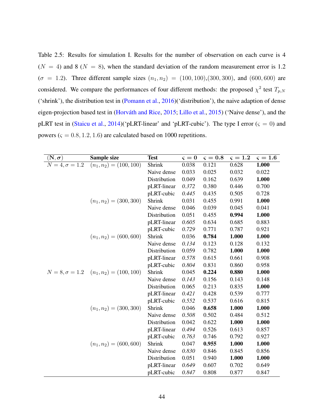<span id="page-57-0"></span>Table 2.5: Results for simulation I. Results for the number of observation on each curve is 4  $(N = 4)$  and 8 ( $N = 8$ ), when the standard deviation of the random measurement error is 1.2  $(\sigma = 1.2)$ . Three different sample sizes  $(n_1, n_2) = (100, 100), (300, 300)$ , and  $(600, 600)$  are considered. We compare the performances of four different methods: the proposed  $\chi^2$  test  $T_{p,N}$ ('shrink'), the distribution test in [\(Pomann et al.,](#page-114-2) [2016\)](#page-114-2)('distribution'), the naive adaption of dense eigen-projection based test in (Horváth and Rice, [2015;](#page-113-2) [Lillo et al.,](#page-113-3) [2015\)](#page-113-3) ('Naive dense'), and the pLRT test in [\(Staicu et al.,](#page-115-0) [2014\)](#page-115-0)('pLRT-linear' and 'pLRT-cubic'). The type I error ( $\varsigma = 0$ ) and powers ( $\varsigma = 0.8, 1.2, 1.6$ ) are calculated based on 1000 repetitions.

| $(\mathbf{N},\boldsymbol{\sigma})$ | Sample size                                     | <b>Test</b>  | $\varsigma = 0$ | $\varsigma=0.8$ | $\varsigma = 1.2$ | $\varsigma = 1.6$ |
|------------------------------------|-------------------------------------------------|--------------|-----------------|-----------------|-------------------|-------------------|
| $N=4, \sigma=\overline{1.2}$       | $(n_1, n_2) = (100, 100)$                       | Shrink       | 0.038           | 0.121           | 0.628             | 1.000             |
|                                    |                                                 | Naive dense  | 0.033           | 0.025           | 0.032             | 0.022             |
|                                    |                                                 | Distribution | 0.049           | 0.162           | 0.639             | 1.000             |
|                                    |                                                 | pLRT-linear  | 0.372           | 0.380           | 0.446             | 0.700             |
|                                    |                                                 | pLRT-cubic   | 0.445           | 0.435           | 0.505             | 0.728             |
|                                    | $(n_1, n_2) = (300, 300)$                       | Shrink       | 0.031           | 0.455           | 0.991             | 1.000             |
|                                    |                                                 | Naive dense  | 0.046           | 0.039           | 0.045             | 0.041             |
|                                    |                                                 | Distribution | 0.051           | 0.455           | 0.994             | 1.000             |
|                                    |                                                 | pLRT-linear  | 0.605           | 0.634           | 0.685             | 0.883             |
|                                    |                                                 | pLRT-cubic   | 0.729           | 0.771           | 0.787             | 0.921             |
|                                    | $(n_1, n_2) = (600, 600)$                       | Shrink       | 0.036           | 0.784           | 1.000             | 1.000             |
|                                    |                                                 | Naive dense  | 0.134           | 0.123           | 0.128             | 0.132             |
|                                    |                                                 | Distribution | 0.059           | 0.782           | 1.000             | 1.000             |
|                                    |                                                 | pLRT-linear  | 0.578           | 0.615           | 0.661             | 0.908             |
|                                    |                                                 | pLRT-cubic   | 0.804           | 0.831           | 0.860             | 0.958             |
|                                    | $N = 8, \sigma = 1.2$ $(n_1, n_2) = (100, 100)$ | Shrink       | 0.045           | 0.224           | 0.880             | 1.000             |
|                                    |                                                 | Naive dense  | 0.143           | 0.156           | 0.143             | 0.148             |
|                                    |                                                 | Distribution | 0.065           | 0.213           | 0.835             | 1.000             |
|                                    |                                                 | pLRT-linear  | 0.421           | 0.428           | 0.539             | 0.777             |
|                                    |                                                 | pLRT-cubic   | 0.552           | 0.537           | 0.616             | 0.815             |
|                                    | $(n_1, n_2) = (300, 300)$                       | Shrink       | 0.046           | 0.658           | 1.000             | 1.000             |
|                                    |                                                 | Naive dense  | 0.508           | 0.502           | 0.484             | 0.512             |
|                                    |                                                 | Distribution | 0.042           | 0.622           | 1.000             | 1.000             |
|                                    |                                                 | pLRT-linear  | 0.494           | 0.526           | 0.613             | 0.857             |
|                                    |                                                 | pLRT-cubic   | 0.763           | 0.746           | 0.792             | 0.927             |
|                                    | $(n_1, n_2) = (600, 600)$                       | Shrink       | 0.047           | 0.955           | 1.000             | 1.000             |
|                                    |                                                 | Naive dense  | 0.830           | 0.846           | 0.845             | 0.856             |
|                                    |                                                 | Distribution | 0.051           | 0.940           | 1.000             | 1.000             |
|                                    |                                                 | pLRT-linear  | 0.649           | 0.607           | 0.702             | 0.649             |
|                                    |                                                 | pLRT-cubic   | 0.847           | 0.808           | 0.877             | 0.847             |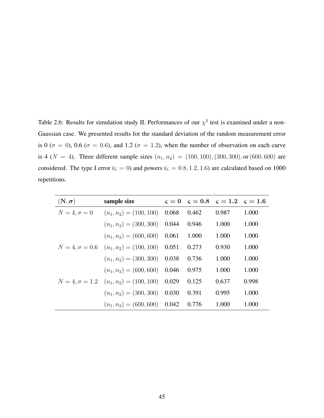<span id="page-58-0"></span>Table 2.6: Results for simulation study II. Performances of our  $\chi^2$  test is examined under a non-Gaussian case. We presented results for the standard deviation of the random measurement error is 0 ( $\sigma$  = 0), 0.6 ( $\sigma$  = 0.6), and 1.2 ( $\sigma$  = 1.2), when the number of observation on each curve is 4 ( $N = 4$ ). Three different sample sizes  $(n_1, n_2) = (100, 100), (300, 300),$  or (600*,* 600) are considered. The type I error ( $\varsigma = 0$ ) and powers ( $\varsigma = 0.8, 1.2, 1.6$ ) are calculated based on 1000 repetitions.

| $(N, \sigma)$         | sample size                                           | $\varsigma = 0 \varsigma = 0.8 \varsigma = 1.2 \varsigma = 1.6$ |       |       |
|-----------------------|-------------------------------------------------------|-----------------------------------------------------------------|-------|-------|
| $N=4, \sigma=0$       | $(n_1, n_2) = (100, 100)$ 0.068                       | 0.462                                                           | 0.987 | 1.000 |
|                       | $(n_1, n_2) = (300, 300)$ 0.044                       | 0.946                                                           | 1.000 | 1.000 |
|                       | $(n_1, n_2) = (600, 600)$ 0.061                       | 1.000                                                           | 1.000 | 1.000 |
|                       | $N = 4, \sigma = 0.6$ $(n_1, n_2) = (100, 100)$ 0.051 | 0.273                                                           | 0.930 | 1.000 |
|                       | $(n_1, n_2) = (300, 300)$ 0.038                       | 0.736                                                           | 1.000 | 1.000 |
|                       | $(n_1, n_2) = (600, 600)$ 0.046                       | 0.975                                                           | 1.000 | 1.000 |
| $N = 4, \sigma = 1.2$ | $(n_1, n_2) = (100, 100)$ 0.029                       | 0.125                                                           | 0.637 | 0.998 |
|                       | $(n_1, n_2) = (300, 300)$ 0.030                       | 0.391                                                           | 0.995 | 1.000 |
|                       | $(n_1, n_2) = (600, 600)$ 0.042                       | 0.776                                                           | 1.000 | 1.000 |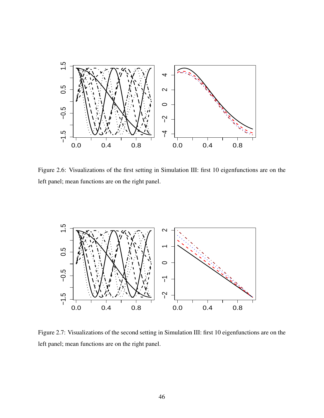

Figure 2.6: Visualizations of the first setting in Simulation III: first 10 eigenfunctions are on the left panel; mean functions are on the right panel.



Figure 2.7: Visualizations of the second setting in Simulation III: first 10 eigenfunctions are on the left panel; mean functions are on the right panel.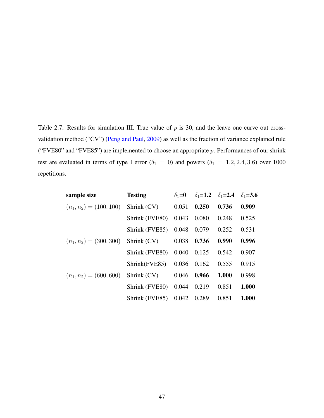<span id="page-60-0"></span>Table 2.7: Results for simulation III. True value of *p* is 30, and the leave one curve out crossvalidation method ("CV") [\(Peng and Paul,](#page-114-0) [2009\)](#page-114-0) as well as the fraction of variance explained rule ("FVE80" and "FVE85") are implemented to choose an appropriate *p*. Performances of our shrink test are evaluated in terms of type I error ( $\delta_1 = 0$ ) and powers ( $\delta_1 = 1.2, 2.4, 3.6$ ) over 1000 repetitions.

| sample size               | <b>Testing</b> | $\delta_1 = 0$ | $\delta_1 = 1.2$ | $\delta_1 = 2.4$ | $\delta_1 = 3.6$ |
|---------------------------|----------------|----------------|------------------|------------------|------------------|
| $(n_1, n_2) = (100, 100)$ | Shrink (CV)    | 0.051          | 0.250            | 0.736            | 0.909            |
|                           | Shrink (FVE80) | 0.043          | 0.080            | 0.248            | 0.525            |
|                           | Shrink (FVE85) | 0.048          | 0.079            | 0.252            | 0.531            |
| $(n_1, n_2) = (300, 300)$ | Shrink (CV)    | 0.038          | 0.736            | 0.990            | 0.996            |
|                           | Shrink (FVE80) | 0.040          | 0.125            | 0.542            | 0.907            |
|                           | Shrink(FVE85)  | 0.036          | 0.162            | 0.555            | 0.915            |
| $(n_1, n_2) = (600, 600)$ | Shrink (CV)    | 0.046          | 0.966            | 1.000            | 0.998            |
|                           | Shrink (FVE80) | 0.044          | 0.219            | 0.851            | 1.000            |
|                           | Shrink (FVE85) | 0.042          | 0.289            | 0.851            | 1.000            |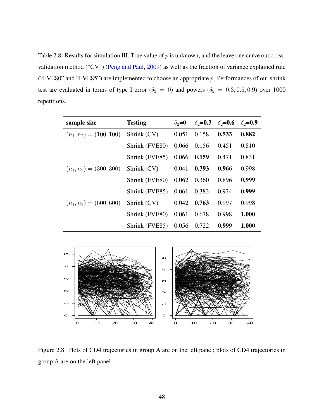<span id="page-61-0"></span>Table 2.8: Results for simulation III. True value of *p* is unknown, and the leave one curve out crossvalidation method ("CV") [\(Peng and Paul,](#page-114-0) [2009\)](#page-114-0) as well as the fraction of variance explained rule ("FVE80" and "FVE85") are implemented to choose an appropriate *p*. Performances of our shrink test are evaluated in terms of type I error ( $\delta_2 = 0$ ) and powers ( $\delta_2 = 0.3, 0.6, 0.9$ ) over 1000 repetitions.

| sample size               | <b>Testing</b> | $\delta_2 = 0$ | $\delta_2 = 0.3$ | $\delta_2$ =0.6 | $\delta_2$ =0.9 |
|---------------------------|----------------|----------------|------------------|-----------------|-----------------|
| $(n_1, n_2) = (100, 100)$ | Shrink (CV)    | 0.051          | 0.158            | 0.533           | 0.882           |
|                           | Shrink (FVE80) | 0.066 0.156    |                  | 0.451           | 0.810           |
|                           | Shrink (FVE85) | $0.066$ 0.159  |                  | 0.471           | 0.831           |
| $(n_1, n_2) = (300, 300)$ | Shrink(CV)     | 0.041          | 0.393            | 0.966           | 0.998           |
|                           | Shrink (FVE80) | $0.062$ 0.360  |                  | 0.896           | 0.999           |
|                           | Shrink (FVE85) | 0.061          | 0.383            | 0.924           | 0.999           |
| $(n_1, n_2) = (600, 600)$ | Shrink (CV)    | 0.042          | 0.763            | 0.997           | 0.998           |
|                           | Shrink (FVE80) | 0.061          | 0.678            | 0.998           | 1.000           |
|                           | Shrink (FVE85) | 0.056 0.722    |                  | 0.999           | 1.000           |

<span id="page-61-1"></span>

Figure 2.8: Plots of CD4 trajectories in group A are on the left panel; plots of CD4 trajectories in group A are on the left panel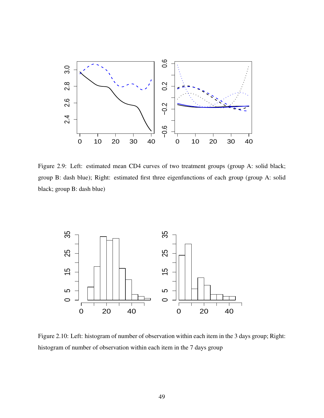<span id="page-62-0"></span>

Figure 2.9: Left: estimated mean CD4 curves of two treatment groups (group A: solid black; group B: dash blue); Right: estimated first three eigenfunctions of each group (group A: solid black; group B: dash blue)

<span id="page-62-1"></span>

Figure 2.10: Left: histogram of number of observation within each item in the 3 days group; Right: histogram of number of observation within each item in the 7 days group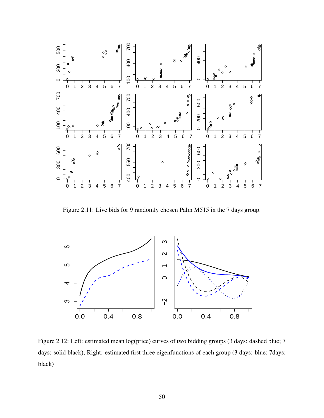

<span id="page-63-0"></span>Figure 2.11: Live bids for 9 randomly chosen Palm M515 in the 7 days group.

<span id="page-63-1"></span>

Figure 2.12: Left: estimated mean log(price) curves of two bidding groups (3 days: dashed blue; 7 days: solid black); Right: estimated first three eigenfunctions of each group (3 days: blue; 7days: black)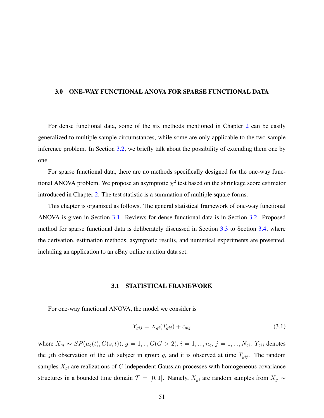## 3.0 ONE-WAY FUNCTIONAL ANOVA FOR SPARSE FUNCTIONAL DATA

For dense functional data, some of the six methods mentioned in Chapter [2](#page-22-0) can be easily generalized to multiple sample circumstances, while some are only applicable to the two-sample inference problem. In Section [3.2,](#page-65-0) we briefly talk about the possibility of extending them one by one.

For sparse functional data, there are no methods specifically designed for the one-way functional ANOVA problem. We propose an asymptotic  $\chi^2$  test based on the shrinkage score estimator introduced in Chapter [2.](#page-22-0) The test statistic is a summation of multiple square forms.

This chapter is organized as follows. The general statistical framework of one-way functional ANOVA is given in Section [3.1.](#page-64-0) Reviews for dense functional data is in Section [3.2.](#page-65-0) Proposed method for sparse functional data is deliberately discussed in Section [3.3](#page-66-0) to Section [3.4,](#page-69-0) where the derivation, estimation methods, asymptotic results, and numerical experiments are presented, including an application to an eBay online auction data set.

## 3.1 STATISTICAL FRAMEWORK

<span id="page-64-0"></span>For one-way functional ANOVA, the model we consider is

<span id="page-64-1"></span>
$$
Y_{gij} = X_{gi}(T_{gij}) + \epsilon_{gij} \tag{3.1}
$$

where  $X_{gi} \sim SP(\mu_g(t), G(s, t)), g = 1, ..., G(G > 2), i = 1, ..., n_g, j = 1, ..., N_{gi}.$  Y<sub>gij</sub> denotes the *j*th observation of the *i*th subject in group *g*, and it is observed at time  $T_{gij}$ . The random samples  $X_{gi}$  are realizations of  $G$  independent Gaussian processes with homogeneous covariance structures in a bounded time domain  $\mathcal{T} = [0, 1]$ . Namely,  $X_{gi}$  are random samples from  $X_g \sim$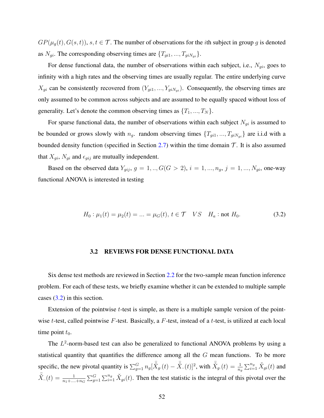$GP(\mu_g(t), G(s, t)), s, t \in \mathcal{T}$ . The number of observations for the *i*th subject in group *g* is denoted as  $N_{gi}$ . The corresponding observing times are  $\{T_{gi1}, ..., T_{giN_{gi}}\}$ .

For dense functional data, the number of observations within each subject, i.e., *Ngi*, goes to infinity with a high rates and the observing times are usually regular. The entire underlying curve  $X_{gi}$  can be consistently recovered from  $(Y_{gi1},..., Y_{giNgi})$ . Consequently, the observing times are only assumed to be common across subjects and are assumed to be equally spaced without loss of generality. Let's denote the common observing times as  $\{T_1, ..., T_N\}$ .

For sparse functional data, the number of observations within each subject  $N_{gi}$  is assumed to be bounded or grows slowly with  $n_g$ . random observing times  $\{T_{gi1}, ..., T_{giNgi}\}$  are i.i.d with a bounded density function (specified in Section [2.7\)](#page-45-2) within the time domain  $\mathcal T$ . It is also assumed that  $X_{gi}$ ,  $N_{gi}$  and  $\epsilon_{gij}$  are mutually independent.

Based on the observed data  $Y_{gij}$ ,  $g = 1, ..., G(G > 2)$ ,  $i = 1, ..., n_g$ ,  $j = 1, ..., N_{gi}$ , one-way functional ANOVA is interested in testing

<span id="page-65-1"></span>
$$
H_0: \mu_1(t) = \mu_2(t) = \dots = \mu_G(t), \ t \in \mathcal{T} \quad VS \quad H_a: \text{not } H_0.
$$
 (3.2)

#### 3.2 REVIEWS FOR DENSE FUNCTIONAL DATA

<span id="page-65-0"></span>Six dense test methods are reviewed in Section [2.2](#page-25-0) for the two-sample mean function inference problem. For each of these tests, we briefly examine whether it can be extended to multiple sample cases  $(3.2)$  in this section.

Extension of the pointwise *t*-test is simple, as there is a multiple sample version of the pointwise *t*-test, called pointwise *F*-test. Basically, a *F*-test, instead of a *t*-test, is utilized at each local time point  $t_0$ .

The  $L^2$ -norm-based test can also be generalized to functional ANOVA problems by using a statistical quantity that quantifies the difference among all the *G* mean functions. To be more specific, the new pivotal quantity is  $\sum_{g=1}^{G} n_g [\overline{\check{X}}_g(t) - \overline{\check{X}}_g(t)]^2$ , with  $\overline{\check{X}}_g(t) = \frac{1}{n_g} \sum_{i=1}^{n_g} \check{X}_{gi}(t)$  and  $\bar{X}$ .  $(t) = \frac{1}{n_1 + ... + n_G} \sum_{g=1}^G \sum_{i=1}^{n_g} \check{X}_{gi}(t)$ . Then the test statistic is the integral of this pivotal over the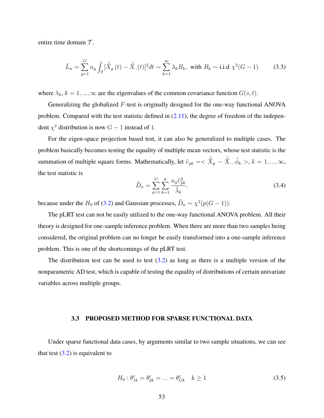entire time domain  $T$ .

$$
\tilde{L}_n = \sum_{g=1}^G n_g \int_{\mathcal{T}} [\bar{\dot{X}}_g(t) - \bar{\dot{X}}_m(t)]^2 dt \sim \sum_{k=1}^\infty \lambda_k B_k, \text{ with } B_k \sim \text{i.i.d } \chi^2(G-1) \tag{3.3}
$$

where  $\lambda_k$ ,  $k = 1, ..., \infty$  are the eigenvalues of the common covariance function  $G(s, t)$ .

Generalizing the globalized *F*-test is originally designed for the one-way functional ANOVA problem. Compared with the test statistic defined in [\(2.11\)](#page-27-0), the degree of freedom of the independent  $\chi^2$  distribution is now  $G-1$  instead of 1.

For the eigen-space projection based test, it can also be generalized to multiple cases. The problem basically becomes testing the equality of multiple mean vectors, whose test statistic is the summation of multiple square forms. Mathematically, let  $\hat{v}_{gk} = \langle \overline{\check{X}}_g - \overline{\check{X}}_s, \hat{\phi}_k \rangle, k = 1, ..., \infty$ , the test statistic is *G*

$$
\tilde{D}_n = \sum_{g=1}^G \sum_{k=1}^p \frac{n_g \hat{v}_{gk}^2}{\hat{\lambda}_k},\tag{3.4}
$$

because under the  $H_0$  of [\(3.2\)](#page-65-1) and Gaussian processes,  $\tilde{D}_n \sim \chi^2(p(G-1))$ .

The pLRT test can not be easily utilized to the one-way functional ANOVA problem. All their theory is designed for one-sample inference problem. When there are more than two samples being considered, the original problem can no longer be easily transformed into a one-sample inference problem. This is one of the shortcomings of the pLRT test.

The distribution test can be used to test  $(3.2)$  as long as there is a multiple version of the nonparametric AD test, which is capable of testing the equality of distributions of certain univariate variables across multiple groups.

#### 3.3 PROPOSED METHOD FOR SPARSE FUNCTIONAL DATA

<span id="page-66-0"></span>Under sparse functional data cases, by arguments similar to two sample situations, we can see that test  $(3.2)$  is equivalent to

<span id="page-66-1"></span>
$$
H_0: \theta_{1k}^c = \theta_{2k}^c = \dots = \theta_{Gk}^c \quad k \ge 1
$$
\n(3.5)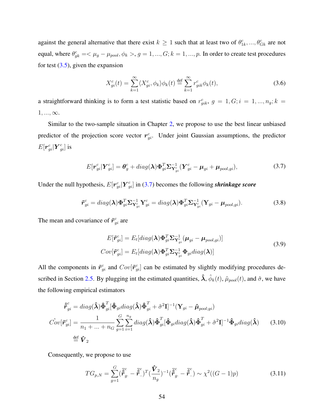against the general alternative that there exist  $k \ge 1$  such that at least two of  $\theta_{1k}^c, ..., \theta_{Gk}^c$  are not equal, where  $\theta_{gk}^c = \langle \mu_g - \mu_{pool}, \phi_k \rangle, g = 1, ..., G; k = 1, ..., p$ . In order to create test procedures for test  $(3.5)$ , given the expansion

$$
X_{gi}^c(t) = \sum_{k=1}^{\infty} \langle X_{gi}^c, \phi_k \rangle \phi_k(t) \stackrel{\text{def}}{=} \sum_{k=1}^{\infty} r_{gik}^c \phi_k(t), \tag{3.6}
$$

a straightforward thinking is to form a test statistic based on  $r_{gik}^c$ ,  $g = 1, G; i = 1, ..., n_g; k =$ 1*, ...,*∞.

Similar to the two-sample situation in Chapter [2,](#page-22-0) we propose to use the best linear unbiased predictor of the projection score vector  $r_{gi}^c$ . Under joint Gaussian assumptions, the predictor  $E[\bm{r}_{gi}^c|\bm{Y}_{gi}^c]$  is

<span id="page-67-0"></span>
$$
E[\boldsymbol{r}_{gi}^c|\boldsymbol{Y}_{gi}^c] = \boldsymbol{\theta}_g^c + diag(\boldsymbol{\lambda})\boldsymbol{\Phi}_{gi}^T \boldsymbol{\Sigma}_{\mathbf{Y}_{gi}^c}^{-1} (\boldsymbol{Y}_{gi}^c - \boldsymbol{\mu}_{gi} + \boldsymbol{\mu}_{pool, gi}),
$$
(3.7)

Under the null hypothesis,  $E[r_{gi}^c|Y_{gi}^c]$  in [\(3.7\)](#page-67-0) becomes the following *shrinkage score* 

$$
\tilde{\boldsymbol{r}}_{gi}^c = diag(\boldsymbol{\lambda}) \boldsymbol{\Phi}_{gi}^T \boldsymbol{\Sigma}_{\mathbf{Y}_{gi}^c}^{-1} \mathbf{Y}_{gi}^c = diag(\boldsymbol{\lambda}) \boldsymbol{\Phi}_{gi}^T \boldsymbol{\Sigma}_{\mathbf{Y}_{gi}^c}^{-1} (\mathbf{Y}_{gi} - \boldsymbol{\mu}_{pool, gi}). \tag{3.8}
$$

The mean and covariance of  $\tilde{r}^c_{gi}$  are

<span id="page-67-1"></span>
$$
E[\tilde{\boldsymbol{r}}_{gi}^{c}] = E_{t}[diag(\boldsymbol{\lambda})\boldsymbol{\Phi}_{gi}^{T}\boldsymbol{\Sigma}_{\mathbf{Y}_{gi}}^{-1}(\boldsymbol{\mu}_{gi} - \boldsymbol{\mu}_{pool,gi})]
$$
  
\n
$$
Cov[\tilde{\boldsymbol{r}}_{gi}^{c}] = E_{t}[diag(\boldsymbol{\lambda})\boldsymbol{\Phi}_{gi}^{T}\boldsymbol{\Sigma}_{\mathbf{Y}_{gi}}^{-1}\boldsymbol{\Phi}_{gi}diag(\boldsymbol{\lambda})]
$$
\n(3.9)

All the components in  $\tilde{r}^c_{gi}$  and  $Cov[\tilde{r}^c_{gi}]$  can be estimated by slightly modifying procedures de-scribed in Section [2.5.](#page-42-0) By plugging int the estimated quantities,  $\hat{\lambda}$ ,  $\hat{\phi}_k(t)$ ,  $\hat{\mu}_{pool}(t)$ , and  $\hat{\sigma}$ , we have the following empirical estimators

$$
\hat{\vec{r}}_{gi}^{c} = diag(\hat{\lambda}) \hat{\Phi}_{gi}^{T} [\hat{\Phi}_{gi} diag(\hat{\lambda}) \hat{\Phi}_{gi}^{T} + \hat{\sigma}^{2} \mathbf{I}]^{-1} (\mathbf{Y}_{gi} - \hat{\boldsymbol{\mu}}_{pool;gi})
$$
\n
$$
Cov[\tilde{\mathbf{r}}_{gi}^{c}] = \frac{1}{n_{1} + ... + n_{G}} \sum_{g=1}^{G} \sum_{i=1}^{n_{g}} diag(\hat{\lambda}) \hat{\Phi}_{gi}^{T} [\hat{\Phi}_{gi} diag(\hat{\lambda}) \hat{\Phi}_{gi}^{T} + \hat{\sigma}^{2} \mathbf{I}]^{-1} \hat{\Phi}_{gi} diag(\hat{\lambda}) \qquad (3.10)
$$
\n
$$
\stackrel{\text{def}}{=} \hat{\mathbf{V}}_{2}
$$

Consequently, we propose to use

$$
TG_{p,N} = \sum_{g=1}^G (\overline{\tilde{\boldsymbol{r}}}_g^c - \overline{\tilde{\boldsymbol{r}}}_\cdot^c)^T (\frac{\hat{\boldsymbol{V}}_2}{n_g})^{-1} (\overline{\tilde{\boldsymbol{r}}}_g^c - \overline{\tilde{\boldsymbol{r}}}_\cdot^c) \sim \chi^2((G-1)p) \tag{3.11}
$$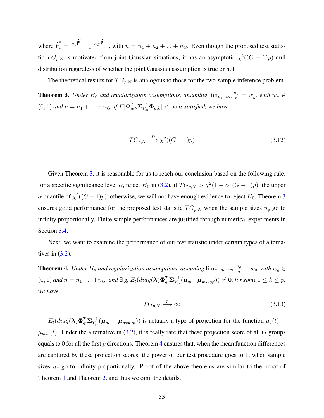where  $\vec{\hat{\tau}}_..^c = \frac{n_1 \vec{\hat{r}}_1^c + ... + n_G \vec{\hat{r}}_G^c}{n}$  $\frac{n!}{n!}$ , with  $n = n_1 + n_2 + ... + n_G$ . Even though the proposed test statistic  $TG_{p,N}$  is motivated from joint Gaussian situations, it has an asymptotic  $\chi^2((G-1)p)$  null distribution regardless of whether the joint Gaussian assumption is true or not.

The theoretical results for  $TG_{p,N}$  is analogous to those for the two-sample inference problem.

<span id="page-68-0"></span>**Theorem 3.** Under  $H_0$  and regularization assumptions, assuming  $\lim_{n_g \to \infty} \frac{n_g}{n} = w_g$ , with  $w_g \in$  $(0,1)$  and  $n = n_1 + ... + n_G$ , if  $E[\mathbf{\Phi}_{gik}^T \mathbf{\Sigma}_{Y_{gi}}^{-1} \mathbf{\Phi}_{gik}] < \infty$  is satisfied, we have

$$
TG_{p,N} \xrightarrow{D} \chi^2((G-1)p) \tag{3.12}
$$

Given Theorem [3,](#page-68-0) it is reasonable for us to reach our conclusion based on the following rule: for a specific significance level  $\alpha$ , reject  $H_0$  in [\(3.2\)](#page-65-1), if  $TG_{p,N} > \chi^2(1-\alpha;(G-1)p)$ , the upper  $\alpha$  quantile of  $\chi^2((G-1)p)$ ; otherwise, we will not have enough evidence to reject  $H_0$ . Theorem [3](#page-68-0) ensures good performance for the proposed test statistic  $TG_{p,N}$  when the sample sizes  $n_g$  go to infinity proportionally. Finite sample performances are justified through numerical experiments in Section [3.4.](#page-69-0)

Next, we want to examine the performance of our test statistic under certain types of alternatives in  $(3.2)$ .

<span id="page-68-1"></span>**Theorem 4.** Under  $H_a$  and regularization assumptions, assuming  $\lim_{n_1,n_2\to\infty}\frac{n_g}{n}=w_g$ , with  $w_g\in$  $(0,1)$  and  $n = n_1 + ... + n_G$ , and  $\exists$  g,  $E_t(diag(\lambda)\Phi_{gi}^T\Sigma_{Y_{gi}}^{-1}(\mu_{gi} - \mu_{pool;gi})) \neq 0$ , for some  $1 \leq k \leq p$ , *we have*

$$
TG_{p,N} \stackrel{p}{\longrightarrow} \infty \tag{3.13}
$$

 $E_t(diag(\lambda)\Phi_{gi}^T\Sigma_{Y_{gi}}^{-1}(\mu_{gi}-\mu_{pool;gi}))$  is actually a type of projection for the function  $\mu_g(t)$  –  $\mu_{pool}(t)$ . Under the alternative in [\(3.2\)](#page-65-1), it is really rare that these projection score of all *G* groups equals to 0 for all the first  $p$  directions. Theorem [4](#page-68-1) ensures that, when the mean function differences are captured by these projection scores, the power of our test procedure goes to 1, when sample sizes  $n_g$  go to infinity proportionally. Proof of the above theorems are similar to the proof of Theorem [1](#page-46-0) and Theorem [2,](#page-47-1) and thus we omit the details.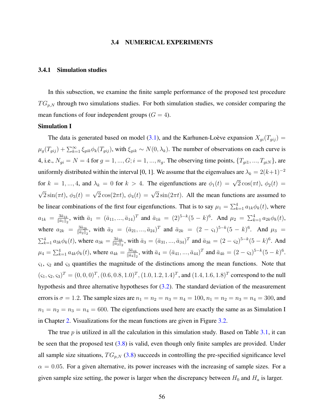#### 3.4 NUMERICAL EXPERIMENTS

# <span id="page-69-0"></span>3.4.1 Simulation studies

In this subsection, we examine the finite sample performance of the proposed test procedure  $TG_{p,N}$  through two simulations studies. For both simulation studies, we consider comparing the mean functions of four independent groups  $(G = 4)$ .

#### Simulation I

The data is generated based on model [\(3.1\)](#page-64-1), and the Karhunen-Loève expansion  $X_{gi}(T_{gij}) =$  $\mu_g(T_{gij}) + \sum_{k=1}^{\infty} \xi_{gik} \phi_k(T_{gij})$ , with  $\xi_{gik} \sim N(0, \lambda_k)$ . The number of observations on each curve is 4, i.e.,  $N_{gi} = N = 4$  for  $g = 1, ..., G$ ;  $i = 1, ..., n_g$ . The observing time points,  $\{T_{gi1}, ..., T_{giN}\}$ , are uniformly distributed within the interval [0, 1]. We assume that the eigenvalues are  $\lambda_k = 2(k+1)^{-2}$ for  $k = 1, ..., 4$ , and  $\lambda_k = 0$  for  $k > 4$ . The eigenfunctions are  $\phi_1(t) = \sqrt{2} \cos(\pi t)$ ,  $\phi_2(t) =$  $\sqrt{2}\sin(\pi t)$ ,  $\phi_3(t) = \sqrt{2}\cos(2\pi t)$ ,  $\phi_4(t) = \sqrt{2}\sin(2\pi t)$ . All the mean functions are assumed to be linear combinations of the first four eigenfunctions. That is to say  $\mu_1 = \sum_{k=1}^4 a_{1k} \phi_k(t)$ , where  $a_{1k} = \frac{3\bar{a}_{1k}}{\|\bar{a}_1\|_2}$  $\frac{3\bar{a}_{1k}}{\|\bar{a}_1\|_2}$ , with  $\bar{a}_1 = (\bar{a}_{11}, ..., \bar{a}_{14})^T$  and  $\bar{a}_{1k} = (2)^{5-k}(5-k)^6$ . And  $\mu_2 = \sum_{k=1}^4 a_{2k} \phi_k(t)$ , where  $a_{2k} = \frac{3\bar{a}_{2k}}{\|\bar{a}_{2k}\|_2}$  $\frac{3\bar{a}_{2k}}{\|\bar{a}_{2}\|_{2}}$ , with  $\bar{a}_{2} = (\bar{a}_{21}, ..., \bar{a}_{24})^{T}$  and  $\bar{a}_{2k} = (2 - \varsigma_{1})^{5-k}(5 - k)^{6}$ . And  $\mu_{3} =$  $\sum_{k=1}^{4} a_{3k} \phi_k(t)$ , where  $a_{3k} = \frac{3\bar{a}_{3k}}{\|\bar{a}_3\|}$  $\frac{3\bar{a}_{3k}}{\|\bar{a}_3\|_2}$ , with  $\bar{a}_3 = (\bar{a}_{31},...,\bar{a}_{34})^T$  and  $\bar{a}_{3k} = (2 - \varsigma_2)^{5-k}(5-k)^6$ . And  $\mu_4 = \sum_{k=1}^4 a_{4k} \phi_k(t)$ , where  $a_{4k} = \frac{3\bar{a}_{4k}}{\|\bar{a}_4\|}$ .  $\frac{3\bar{a}_{4k}}{\|\bar{a}_4\|_2}$ , with  $\bar{a}_4 = (\bar{a}_{41}, \dots, \bar{a}_{44})^T$  and  $\bar{a}_{4k} = (2 - \varsigma_3)^{5-k}(5 - k)^6$ . *ς*1, *ς*<sup>2</sup> and *ς*<sup>3</sup> quantifies the magnitude of the distinctions among the mean functions. Note that  $(\zeta_1, \zeta_2, \zeta_3)^T = (0, 0, 0)^T, (0.6, 0.8, 1.0)^T, (1.0, 1.2, 1.4)^T$ , and  $(1.4, 1.6, 1.8)^T$  correspond to the null hypothesis and three alternative hypotheses for [\(3.2\)](#page-65-1). The standard deviation of the measurement errors is  $\sigma = 1.2$ . The sample sizes are  $n_1 = n_2 = n_3 = n_4 = 100$ ,  $n_1 = n_2 = n_3 = n_4 = 300$ , and  $n_1 = n_2 = n_3 = n_4 = 600$ . The eigenfunctions used here are exactly the same as as Simulation I in Chapter [2.](#page-22-0) Visualizations for the mean functions are given in Figure [3.2.](#page-72-0)

The true p is utilized in all the calculation in this simulation study. Based on Table [3.1,](#page-70-0) it can be seen that the proposed test [\(3.8\)](#page-67-1) is valid, even though only finite samples are provided. Under all sample size situations,  $TG_{p,N}$  [\(3.8\)](#page-67-1) succeeds in controlling the pre-specified significance level  $\alpha = 0.05$ . For a given alternative, its power increases with the increasing of sample sizes. For a given sample size setting, the power is larger when the discrepancy between  $H_0$  and  $H_a$  is larger.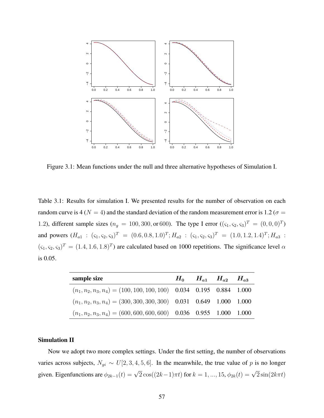

Figure 3.1: Mean functions under the null and three alternative hypotheses of Simulation I.

<span id="page-70-0"></span>Table 3.1: Results for simulation I. We presented results for the number of observation on each random curve is 4 ( $N = 4$ ) and the standard deviation of the random measurement error is 1.2 ( $\sigma =$ 1.2), different sample sizes ( $n_g = 100, 300,$  or 600). The type I error (( $\zeta_1, \zeta_2, \zeta_3$ )<sup>T</sup> = (0, 0, 0)<sup>T</sup>) and powers  $(H_{a1} : (s_1, s_2, s_3)^T = (0.6, 0.8, 1.0)^T; H_{a2} : (s_1, s_2, s_3)^T = (1.0, 1.2, 1.4)^T; H_{a3}$  $(\zeta_1, \zeta_2, \zeta_3)^T = (1.4, 1.6, 1.8)^T$  are calculated based on 1000 repetitions. The significance level  $\alpha$ is 0.05.

| sample size                                                           |  | $H_0$ $H_{a1}$ $H_{a2}$ $H_{a3}$ |  |
|-----------------------------------------------------------------------|--|----------------------------------|--|
| $(n_1, n_2, n_3, n_4) = (100, 100, 100, 100)$ 0.034 0.195 0.884 1.000 |  |                                  |  |
| $(n_1, n_2, n_3, n_4) = (300, 300, 300, 300)$ 0.031 0.649 1.000 1.000 |  |                                  |  |
| $(n_1, n_2, n_3, n_4) = (600, 600, 600, 600)$ 0.036 0.955 1.000 1.000 |  |                                  |  |

# Simulation II

Now we adopt two more complex settings. Under the first setting, the number of observations varies across subjects,  $N_{gi} \sim U[2, 3, 4, 5, 6]$ . In the meanwhile, the true value of *p* is no longer given. Eigenfunctions are  $\phi_{2k-1}(t) = \sqrt{2} \cos((2k-1)\pi t)$  for  $k = 1, ..., 15$ ,  $\phi_{2k}(t) = \sqrt{2} \sin(2k\pi t)$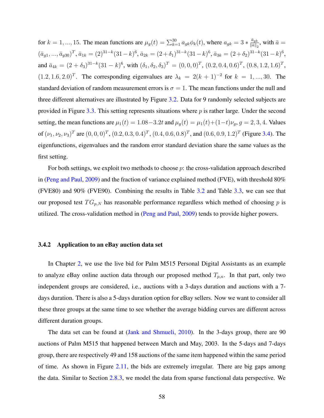for  $k = 1, ..., 15$ . The mean functions are  $\mu_g(t) = \sum_{k=1}^{30} a_{gk} \phi_k(t)$ , where  $a_{gk} = 3 * \frac{\bar{a}_{gk}}{||\bar{a}||}$ .  $\frac{a_{gk}}{\|\bar{a}\|_2}$ , with  $\bar{a} =$  $(\bar{a}_{g1},...,\bar{a}_{g30})^T$ ,  $\bar{a}_{1k} = (2)^{31-k}(31-k)^6$ ,  $\bar{a}_{2k} = (2+\delta_1)^{31-k}(31-k)^6$ ,  $\bar{a}_{3k} = (2+\delta_2)^{31-k}(31-k)^6$ , and  $\bar{a}_{4k} = (2 + \delta_3)^{31-k} (31 - k)^6$ , with  $(\delta_1, \delta_2, \delta_3)^T = (0, 0, 0)^T$ ,  $(0.2, 0.4, 0.6)^T$ ,  $(0.8, 1.2, 1.6)^T$ ,  $(1.2, 1.6, 2.0)^T$ . The corresponding eigenvalues are  $\lambda_k = 2(k + 1)^{-2}$  for  $k = 1, ..., 30$ . The standard deviation of random measurement errors is  $\sigma = 1$ . The mean functions under the null and three different alternatives are illustrated by Figure [3.2.](#page-72-0) Data for 9 randomly selected subjects are provided in Figure [3.3.](#page-72-1) This setting represents situations where *p* is rather large. Under the second setting, the mean functions are  $\mu_1(t) = 1.08 - 3.2t$  and  $\mu_g(t) = \mu_1(t) + (1-t)\nu_g$ ,  $g = 2, 3, 4$ . Values of  $(\nu_1, \nu_2, \nu_3)^T$  are  $(0, 0, 0)^T$ ,  $(0.2, 0.3, 0.4)^T$ ,  $(0.4, 0.6, 0.8)^T$ , and  $(0.6, 0.9, 1.2)^T$  (Figure [3.4\)](#page-73-0). The eigenfunctions, eigenvalues and the random error standard deviation share the same values as the first setting.

For both settings, we exploit two methods to choose *p*: the cross-validation approach described in [\(Peng and Paul,](#page-114-0) [2009\)](#page-114-0) and the fraction of variance explained method (FVE), with threshold 80% (FVE80) and 90% (FVE90). Combining the results in Table [3.2](#page-74-0) and Table [3.3,](#page-75-0) we can see that our proposed test  $TG_{p,N}$  has reasonable performance regardless which method of choosing  $p$  is utilized. The cross-validation method in [\(Peng and Paul,](#page-114-0) [2009\)](#page-114-0) tends to provide higher powers.

### 3.4.2 Application to an eBay auction data set

In Chapter [2,](#page-22-0) we use the live bid for Palm M515 Personal Digital Assistants as an example to analyze eBay online auction data through our proposed method  $T_{p,n}$ . In that part, only two independent groups are considered, i.e., auctions with a 3-days duration and auctions with a 7 days duration. There is also a 5-days duration option for eBay sellers. Now we want to consider all these three groups at the same time to see whether the average bidding curves are different across different duration groups.

The data set can be found at [\(Jank and Shmueli,](#page-113-4) [2010\)](#page-113-4). In the 3-days group, there are 90 auctions of Palm M515 that happened between March and May, 2003. In the 5-days and 7-days group, there are respectively 49 and 158 auctions of the same item happened within the same period of time. As shown in Figure [2.11,](#page-63-0) the bids are extremely irregular. There are big gaps among the data. Similar to Section [2.8.3,](#page-53-0) we model the data from sparse functional data perspective. We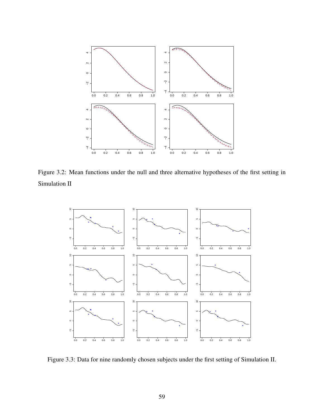

Figure 3.2: Mean functions under the null and three alternative hypotheses of the first setting in Simulation II



Figure 3.3: Data for nine randomly chosen subjects under the first setting of Simulation II.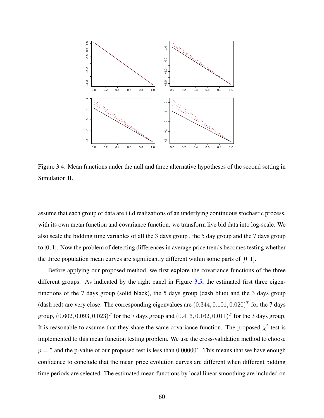

Figure 3.4: Mean functions under the null and three alternative hypotheses of the second setting in Simulation II.

assume that each group of data are i.i.d realizations of an underlying continuous stochastic process, with its own mean function and covariance function. we transform live bid data into log-scale. We also scale the bidding time variables of all the 3 days group , the 5 day group and the 7 days group to [0*,* 1]. Now the problem of detecting differences in average price trends becomes testing whether the three population mean curves are significantly different within some parts of [0*,* 1].

Before applying our proposed method, we first explore the covariance functions of the three different groups. As indicated by the right panel in Figure [3.5,](#page-76-0) the estimated first three eigenfunctions of the 7 days group (solid black), the 5 days group (dash blue) and the 3 days group (dash red) are very close. The corresponding eigenvalues are  $(0.344, 0.101, 0.020)^T$  for the 7 days group,  $(0.602, 0.093, 0.023)^T$  for the 7 days group and  $(0.416, 0.162, 0.011)^T$  for the 3 days group. It is reasonable to assume that they share the same covariance function. The proposed  $\chi^2$  test is implemented to this mean function testing problem. We use the cross-validation method to choose  $p = 5$  and the p-value of our proposed test is less than 0.000001. This means that we have enough confidence to conclude that the mean price evolution curves are different when different bidding time periods are selected. The estimated mean functions by local linear smoothing are included on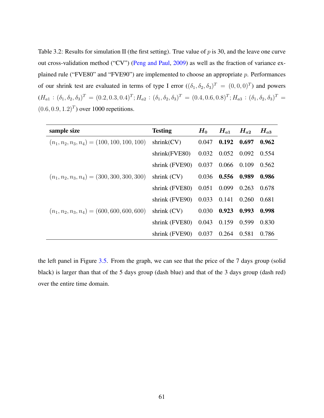Table 3.2: Results for simulation II (the first setting). True value of *p* is 30, and the leave one curve out cross-validation method ("CV") [\(Peng and Paul,](#page-114-0) [2009\)](#page-114-0) as well as the fraction of variance explained rule ("FVE80" and "FVE90") are implemented to choose an appropriate *p*. Performances of our shrink test are evaluated in terms of type I error  $((\delta_1, \delta_2, \delta_3)^T = (0, 0, 0)^T)$  and powers  $(H_{a1}: (\delta_1, \delta_2, \delta_3)^T = (0.2, 0.3, 0.4)^T; H_{a2}: (\delta_1, \delta_2, \delta_3)^T = (0.4, 0.6, 0.8)^T; H_{a3}: (\delta_1, \delta_2, \delta_3)^T =$  $(0.6, 0.9, 1.2)^T$  over 1000 repetitions.

| sample size                                   | <b>Testing</b>                   | $H_0$ | $H_{a1}$                | $H_{a2}$ | $H_{a3}$ |
|-----------------------------------------------|----------------------------------|-------|-------------------------|----------|----------|
| $(n_1, n_2, n_3, n_4) = (100, 100, 100, 100)$ | shrink(CV)                       | 0.047 | $0.192\quad 0.697$      |          | 0.962    |
|                                               | shrink(FVE80)                    |       | $0.032$ $0.052$ $0.092$ |          | 0.554    |
|                                               | shrink (FVE90)                   |       | 0.037 0.066 0.109       |          | 0.562    |
| $(n_1, n_2, n_3, n_4) = (300, 300, 300, 300)$ | shrink $(CV)$ 0.036 0.556 0.989  |       |                         |          | 0.986    |
|                                               | shrink (FVE80) 0.051 0.099       |       |                         | 0.263    | 0.678    |
|                                               | shrink (FVE90) 0.033 0.141       |       |                         | 0.260    | 0.681    |
| $(n_1, n_2, n_3, n_4) = (600, 600, 600, 600)$ | shrink $(CV)$ 0.030              |       | 0.923                   | 0.993    | 0.998    |
|                                               | shrink (FVE80) 0.043 0.159       |       |                         | 0.599    | 0.830    |
|                                               | shrink (FVE90) 0.037 0.264 0.581 |       |                         |          | 0.786    |

the left panel in Figure [3.5.](#page-76-0) From the graph, we can see that the price of the 7 days group (solid black) is larger than that of the 5 days group (dash blue) and that of the 3 days group (dash red) over the entire time domain.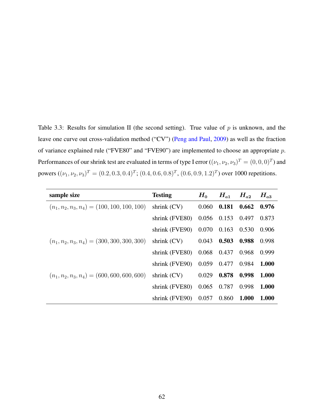Table 3.3: Results for simulation II (the second setting). True value of *p* is unknown, and the leave one curve out cross-validation method ("CV") [\(Peng and Paul,](#page-114-0) [2009\)](#page-114-0) as well as the fraction of variance explained rule ("FVE80" and "FVE90") are implemented to choose an appropriate *p*. Performances of our shrink test are evaluated in terms of type I error  $((\nu_1, \nu_2, \nu_3)^T = (0, 0, 0)^T)$  and powers  $((\nu_1, \nu_2, \nu_3)^T = (0.2, 0.3, 0.4)^T$ ;  $(0.4, 0.6, 0.8)^T$ ,  $(0.6, 0.9, 1.2)^T$ ) over 1000 repetitions.

| sample size                                   | <b>Testing</b>                         | $\boldsymbol{H_0}$ | $H_{a1}$ $H_{a2}$       |               | $H_{a3}$     |
|-----------------------------------------------|----------------------------------------|--------------------|-------------------------|---------------|--------------|
| $(n_1, n_2, n_3, n_4) = (100, 100, 100, 100)$ | shrink $(CV)$ 0.060 0.181              |                    |                         | $0.662$ 0.976 |              |
|                                               | shrink (FVE80) 0.056 0.153 0.497       |                    |                         |               | 0.873        |
|                                               | shrink (FVE90)                         |                    | $0.070$ $0.163$ $0.530$ |               | 0.906        |
| $(n_1, n_2, n_3, n_4) = (300, 300, 300, 300)$ | shrink $(CV)$ 0.043 0.503              |                    |                         | 0.988         | 0.998        |
|                                               | shrink (FVE80) 0.068 0.437 0.968 0.999 |                    |                         |               |              |
|                                               | shrink (FVE90) 0.059 0.477 0.984       |                    |                         |               | 1.000        |
| $(n_1, n_2, n_3, n_4) = (600, 600, 600, 600)$ | shrink $(CV)$ 0.029 0.878              |                    |                         | 0.998         | 1.000        |
|                                               | shrink (FVE80) 0.065 0.787             |                    |                         | 0.998         | 1.000        |
|                                               | shrink (FVE90) 0.057 0.860             |                    |                         | 1.000         | <b>1.000</b> |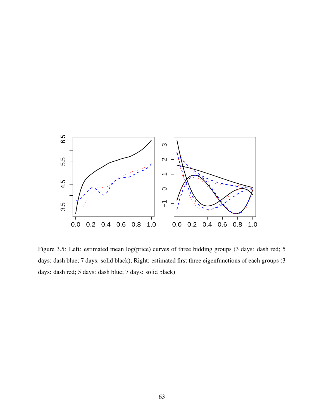

<span id="page-76-0"></span>Figure 3.5: Left: estimated mean log(price) curves of three bidding groups (3 days: dash red; 5 days: dash blue; 7 days: solid black); Right: estimated first three eigenfunctions of each groups (3 days: dash red; 5 days: dash blue; 7 days: solid black)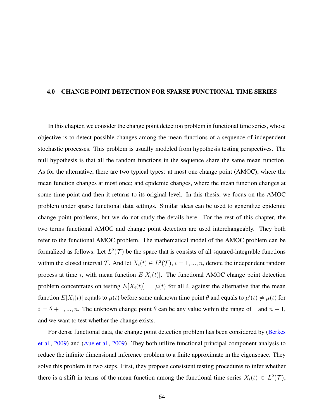## 4.0 CHANGE POINT DETECTION FOR SPARSE FUNCTIONAL TIME SERIES

In this chapter, we consider the change point detection problem in functional time series, whose objective is to detect possible changes among the mean functions of a sequence of independent stochastic processes. This problem is usually modeled from hypothesis testing perspectives. The null hypothesis is that all the random functions in the sequence share the same mean function. As for the alternative, there are two typical types: at most one change point (AMOC), where the mean function changes at most once; and epidemic changes, where the mean function changes at some time point and then it returns to its original level. In this thesis, we focus on the AMOC problem under sparse functional data settings. Similar ideas can be used to generalize epidemic change point problems, but we do not study the details here. For the rest of this chapter, the two terms functional AMOC and change point detection are used interchangeably. They both refer to the functional AMOC problem. The mathematical model of the AMOC problem can be formalized as follows. Let  $L^2(\mathcal{T})$  be the space that is consists of all squared-integrable functions within the closed interval  $\mathcal{T}$ . And let  $X_i(t) \in L^2(\mathcal{T})$ ,  $i = 1, ..., n$ , denote the independent random process at time *i*, with mean function  $E[X_i(t)]$ . The functional AMOC change point detection problem concentrates on testing  $E[X_i(t)] = \mu(t)$  for all *i*, against the alternative that the mean function  $E[X_i(t)]$  equals to  $\mu(t)$  before some unknown time point  $\theta$  and equals to  $\mu'(t) \neq \mu(t)$  for  $i = \theta + 1, ..., n$ . The unknown change point  $\theta$  can be any value within the range of 1 and  $n - 1$ , and we want to test whether the change exists.

For dense functional data, the change point detection problem has been considered by [\(Berkes](#page-111-0) [et al.,](#page-111-0) [2009\)](#page-111-0) and [\(Aue et al.,](#page-111-1) [2009\)](#page-111-1). They both utilize functional principal component analysis to reduce the infinite dimensional inference problem to a finite approximate in the eigenspace. They solve this problem in two steps. First, they propose consistent testing procedures to infer whether there is a shift in terms of the mean function among the functional time series  $X_i(t) \in L^2(\mathcal{T})$ ,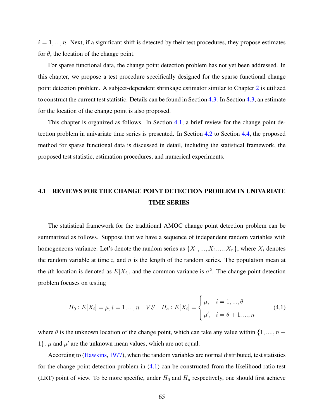$i = 1, \ldots, n$ . Next, if a significant shift is detected by their test procedures, they propose estimates for  $\theta$ , the location of the change point.

For sparse functional data, the change point detection problem has not yet been addressed. In this chapter, we propose a test procedure specifically designed for the sparse functional change point detection problem. A subject-dependent shrinkage estimator similar to Chapter [2](#page-22-0) is utilized to construct the current test statistic. Details can be found in Section [4.3.](#page-81-0) In Section [4.3,](#page-81-0) an estimate for the location of the change point is also proposed.

This chapter is organized as follows. In Section [4.1,](#page-78-0) a brief review for the change point detection problem in univariate time series is presented. In Section [4.2](#page-80-0) to Section [4.4,](#page-89-0) the proposed method for sparse functional data is discussed in detail, including the statistical framework, the proposed test statistic, estimation procedures, and numerical experiments.

# <span id="page-78-0"></span>4.1 REVIEWS FOR THE CHANGE POINT DETECTION PROBLEM IN UNIVARIATE TIME SERIES

The statistical framework for the traditional AMOC change point detection problem can be summarized as follows. Suppose that we have a sequence of independent random variables with homogeneous variance. Let's denote the random series as  $\{X_1, \ldots, X_i, \ldots, X_n\}$ , where  $X_i$  denotes the random variable at time *i*, and *n* is the length of the random series. The population mean at the *i*th location is denoted as  $E[X_i]$ , and the common variance is  $\sigma^2$ . The change point detection problem focuses on testing

<span id="page-78-1"></span>
$$
H_0: E[X_i] = \mu, i = 1, ..., n \quad VS \quad H_a: E[X_i] = \begin{cases} \mu, & i = 1, ..., \theta \\ \mu', & i = \theta + 1, ..., n \end{cases}
$$
(4.1)

where  $\theta$  is the unknown location of the change point, which can take any value within  $\{1, ..., n -$ 1}.  $\mu$  and  $\mu'$  are the unknown mean values, which are not equal.

According to [\(Hawkins,](#page-113-0) [1977\)](#page-113-0), when the random variables are normal distributed, test statistics for the change point detection problem in [\(4.1\)](#page-78-1) can be constructed from the likelihood ratio test (LRT) point of view. To be more specific, under  $H_0$  and  $H_a$  respectively, one should first achieve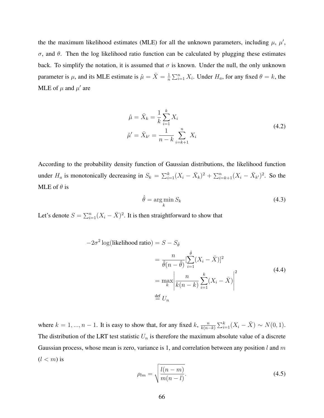the the maximum likelihood estimates (MLE) for all the unknown parameters, including  $\mu$ ,  $\mu'$ , *σ*, and *θ*. Then the log likelihood ratio function can be calculated by plugging these estimates back. To simplify the notation, it is assumed that  $\sigma$  is known. Under the null, the only unknown parameter is  $\mu$ , and its MLE estimate is  $\hat{\mu} = \bar{X} = \frac{1}{n}$  $\frac{1}{n} \sum_{i=1}^{n} X_i$ . Under *H<sub>a</sub>*, for any fixed  $\theta = k$ , the MLE of  $\mu$  and  $\mu'$  are

<span id="page-79-1"></span>
$$
\hat{\mu} = \bar{X}_k = \frac{1}{k} \sum_{i=1}^k X_i
$$
\n
$$
\hat{\mu}' = \bar{X}_{k'} = \frac{1}{n - k} \sum_{i=k+1}^n X_i
$$
\n(4.2)

According to the probability density function of Gaussian distributions, the likelihood function under  $H_a$  is monotonically decreasing in  $S_k = \sum_{i=1}^k (X_i - \bar{X}_k)^2 + \sum_{i=k+1}^n (X_i - \bar{X}_{k'})^2$ . So the MLE of *θ* is

<span id="page-79-0"></span>
$$
\hat{\theta} = \underset{k}{\arg\min} S_k \tag{4.3}
$$

Let's denote  $S = \sum_{i=1}^{n} (X_i - \bar{X})^2$ . It is then straightforward to show that

$$
-2\sigma^2 \log(\text{likelihood ratio}) = S - S_{\hat{\theta}}
$$
  

$$
= \frac{n}{\hat{\theta}(n-\hat{\theta})} \left[\sum_{i=1}^{\hat{\theta}} (X_i - \bar{X})\right]^2
$$
  

$$
= \max_{k} \left| \frac{n}{k(n-k)} \sum_{i=1}^{k} (X_i - \bar{X}) \right|^2
$$
  

$$
\stackrel{\text{def}}{=} U_n
$$
 (4.4)

where  $k = 1, ..., n - 1$ . It is easy to show that, for any fixed  $k$ ,  $\frac{n}{k(n-1)}$  $\frac{n}{k(n-k)} \sum_{i=1}^{k} (X_i - \bar{X}) \sim N(0, 1).$ The distribution of the LRT test statistic  $U_n$  is therefore the maximum absolute value of a discrete Gaussian process, whose mean is zero, variance is 1, and correlation between any position *l* and *m*  $(l < m)$  is

$$
\rho_{lm} = \sqrt{\frac{l(n-m)}{m(n-l)}}.\tag{4.5}
$$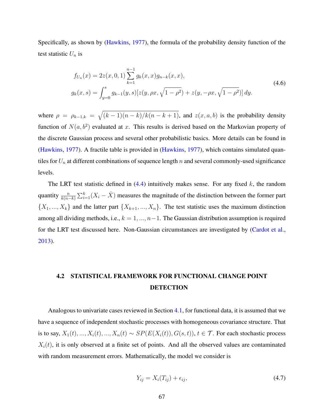Specifically, as shown by [\(Hawkins,](#page-113-0) [1977\)](#page-113-0), the formula of the probability density function of the test statistic  $U_n$  is

$$
f_{U_n}(x) = 2z(x, 0, 1) \sum_{k=1}^{n-1} g_k(x, x) g_{n-k}(x, x),
$$
  
\n
$$
g_k(x, s) = \int_{y=0}^s g_{k-1}(y, s) [z(y, \rho x, \sqrt{1-\rho^2}) + z(y, -\rho x, \sqrt{1-\rho^2})] dy.
$$
\n(4.6)

where  $\rho = \rho_{k-1,k} = \sqrt{(k-1)(n-k)/k(n-k+1)}$ , and  $z(x, a, b)$  is the probability density function of  $N(a, b^2)$  evaluated at *x*. This results is derived based on the Markovian property of the discrete Gaussian process and several other probabilistic basics. More details can be found in [\(Hawkins,](#page-113-0) [1977\)](#page-113-0). A fractile table is provided in [\(Hawkins,](#page-113-0) [1977\)](#page-113-0), which contains simulated quantiles for *U<sup>n</sup>* at different combinations of sequence length *n* and several commonly-used significance levels.

The LRT test statistic defined in [\(4.4\)](#page-79-0) intuitively makes sense. For any fixed *k*, the random quantity  $\frac{n}{k(n-k)}\sum_{i=1}^k (X_i - \bar{X})$  measures the magnitude of the distinction between the former part  $\{X_1, \ldots, X_k\}$  and the latter part  $\{X_{k+1}, \ldots, X_n\}$ . The test statistic uses the maximum distinction among all dividing methods, i.e., *k* = 1*, ..., n*−1. The Gaussian distribution assumption is required for the LRT test discussed here. Non-Gaussian circumstances are investigated by [\(Cardot et al.,](#page-111-2) [2013\)](#page-111-2).

# <span id="page-80-0"></span>4.2 STATISTICAL FRAMEWORK FOR FUNCTIONAL CHANGE POINT **DETECTION**

Analogous to univariate cases reviewed in Section [4.1,](#page-78-0) for functional data, it is assumed that we have a sequence of independent stochastic processes with homogeneous covariance structure. That is to say,  $X_1(t), ..., X_i(t), ..., X_n(t) \sim SP(E(X_i(t)), G(s, t))$ ,  $t \in \mathcal{T}$ . For each stochastic process  $X_i(t)$ , it is only observed at a finite set of points. And all the observed values are contaminated with random measurement errors. Mathematically, the model we consider is

<span id="page-80-1"></span>
$$
Y_{ij} = X_i(T_{ij}) + \epsilon_{ij},\tag{4.7}
$$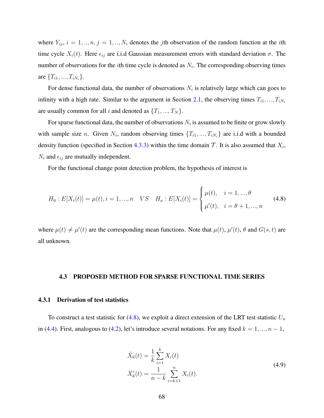where  $Y_{ij}$ ,  $i = 1, ..., n, j = 1, ..., N_i$  denotes the *j*th observation of the random function at the *i*th time cycle  $X_i(t)$ . Here  $\epsilon_{ij}$  are i.i.d Gaussian measurement errors with standard deviation  $\sigma$ . The number of observations for the *i*th time cycle is denoted as *N<sup>i</sup>* . The corresponding observing times are  ${T_{i1},...,T_{iN_i}}$ .

For dense functional data, the number of observations  $N_i$  is relatively large which can goes to infinity with a high rate. Similar to the argument in Section [2.1,](#page-24-0) the observing times  $T_{i1}, ..., T_{iN_i}$ are usually common for all *i* and denoted as  $\{T_1, ..., T_N\}$ .

For sparse functional data, the number of observations  $N_i$  is assumed to be finite or grow slowly with sample size *n*. Given  $N_i$ , random observing times  $\{T_{i1},...,T_{iN_i}\}$  are i.i.d with a bounded density function (specified in Section [4.3.3\)](#page-87-0) within the time domain  $\mathcal T$ . It is also assumed that  $X_i$ ,  $N_i$  and  $\epsilon_{ij}$  are mutually independent.

<span id="page-81-1"></span>For the functional change point detection problem, the hypothesis of interest is

$$
H_0: E[X_i(t)] = \mu(t), i = 1, ..., n \quad VS \quad H_a: E[X_i(t)] = \begin{cases} \mu(t), & i = 1, ..., \theta \\ \mu'(t), & i = \theta + 1, ..., n \end{cases}
$$
(4.8)

where  $\mu(t) \neq \mu'(t)$  are the corresponding mean functions. Note that  $\mu(t)$ ,  $\mu'(t)$ ,  $\theta$  and  $G(s, t)$  are all unknown.

## <span id="page-81-0"></span>4.3 PROPOSED METHOD FOR SPARSE FUNCTIONAL TIME SERIES

## 4.3.1 Derivation of test statistics

To construct a test statistic for  $(4.8)$ , we exploit a direct extension of the LRT test statistic  $U_n$ in [\(4.4\)](#page-79-0). First, analogous to [\(4.2\)](#page-79-1), let's introduce several notations. For any fixed  $k = 1, ..., n - 1$ ,

$$
\bar{X}_k(t) = \frac{1}{k} \sum_{i=1}^k X_i(t)
$$
\n
$$
\bar{X}'_k(t) = \frac{1}{n-k} \sum_{i=k+1}^n X_i(t).
$$
\n(4.9)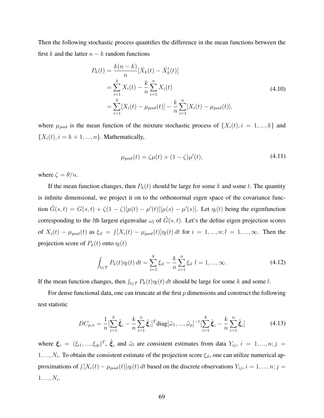Then the following stochastic process quantifies the difference in the mean functions between the first  $k$  and the latter  $n - k$  random functions

$$
P_k(t) = \frac{k(n-k)}{n} [\bar{X}_k(t) - \bar{X}'_k(t)]
$$
  
= 
$$
\sum_{i=1}^k X_i(t) - \frac{k}{n} \sum_{i=1}^n X_i(t)
$$
  
= 
$$
\sum_{i=1}^k [X_i(t) - \mu_{pool}(t)] - \frac{k}{n} \sum_{i=1}^n [X_i(t) - \mu_{pool}(t)],
$$
 (4.10)

where  $\mu_{pool}$  is the mean function of the mixture stochastic process of  $\{X_i(t), i = 1, ..., k\}$  and  ${X_i(t), i = k + 1, ..., n}.$  Mathematically,

<span id="page-82-0"></span>
$$
\mu_{pool}(t) = \zeta \mu(t) + (1 - \zeta)\mu'(t),
$$
\n(4.11)

where  $\zeta = \theta/n$ .

If the mean function changes, then  $P_k(t)$  should be large for some k and some t. The quantity is infinite dimensional, we project it on to the orthonormal eigen space of the covariance function  $\tilde{G}(s,t) = G(s,t) + \zeta(1-\zeta)[\mu(t) - \mu'(t)][\mu(s) - \mu'(s)]$ . Let  $\eta_l(t)$  being the eigenfunction corresponding to the *l*th largest eigenvalue  $\omega_l$  of  $\tilde{G}(s,t)$ . Let's the define eigen projection scores of  $X_i(t) - \mu_{pool}(t)$  as  $\xi_{il} = \int [X_i(t) - \mu_{pool}(t)] \eta_l(t) dt$  for  $i = 1, ..., n; l = 1, ..., \infty$ . Then the projection score of  $P_k(t)$  onto  $\eta_l(t)$ 

$$
\int_{t \in \mathcal{T}} P_k(t) \eta_l(t) dt = \sum_{i=1}^k \xi_{il} - \frac{k}{n} \sum_{i=1}^n \xi_{il} \ l = 1, ..., \infty.
$$
 (4.12)

If the mean function changes, then  $\int_{t \in \mathcal{T}} P_k(t) \eta_l(t) dt$  should be large for some *k* and some *l*.

For dense functional data, one can truncate at the first *p* dimensions and construct the following test statistic

$$
DC_{p,n} = \frac{1}{n} \left[ \sum_{i=1}^{k} \hat{\xi}_i - \frac{k}{n} \sum_{i=1}^{n} \hat{\xi}_i \right]^T \text{diag}[\hat{\omega}_1, ..., \hat{\omega}_p]^{-1} \left[ \sum_{i=1}^{k} \hat{\xi}_i - \frac{k}{n} \sum_{i=1}^{n} \hat{\xi}_i \right]
$$
(4.13)

where  $\xi_i = (\xi_{i1}, ..., \xi_{ip})^T$ ,  $\hat{\xi}_i$  and  $\hat{\omega}_l$  are consistent estimates from data  $Y_{ij}$ ,  $i = 1, ..., n; j =$ 1*, ..., N<sup>i</sup>* . To obtain the consistent estimate of the projection score *ξil*, one can utilize numerical approximations of  $\int [X_i(t) - \mu_{pool}(t)] \eta_i(t) dt$  based on the discrete observations  $Y_{ij}$ ,  $i = 1, ..., n; j =$ 1*, ..., N<sup>i</sup>* .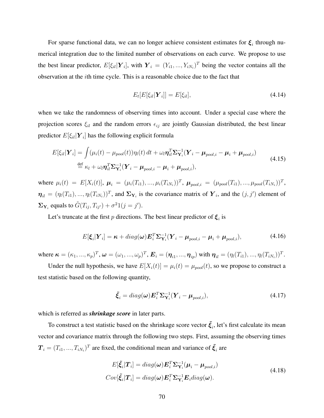For sparse functional data, we can no longer achieve consistent estimates for  $\xi$ <sub>i</sub> through numerical integration due to the limited number of observations on each curve. We propose to use the best linear predictor,  $E[\xi_{il}|\boldsymbol{Y}_i]$ , with  $\boldsymbol{Y}_i = (Y_{i1},...,Y_{iN_i})^T$  being the vector contains all the observation at the *i*th time cycle. This is a reasonable choice due to the fact that

$$
E_t[E[\xi_{il}|\boldsymbol{Y}_i]] = E[\xi_{il}], \qquad (4.14)
$$

when we take the randomness of observing times into account. Under a special case where the projection scores  $\xi_{il}$  and the random errors  $\epsilon_{ij}$  are jointly Gaussian distributed, the best linear predictor *E*[*ξil*|*Y <sup>i</sup>* ] has the following explicit formula

$$
E[\xi_{il}|\boldsymbol{Y}_i] = \int (\mu_i(t) - \mu_{pool}(t)) \eta_l(t) dt + \omega_l \eta_{il}^T \boldsymbol{\Sigma}_{\mathbf{Y}_i}^{-1} (\boldsymbol{Y}_i - \boldsymbol{\mu}_{pool,i} - \boldsymbol{\mu}_i + \boldsymbol{\mu}_{pool,i})
$$
  
\n
$$
\stackrel{\text{def}}{=} \kappa_l + \omega_l \eta_{il}^T \boldsymbol{\Sigma}_{\mathbf{Y}_i}^{-1} (\boldsymbol{Y}_i - \boldsymbol{\mu}_{pool,i} - \boldsymbol{\mu}_i + \boldsymbol{\mu}_{pool,i}),
$$
\n(4.15)

where  $\mu_i(t) = E[X_i(t)], \mu_i = (\mu_i(T_{i1}), ..., \mu_i(T_{iN_i}))^T$ ,  $\mu_{pool,i} = (\mu_{pool}(T_{i1}), ..., \mu_{pool}(T_{iN_i}))^T$ ,  $\boldsymbol{\eta}_{il} = (\eta_l(T_{i1}), ..., \eta_l(T_{iN_i}))^T$ , and  $\Sigma_{\mathbf{Y}_i}$  is the covariance matrix of  $\mathbf{Y}_i$ , and the  $(j, j')$  element of  $\Sigma_{\mathbf{Y}_i}$  equals to  $\tilde{G}(T_{ij}, T_{ij'}) + \sigma^2 1(j = j').$ 

Let's truncate at the first *p* directions. The best linear predictor of  $\xi_i$  is

$$
E[\boldsymbol{\xi}_i|\boldsymbol{Y}_i] = \boldsymbol{\kappa} + diag(\boldsymbol{\omega})\boldsymbol{E}_i^T \boldsymbol{\Sigma}_{\mathbf{Y}_i}^{-1} (\boldsymbol{Y}_i - \boldsymbol{\mu}_{pool,i} - \boldsymbol{\mu}_i + \boldsymbol{\mu}_{pool,i}),
$$
(4.16)

where  $\kappa = (\kappa_1, ..., \kappa_p)^T$ ,  $\omega = (\omega_1, ..., \omega_p)^T$ ,  $\mathbf{E}_i = (\boldsymbol{\eta}_{i1}, ..., \boldsymbol{\eta}_{ip})$  with  $\boldsymbol{\eta}_{il} = (\eta_l(T_{i1}), ..., \eta_l(T_{iN_i}))^T$ .

Under the null hypothesis, we have  $E[X_i(t)] = \mu_i(t) = \mu_{pool}(t)$ , so we propose to construct a test statistic based on the following quantity,

$$
\tilde{\xi}_i = diag(\boldsymbol{\omega}) \boldsymbol{E}_i^T \boldsymbol{\Sigma}_{\mathbf{Y}_i}^{-1} (\boldsymbol{Y}_i - \boldsymbol{\mu}_{pool,i}),
$$
\n(4.17)

which is referred as *shrinkage score* in later parts.

To construct a test statistic based on the shrinkage score vector  $\tilde{\xi}_i$ , let's first calculate its mean vector and covariance matrix through the following two steps. First, assuming the observing times  $T_i = (T_{i1}, ..., T_{iN_i})^T$  are fixed, the conditional mean and variance of  $\tilde{\xi}_i$  are

$$
E[\tilde{\xi}_i|\boldsymbol{T}_i] = diag(\boldsymbol{\omega})\boldsymbol{E}_i^T \boldsymbol{\Sigma}_{\mathbf{Y}_i}^{-1}(\boldsymbol{\mu}_i - \boldsymbol{\mu}_{pool,i})
$$
  
\n
$$
Cov[\tilde{\xi}_i|\boldsymbol{T}_i] = diag(\boldsymbol{\omega})\boldsymbol{E}_i^T \boldsymbol{\Sigma}_{\mathbf{Y}_i}^{-1} \boldsymbol{E}_i diag(\boldsymbol{\omega}).
$$
\n(4.18)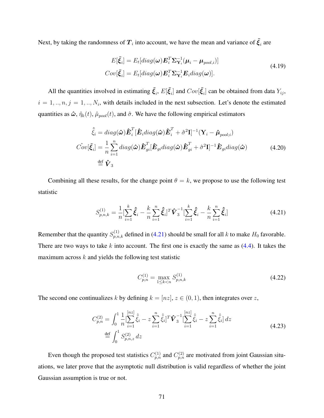Next, by taking the randomness of  $T_i$  into account, we have the mean and variance of  $\tilde{\xi}_i$  are

$$
E[\tilde{\xi}_i] = E_t[diag(\omega)\boldsymbol{E}_i^T \boldsymbol{\Sigma}_{\mathbf{Y}_i}^{-1} (\boldsymbol{\mu}_i - \boldsymbol{\mu}_{pool,i})]
$$
  
\n
$$
Cov[\tilde{\xi}_i] = E_t[diag(\omega)\boldsymbol{E}_i^T \boldsymbol{\Sigma}_{\mathbf{Y}_i}^{-1} \boldsymbol{E}_i diag(\omega)].
$$
\n(4.19)

All the quantities involved in estimating  $\tilde{\xi}_i$ ,  $E[\tilde{\xi}_i]$  and  $Cov[\tilde{\xi}_i]$  can be obtained from data  $Y_{ij}$ ,  $i = 1, \ldots, n, j = 1, \ldots, N_i$ , with details included in the next subsection. Let's denote the estimated quantities as  $\hat{\omega}$ ,  $\hat{\eta}_k(t)$ ,  $\hat{\mu}_{pool}(t)$ , and  $\hat{\sigma}$ . We have the following empirical estimators

$$
\hat{\tilde{\xi}}_i = diag(\hat{\boldsymbol{\omega}}) \hat{\boldsymbol{E}}_i^T [\hat{\boldsymbol{E}}_i diag(\hat{\boldsymbol{\omega}}) \hat{\boldsymbol{E}}_i^T + \hat{\sigma}^2 \mathbf{I}]^{-1} (\mathbf{Y}_i - \hat{\boldsymbol{\mu}}_{pool;i})
$$
  
\n
$$
\hat{Cov}[\tilde{\boldsymbol{\xi}}_i] = \frac{1}{n} \sum_{i=1}^n diag(\hat{\boldsymbol{\omega}}) \hat{\boldsymbol{E}}_{gi}^T [\hat{\boldsymbol{E}}_{gi} diag(\hat{\boldsymbol{\omega}}) \hat{\boldsymbol{E}}_{gi}^T + \hat{\sigma}^2 \mathbf{I}]^{-1} \hat{\boldsymbol{E}}_{gi} diag(\hat{\boldsymbol{\omega}})
$$
(4.20)  
\n
$$
\stackrel{\text{def}}{=} \hat{\boldsymbol{V}}_3
$$

<span id="page-84-0"></span>Combining all these results, for the change point  $\theta = k$ , we propose to use the following test statistic

$$
S_{p,n,k}^{(1)} = \frac{1}{n} \left[ \sum_{i=1}^{k} \hat{\xi}_i - \frac{k}{n} \sum_{i=1}^{n} \hat{\xi}_i \right]^T \hat{\boldsymbol{V}}_3^{-1} \left[ \sum_{i=1}^{k} \hat{\xi}_i - \frac{k}{n} \sum_{i=1}^{n} \hat{\xi}_i \right]
$$
(4.21)

Remember that the quantity  $S_{p,n,k}^{(1)}$  defined in [\(4.21\)](#page-84-0) should be small for all *k* to make  $H_0$  favorable. There are two ways to take *k* into account. The first one is exactly the same as [\(4.4\)](#page-79-0). It takes the maximum across *k* and yields the following test statistic

<span id="page-84-2"></span><span id="page-84-1"></span>
$$
C_{p,n}^{(1)} = \max_{1 \le k < n} S_{p,n,k}^{(1)} \tag{4.22}
$$

The second one continualizes *k* by defining  $k = [nz]$ ,  $z \in (0,1)$ , then integrates over *z*,

$$
C_{p,n}^{(2)} = \int_0^1 \frac{1}{n} \left[ \sum_{i=1}^{[nz]} \hat{\xi}_i - z \sum_{i=1}^n \hat{\xi}_i \right]^T \hat{\mathbf{V}}_3^{-1} \left[ \sum_{i=1}^{[nz]} \hat{\xi}_i - z \sum_{i=1}^n \hat{\xi}_i \right] dz
$$
\n
$$
\stackrel{\text{def}}{=} \int_0^1 S_{p,n,z}^{(2)} dz
$$
\n(4.23)

Even though the proposed test statistics  $C_{p,n}^{(1)}$  and  $C_{p,n}^{(2)}$  are motivated from joint Gaussian situations, we later prove that the asymptotic null distribution is valid regardless of whether the joint Gaussian assumption is true or not.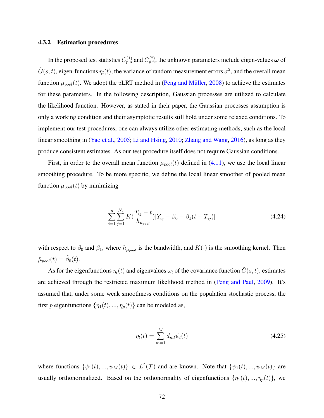#### <span id="page-85-1"></span>4.3.2 Estimation procedures

In the proposed test statistics  $C_{p,n}^{(1)}$  and  $C_{p,n}^{(2)}$ , the unknown parameters include eigen-values  $\omega$  of  $\tilde{G}(s,t)$ , eigen-functions  $\eta_l(t)$ , the variance of random measurement errors  $\sigma^2$ , and the overall mean function  $\mu_{pool}(t)$ . We adopt the pLRT method in (Peng and Müller, [2008\)](#page-114-1) to achieve the estimates for these parameters. In the following description, Gaussian processes are utilized to calculate the likelihood function. However, as stated in their paper, the Gaussian processes assumption is only a working condition and their asymptotic results still hold under some relaxed conditions. To implement our test procedures, one can always utilize other estimating methods, such as the local linear smoothing in [\(Yao et al.,](#page-115-0) [2005;](#page-115-0) [Li and Hsing,](#page-113-1) [2010;](#page-113-1) [Zhang and Wang,](#page-115-1) [2016\)](#page-115-1), as long as they produce consistent estimates. As our test procedure itself does not require Gaussian conditions.

First, in order to the overall mean function  $\mu_{pool}(t)$  defined in [\(4.11\)](#page-82-0), we use the local linear smoothing procedure. To be more specific, we define the local linear smoother of pooled mean function  $\mu_{pool}(t)$  by minimizing

<span id="page-85-0"></span>
$$
\sum_{i=1}^{n} \sum_{j=1}^{N_i} K(\frac{T_{ij} - t}{h_{\mu_{pool}}})[Y_{ij} - \beta_0 - \beta_1(t - T_{ij})]
$$
\n(4.24)

with respect to  $\beta_0$  and  $\beta_1$ , where  $h_{\mu_{pool}}$  is the bandwidth, and  $K(\cdot)$  is the smoothing kernel. Then  $\hat{\mu}_{pool}(t) = \hat{\beta}_0(t).$ 

As for the eigenfunctions  $\eta_l(t)$  and eigenvalues  $\omega_l$  of the covariance function  $\tilde{G}(s,t)$ , estimates are achieved through the restricted maximum likelihood method in [\(Peng and Paul,](#page-114-0) [2009\)](#page-114-0). It's assumed that, under some weak smoothness conditions on the population stochastic process, the first *p* eigenfunctions  $\{\eta_1(t), ..., \eta_p(t)\}$  can be modeled as,

$$
\eta_l(t) = \sum_{m=1}^{M} d_{ml} \psi_l(t) \tag{4.25}
$$

where functions  $\{\psi_1(t), ..., \psi_M(t)\}\in L^2(\mathcal{T})$  and are known. Note that  $\{\psi_1(t), ..., \psi_M(t)\}\$ are usually orthonormalized. Based on the orthonormality of eigenfunctions  $\{\eta_1(t), ..., \eta_p(t)\}$ , we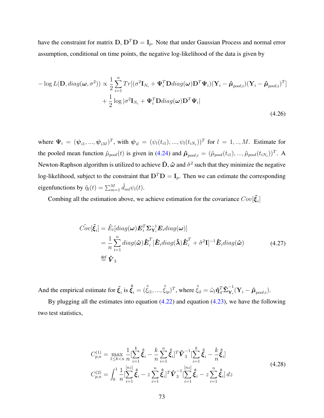have the constraint for matrix  $D$ ,  $D^T D = I_p$ . Note that under Gaussian Process and normal error assumption, conditional on time points, the negative log-likelihood of the data is given by

$$
-\log L(\mathbf{D}, diag(\boldsymbol{\omega}, \sigma^2)) \propto \frac{1}{2} \sum_{i=1}^n Tr[(\sigma^2 \mathbf{I}_{N_i} + \boldsymbol{\Psi}_i^T \mathbf{D} diag(\boldsymbol{\omega}) \mathbf{D}^T \boldsymbol{\Psi}_i) (\mathbf{Y}_i - \hat{\boldsymbol{\mu}}_{pool;i}) (\mathbf{Y}_i - \hat{\boldsymbol{\mu}}_{pool;i})^T ]
$$
  
+ 
$$
\frac{1}{2} \log |\sigma^2 \mathbf{I}_{N_i} + \boldsymbol{\Psi}_i^T \mathbf{D} diag(\boldsymbol{\omega}) \mathbf{D}^T \boldsymbol{\Psi}_i |
$$
(4.26)

where  $\Psi_i = (\psi_{i1}, ..., \psi_{iM})^T$ , with  $\psi_{il} = (\psi_l(t_{i1}), ..., \psi_l(t_{iN_i}))^T$  for  $l = 1, ..., M$ . Estimate for the pooled mean function  $\hat{\mu}_{pool}(t)$  is given in [\(4.24\)](#page-85-0) and  $\hat{\mu}_{pool;i} = (\hat{\mu}_{pool}(t_{i1}), ..., \hat{\mu}_{pool}(t_{iN_i}))^T$ . A Newton-Raphson algorithm is utilized to achieve  $\hat{D}$ ,  $\hat{\omega}$  and  $\hat{\sigma}^2$  such that they minimize the negative log-likelihood, subject to the constraint that  $D^T D = I_p$ . Then we can estimate the corresponding eigenfunctions by  $\hat{\eta}_l(t) = \sum_{m=1}^{M} \hat{d}_{ml} \psi_l(t)$ .

Combing all the estimation above, we achieve estimation for the covariance  $Cov[\tilde{\xi}_i]$ 

$$
\hat{Cov}[\tilde{\xi}_i] = \hat{E}_t[diag(\omega)\boldsymbol{E}_i^T \boldsymbol{\Sigma}_{\mathbf{Y}_i}^{-1} \boldsymbol{E}_i diag(\omega)]
$$
  
\n
$$
= \frac{1}{n} \sum_{i=1}^n diag(\hat{\omega}) \hat{\boldsymbol{E}}_i^T [\hat{\boldsymbol{E}}_i diag(\hat{\boldsymbol{\lambda}}) \hat{\boldsymbol{E}}_i^T + \hat{\sigma}^2 \mathbf{I}]^{-1} \hat{\boldsymbol{E}}_i diag(\hat{\omega})
$$
(4.27)  
\n
$$
\stackrel{\text{def}}{=} \hat{\boldsymbol{V}}_3
$$

And the empirical estimate for  $\tilde{\xi}_i$  is  $\hat{\tilde{\xi}}_i = (\hat{\tilde{\xi}}_{i1},...,\hat{\tilde{\xi}}_{ip})^T$ , where  $\hat{\tilde{\xi}}_{il} = \hat{\omega}_l \hat{\eta}_{il}^T \hat{\Sigma}_{\mathbf{Y}_i}^{-1}$  $\mathbf{Y}_i^{\mathsf{T}}(\mathbf{Y}_i - \boldsymbol{\hat{\mu}}_{pool;i}).$ 

By plugging all the estimates into equation [\(4.22\)](#page-84-1) and equation [\(4.23\)](#page-84-2), we have the following two test statistics,

$$
C_{p,n}^{(1)} = \max_{1 \le k < n} \frac{1}{n} \left[ \sum_{i=1}^k \hat{\xi}_i - \frac{k}{n} \sum_{i=1}^n \hat{\xi}_i \right]^T \hat{\mathbf{V}}_3^{-1} \left[ \sum_{i=1}^k \hat{\xi}_i - \frac{k}{n} \hat{\xi}_i \right]
$$
\n
$$
C_{p,n}^{(2)} = \int_0^1 \frac{1}{n} \left[ \sum_{i=1}^{\lfloor nz \rfloor} \hat{\xi}_i - z \sum_{i=1}^n \hat{\xi}_i \right]^T \hat{\mathbf{V}}_3^{-1} \left[ \sum_{i=1}^{\lfloor nz \rfloor} \hat{\xi}_i - z \sum_{i=1}^n \hat{\xi}_i \right] dz \tag{4.28}
$$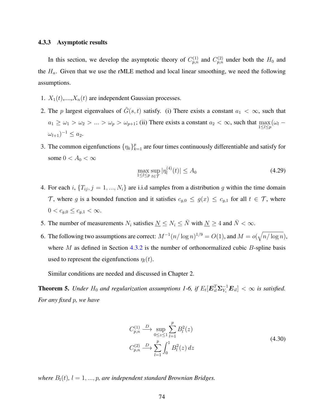#### <span id="page-87-0"></span>4.3.3 Asymptotic results

In this section, we develop the asymptotic theory of  $C_{p,n}^{(1)}$  and  $C_{p,n}^{(2)}$  under both the  $H_0$  and the  $H_a$ . Given that we use the rMLE method and local linear smoothing, we need the following assumptions.

- 1.  $X_1(t),...,X_n(t)$  are independent Gaussian processes.
- 2. The *p* largest eigenvalues of  $\tilde{G}(s,t)$  satisfy. (i) There exists a constant  $a_1 < \infty$ , such that  $a_1 \ge \omega_1 > \omega_2 > ... > \omega_p > \omega_{p+1}$ ; (ii) There exists a constant  $a_2 < \infty$ , such that  $\max_{1 \le l \le p} (\omega_l - \omega_l)$  $(\omega_{l+1})^{-1} \leq a_2.$
- 3. The common eigenfunctions  $\{\eta_k\}_{k=1}^p$  are four times continuously differentiable and satisfy for some  $0 < A_0 < \infty$

$$
\max_{1 \leq l \leq p} \sup_{t \in \mathcal{T}} |\eta_l^{(4)}(t)| \leq A_0 \tag{4.29}
$$

- 4. For each *i*,  ${T_{ij}, j = 1, ..., N_i}$  are i.i.d samples from a distribution *g* within the time domain T, where *g* is a bounded function and it satisfies  $c_{g,0} \le g(x) \le c_{g,1}$  for all  $t \in \mathcal{T}$ , where  $0 < c_{g,0} \leq c_{g,1} < \infty.$
- 5. The number of measurements  $N_i$  satisfies  $\underline{N} \leq N_i \leq \overline{N}$  with  $\underline{N} \geq 4$  and  $\overline{N} < \infty$ .
- 6. The following two assumptions are correct:  $M^{-1}(n/\log n)^{1/9} = O(1)$ , and  $M = o(\sqrt{n/\log n})$ , where *M* as defined in Section [4.3.2](#page-85-1) is the number of orthonormalized cubic *B*-spline basis used to represent the eigenfunctions  $\eta_l(t)$ .

Similar conditions are needed and discussed in Chapter 2.

<span id="page-87-1"></span>**Theorem 5.** Under  $H_0$  and regularization assumptions 1-6, if  $E_t[\mathbf{E}_{il}^T\Sigma_{Y_i}^{-1}\mathbf{E}_{il}] < \infty$  is satisfied. *For any fixed p, we have*

$$
C_{p,n}^{(1)} \xrightarrow{D} \sup_{0 \le z \le 1} \sum_{l=1}^{p} B_l^2(z)
$$
  
\n
$$
C_{p,n}^{(2)} \xrightarrow{D} \sum_{l=1}^{p} \int_0^1 B_l^2(z) dz
$$
\n(4.30)

*where*  $B_l(t)$ ,  $l = 1, ..., p$ , are independent standard Brownian Bridges.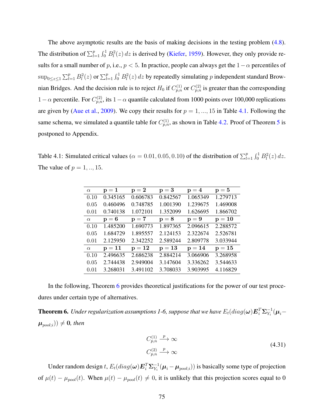The above asymptotic results are the basis of making decisions in the testing problem [\(4.8\)](#page-81-1). The distribution of  $\sum_{l=1}^{p} \int_0^1 B_l^2(z) dz$  is derived by [\(Kiefer,](#page-113-2) [1959\)](#page-113-2). However, they only provide results for a small number of *p*, i.e., *p <* 5. In practice, people can always get the 1−*α* percentiles of  $\sup_{0\leq z\leq 1}\sum_{l=1}^p B_l^2(z)$  or  $\sum_{l=1}^p \int_0^1 B_l^2(z)\,dz$  by repeatedly simulating *p* independent standard Brownian Bridges. And the decision rule is to reject  $H_0$  if  $C_{p,n}^{(1)}$  or  $C_{p,n}^{(2)}$  is greater than the corresponding 1 − *α* percentile. For  $C_{p,n}^{(2)}$ , its 1 − *α* quantile calculated from 1000 points over 100,000 replications are given by [\(Aue et al.,](#page-111-1) [2009\)](#page-111-1). We copy their results for  $p = 1, ..., 15$  in Table [4.1.](#page-88-0) Following the same schema, we simulated a quantile table for  $C_{p,n}^{(1)}$ , as shown in Table [4.2.](#page-89-1) Proof of Theorem [5](#page-87-1) is postponed to Appendix.

<span id="page-88-0"></span>Table 4.1: Simulated critical values ( $\alpha = 0.01, 0.05, 0.10$ ) of the distribution of  $\sum_{l=1}^{p} \int_0^1 B_l^2(z) dz$ . The value of  $p = 1, ..., 15$ .

| $\alpha$ | $\mathbf{p}=\mathbf{1}$ | $p=2$    | $p=3$    | $p = 4$  | $p=5$    |
|----------|-------------------------|----------|----------|----------|----------|
| 0.10     | 0.345165                | 0.606783 | 0.842567 | 1.065349 | 1.279713 |
| 0.05     | 0.460496                | 0.748785 | 1.001390 | 1.239675 | 1.469008 |
| 0.01     | 0.740138                | 1.072101 | 1.352099 | 1.626695 | 1.866702 |
| $\alpha$ | $p = 6$                 | $p=7$    | $p = 8$  | $p = 9$  | $p = 10$ |
| 0.10     | 1.485200                | 1.690773 | 1.897365 | 2.096615 | 2.288572 |
| 0.05     | 1.684729                | 1.895557 | 2.124153 | 2.322674 | 2.526781 |
| 0.01     | 2.125950                | 2.342252 | 2.589244 | 2.809778 | 3.033944 |
| $\alpha$ | $p = 11$                | $p = 12$ | $p=13$   | $p = 14$ | $p = 15$ |
| 0.10     | 2.496635                | 2.686238 | 2.884214 | 3.066906 | 3.268958 |
| 0.05     | 2.744438                | 2.949004 | 3.147604 | 3.336262 | 3.544633 |
| 0.01     | 3.268031                | 3.491102 | 3.708033 | 3.903995 | 4.116829 |

In the following, Theorem [6](#page-88-1) provides theoretical justifications for the power of our test procedures under certain type of alternatives.

<span id="page-88-1"></span>**Theorem 6.** Under regularization assumptions 1-6, suppose that we have  $E_t(diag(\bm{\omega})\bm{E}_i^T\bm{\Sigma}_{Y_i}^{-1}(\bm{\mu}_i-\bm{\omega})$  $(\boldsymbol{\mu}_{pool;i})) \neq \boldsymbol{0}$ *, then* 

$$
C_{p,n}^{(1)} \xrightarrow{p} \infty
$$
  
\n
$$
C_{p,n}^{(2)} \xrightarrow{p} \infty
$$
\n(4.31)

Under random design *t*,  $E_t(diag(\omega)E_i^T\Sigma_{Y_i}^{-1}(\mu_i-\mu_{pool;i}))$  is basically some type of projection of  $\mu(t) - \mu_{pool}(t)$ . When  $\mu(t) - \mu_{pool}(t) \neq 0$ , it is unlikely that this projection scores equal to 0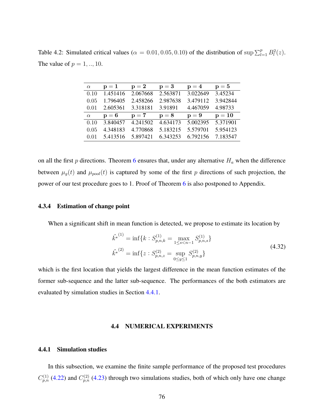<span id="page-89-1"></span>Table 4.2: Simulated critical values ( $\alpha = 0.01, 0.05, 0.10$ ) of the distribution of sup  $\sum_{l=1}^{p} B_l^2(z)$ . The value of  $p = 1, ..., 10$ .

| $\alpha$ | $p = 1$  | $p = 2$  | $p = 3$  | $p = 4$  | $p=5$    |
|----------|----------|----------|----------|----------|----------|
| 0.10     | 1.451416 | 2.067668 | 2.563871 | 3.022649 | 3.45234  |
| 0.05     | 1.796405 | 2.458266 | 2.987638 | 3.479112 | 3.942844 |
| 0.01     | 2.605361 | 3.318181 | 3.91891  | 4.467059 | 4.98733  |
|          |          |          |          |          |          |
| $\alpha$ | $p=6$    | $p=7$    | $p = 8$  | $p = 9$  | $p = 10$ |
| 0.10     | 3.840457 | 4.241502 | 4.634173 | 5.002395 | 5.371901 |
| 0.05     | 4.348183 | 4.770868 | 5.183215 | 5.579701 | 5.954123 |

on all the first  $p$  directions. Theorem [6](#page-88-1) ensures that, under any alternative  $H_a$  when the difference between  $\mu_g(t)$  and  $\mu_{pool}(t)$  is captured by some of the first *p* directions of such projection, the power of our test procedure goes to 1. Proof of Theorem [6](#page-88-1) is also postponed to Appendix.

## 4.3.4 Estimation of change point

When a significant shift in mean function is detected, we propose to estimate its location by

<span id="page-89-3"></span>
$$
\hat{k}^{*(1)} = \inf \{ k : S_{p,n,k}^{(1)} = \max_{1 \le s < n-1} S_{p,n,s}^{(1)} \}
$$
\n
$$
\hat{k}^{*(2)} = \inf \{ z : S_{p,n,z}^{(2)} = \sup_{0 \le y \le 1} S_{p,n,y}^{(2)} \}
$$
\n
$$
(4.32)
$$

which is the first location that yields the largest difference in the mean function estimates of the former sub-sequence and the latter sub-sequence. The performances of the both estimators are evaluated by simulation studies in Section [4.4.1.](#page-89-2)

#### 4.4 NUMERICAL EXPERIMENTS

## <span id="page-89-2"></span><span id="page-89-0"></span>4.4.1 Simulation studies

In this subsection, we examine the finite sample performance of the proposed test procedures  $C_{p,n}^{(1)}$  [\(4.22\)](#page-84-1) and  $C_{p,n}^{(2)}$  [\(4.23\)](#page-84-2) through two simulations studies, both of which only have one change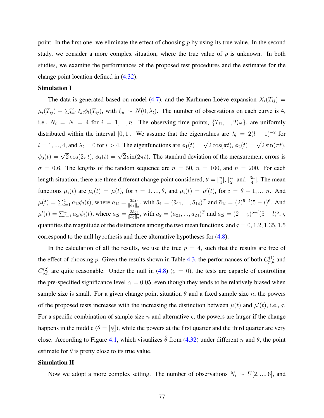point. In the first one, we eliminate the effect of choosing *p* by using its true value. In the second study, we consider a more complex situation, where the true value of  $p$  is unknown. In both studies, we examine the performances of the proposed test procedures and the estimates for the change point location defined in [\(4.32\)](#page-89-3).

## Simulation I

The data is generated based on model [\(4.7\)](#page-80-1), and the Karhunen-Loève expansion  $X_i(T_{ij})$  =  $\mu_i(T_{ij}) + \sum_{l=1}^{\infty} \xi_{il} \phi_l(T_{ij})$ , with  $\xi_{il} \sim N(0, \lambda_l)$ . The number of observations on each curve is 4, i.e.,  $N_i = N = 4$  for  $i = 1, ..., n$ . The observing time points,  $\{T_{i1}, ..., T_{iN}\}$ , are uniformly distributed within the interval [0, 1]. We assume that the eigenvalues are  $\lambda_l = 2(l + 1)^{-2}$  for  $l = 1, ..., 4$ , and  $\lambda_l = 0$  for  $l > 4$ . The eigenfunctions are  $\phi_1(t) = \sqrt{2} \cos(\pi t), \phi_2(t) = \sqrt{2} \sin(\pi t)$ ,  $\phi_3(t) = \sqrt{2} \cos(2\pi t), \, \phi_4(t) = \sqrt{2} \sin(2\pi t)$ . The standard deviation of the measurement errors is  $\sigma = 0.6$ . The lengths of the random sequence are  $n = 50$ ,  $n = 100$ , and  $n = 200$ . For each length situation, there are three different change point considered,  $\theta = \begin{bmatrix} \frac{n}{4} \end{bmatrix}$ ,  $\begin{bmatrix} \frac{n}{2} \end{bmatrix}$  $\frac{n}{2}$ ] and  $\left[\frac{3n}{4}\right]$  $\frac{3n}{4}$ . The mean functions  $\mu_i(t)$  are  $\mu_i(t) = \mu(t)$ , for  $i = 1, ..., \theta$ , and  $\mu_i(t) = \mu'(t)$ , for  $i = \theta + 1, ..., n$ . And  $\mu(t) = \sum_{l=1}^{4} a_{1l} \phi_l(t)$ , where  $a_{1l} = \frac{3\bar{a}_{1l}}{\|\bar{a}_1\|}$  $\frac{3\bar{a}_{1l}}{\|\bar{a}_1\|_2}$ , with  $\bar{a}_1 = (\bar{a}_{11},...,\bar{a}_{14})^T$  and  $\bar{a}_{1l} = (2)^{5-l}(5-l)^6$ . And  $\mu'(t) = \sum_{l=1}^{4} a_{2l} \phi_l(t)$ , where  $a_{2l} = \frac{3 \bar{a}_{2l}}{\|\bar{a}_2\|}$  $\frac{3\bar{a}_{2l}}{\|\bar{a}_2\|_2}$ , with  $\bar{a}_2 = (\bar{a}_{21},...,\bar{a}_{24})^T$  and  $\bar{a}_{2l} = (2 - \varsigma)^{5-l}(5 - l)^6$ . quantifies the magnitude of the distinctions among the two mean functions, and  $\zeta = 0, 1.2, 1.35, 1.5$ correspond to the null hypothesis and three alternative hypotheses for [\(4.8\)](#page-81-1).

In the calculation of all the results, we use the true  $p = 4$ , such that the results are free of the effect of choosing *p*. Given the results shown in Table [4.3,](#page-91-0) the performances of both  $C_{p,n}^{(1)}$  and  $C_{p,n}^{(2)}$  are quite reasonable. Under the null in [\(4.8\)](#page-81-1) ( $\varsigma = 0$ ), the tests are capable of controlling the pre-specified significance level  $\alpha = 0.05$ , even though they tends to be relatively biased when sample size is small. For a given change point situation  $\theta$  and a fixed sample size *n*, the powers of the proposed tests increases with the increasing the distinction between  $\mu(t)$  and  $\mu'(t)$ , i.e.,  $\varsigma$ . For a specific combination of sample size  $n$  and alternative  $\varsigma$ , the powers are larger if the change happens in the middle  $(\theta = \lceil \frac{n}{2} \rceil)$ , while the powers at the first quarter and the third quarter are very close. According to Figure [4.1,](#page-93-0) which visualizes  $\hat{\theta}$  from [\(4.32\)](#page-89-3) under different *n* and  $\theta$ , the point estimate for  $\theta$  is pretty close to its true value.

## Simulation II

Now we adopt a more complex setting. The number of observations  $N_i \sim U[2, ..., 6]$ , and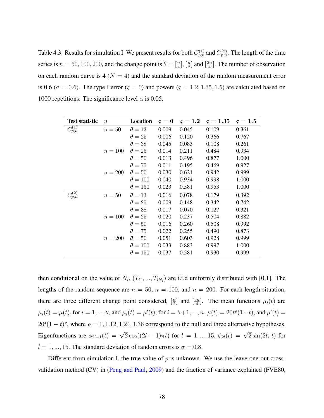<span id="page-91-0"></span>Table 4.3: Results for simulation I. We present results for both  $C_{p,n}^{(1)}$  and  $C_{p,n}^{(2)}$ . The length of the time series is  $n = 50, 100, 200$ , and the change point is  $\theta = \begin{bmatrix} \frac{n}{4} \end{bmatrix}$ ,  $\begin{bmatrix} \frac{n}{2} \end{bmatrix}$  $\frac{n}{2}$  and  $\left[\frac{3n}{4}\right]$  $\frac{3n}{4}$ . The number of observation on each random curve is  $4 (N = 4)$  and the standard deviation of the random measurement error is 0.6 ( $\sigma = 0.6$ ). The type I error ( $\varsigma = 0$ ) and powers ( $\varsigma = 1.2, 1.35, 1.5$ ) are calculated based on 1000 repetitions. The significance level  $\alpha$  is 0.05.

| <b>Test statistic</b> | $\boldsymbol{n}$ | Location       | $\varsigma=0$ | $\varsigma = 1.2$ | $\varsigma = 1.35$ | $\varsigma = 1.5$ |
|-----------------------|------------------|----------------|---------------|-------------------|--------------------|-------------------|
| $C_{p,n}^{(1)}$       | $n=50$           | $\theta=13$    | 0.009         | 0.045             | 0.109              | 0.361             |
|                       |                  | $\theta=25$    | 0.006         | 0.120             | 0.366              | 0.767             |
|                       |                  | $\theta = 38$  | 0.045         | 0.083             | 0.108              | 0.261             |
|                       | $n = 100$        | $\theta=25$    | 0.014         | 0.211             | 0.484              | 0.934             |
|                       |                  | $\theta = 50$  | 0.013         | 0.496             | 0.877              | 1.000             |
|                       |                  | $\theta = 75$  | 0.011         | 0.195             | 0.469              | 0.927             |
|                       | $n = 200$        | $\theta = 50$  | 0.030         | 0.621             | 0.942              | 0.999             |
|                       |                  | $\theta = 100$ | 0.040         | 0.934             | 0.998              | 1.000             |
|                       |                  | $\theta = 150$ | 0.023         | 0.581             | 0.953              | 1.000             |
| $C_{p,n}^{(2)}$       | $n=50$           | $\theta=13$    | 0.016         | 0.078             | 0.179              | 0.392             |
|                       |                  | $\theta=25$    | 0.009         | 0.148             | 0.342              | 0.742             |
|                       |                  | $\theta = 38$  | 0.017         | 0.070             | 0.127              | 0.321             |
|                       | $n = 100$        | $\theta=25$    | 0.020         | 0.237             | 0.504              | 0.882             |
|                       |                  | $\theta = 50$  | 0.016         | 0.260             | 0.508              | 0.992             |
|                       |                  | $\theta = 75$  | 0.022         | 0.255             | 0.490              | 0.873             |
|                       | $n=200$          | $\theta = 50$  | 0.051         | 0.603             | 0.928              | 0.999             |
|                       |                  | $\theta = 100$ | 0.033         | 0.883             | 0.997              | 1.000             |
|                       |                  | $\theta = 150$ | 0.037         | 0.581             | 0.930              | 0.999             |

then conditional on the value of  $N_i$ ,  $(T_{i1},...,T_{iN_i})$  are i.i.d uniformly distributed with [0,1]. The lengths of the random sequence are  $n = 50$ ,  $n = 100$ , and  $n = 200$ . For each length situation, there are three different change point considered,  $\left[\frac{n}{2}\right]$  $\frac{n}{2}$  and  $\left[\frac{3n}{4}\right]$  $\frac{3n}{4}$ . The mean functions  $\mu_i(t)$  are  $\mu_i(t) = \mu(t)$ , for  $i = 1, ..., \theta$ , and  $\mu_i(t) = \mu'(t)$ , for  $i = \theta + 1, ..., n$ .  $\mu(t) = 20t^{\rho}(1-t)$ , and  $\mu'(t) =$  $20t(1-t)$ <sup>o</sup>, where  $\rho = 1, 1.12, 1.24, 1.36$  correspond to the null and three alternative hypotheses. Eigenfunctions are  $\phi_{2l-1}(t) = \sqrt{2} \cos((2l-1)\pi t)$  for  $l = 1, ..., 15, \ \phi_{2l}(t) = \sqrt{2} \sin(2l\pi t)$  for  $l = 1, ..., 15$ . The standard deviation of random errors is  $\sigma = 0.8$ .

Different from simulation I, the true value of *p* is unknown. We use the leave-one-out crossvalidation method (CV) in [\(Peng and Paul,](#page-114-0) [2009\)](#page-114-0) and the fraction of variance explained (FVE80,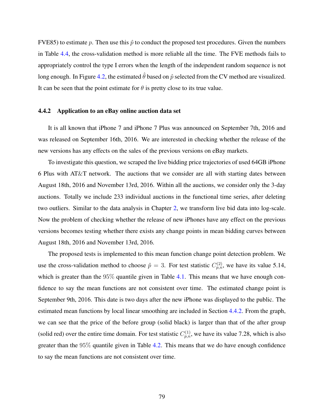FVE85) to estimate p. Then use this  $\hat{p}$  to conduct the proposed test procedures. Given the numbers in Table [4.4,](#page-94-0) the cross-validation method is more reliable all the time. The FVE methods fails to appropriately control the type I errors when the length of the independent random sequence is not long enough. In Figure [4.2,](#page-95-0) the estimated  $\hat{\theta}$  based on  $\hat{p}$  selected from the CV method are visualized. It can be seen that the point estimate for  $\theta$  is pretty close to its true value.

## <span id="page-92-0"></span>4.4.2 Application to an eBay online auction data set

It is all known that iPhone 7 and iPhone 7 Plus was announced on September 7th, 2016 and was released on September 16th, 2016. We are interested in checking whether the release of the new versions has any effects on the sales of the previous versions on eBay markets.

To investigate this question, we scraped the live bidding price trajectories of used 64GB iPhone 6 Plus with AT&T network. The auctions that we consider are all with starting dates between August 18th, 2016 and November 13rd, 2016. Within all the auctions, we consider only the 3-day auctions. Totally we include 233 individual auctions in the functional time series, after deleting two outliers. Similar to the data analysis in Chapter [2,](#page-22-0) we transform live bid data into log-scale. Now the problem of checking whether the release of new iPhones have any effect on the previous versions becomes testing whether there exists any change points in mean bidding curves between August 18th, 2016 and November 13rd, 2016.

The proposed tests is implemented to this mean function change point detection problem. We use the cross-validation method to choose  $\hat{p} = 3$ . For test statistic  $C_{p,n}^{(2)}$ , we have its value 5.14, which is greater than the  $95\%$  quantile given in Table [4.1.](#page-88-0) This means that we have enough confidence to say the mean functions are not consistent over time. The estimated change point is September 9th, 2016. This date is two days after the new iPhone was displayed to the public. The estimated mean functions by local linear smoothing are included in Section [4.4.2.](#page-92-0) From the graph, we can see that the price of the before group (solid black) is larger than that of the after group (solid red) over the entire time domain. For test statistic  $C_{p,n}^{(1)}$ , we have its value 7.28, which is also greater than the 95% quantile given in Table [4.2.](#page-89-1) This means that we do have enough confidence to say the mean functions are not consistent over time.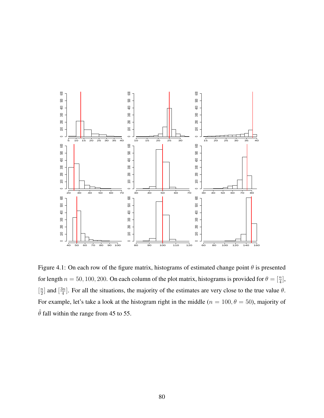

<span id="page-93-0"></span>Figure 4.1: On each row of the figure matrix, histograms of estimated change point *θ* is presented for length  $n = 50, 100, 200$ . On each column of the plot matrix, histograms is provided for  $\theta = \begin{bmatrix} \frac{n}{4} \end{bmatrix}$ ,  $\left[\frac{n}{2}\right]$  $\frac{n}{2}$  and  $\left[\frac{3n}{4}\right]$  $\frac{3n}{4}$ . For all the situations, the majority of the estimates are very close to the true value  $\theta$ . For example, let's take a look at the histogram right in the middle (*n* = 100*, θ* = 50), majority of  $\hat{\theta}$  fall within the range from 45 to 55.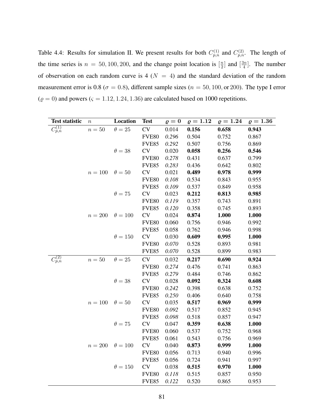<span id="page-94-0"></span>Table 4.4: Results for simulation II. We present results for both  $C_{p,n}^{(1)}$  and  $C_{p,n}^{(2)}$ . The length of the time series is  $n = 50, 100, 200$ , and the change point location is  $\left[\frac{n}{2}\right]$  $\frac{n}{2}$  and  $\left[\frac{3n}{4}\right]$  $\frac{3n}{4}$ . The number of observation on each random curve is  $4(N = 4)$  and the standard deviation of the random measurement error is 0.8 ( $\sigma$  = 0.8), different sample sizes ( $n = 50, 100,$  or 200). The type I error  $(\varrho = 0)$  and powers  $(\varsigma = 1.12, 1.24, 1.36)$  are calculated based on 1000 repetitions.

| <b>Test statistic</b> | $\boldsymbol{n}$ | Location       | <b>Test</b>   | $\varrho=0$ | $\rho = 1.12$ | $\rho = 1.24$ | $\rho = 1.36$ |
|-----------------------|------------------|----------------|---------------|-------------|---------------|---------------|---------------|
| $C_{p,n}^{(1)}$       | $n=50$           | $\theta=25$    | <b>CV</b>     | 0.014       | 0.156         | 0.658         | 0.943         |
|                       |                  |                | <b>FVE80</b>  | 0.296       | 0.504         | 0.752         | 0.867         |
|                       |                  |                | <b>FVE85</b>  | 0.292       | 0.507         | 0.756         | 0.869         |
|                       |                  | $\theta = 38$  | CV            | 0.020       | 0.058         | 0.256         | 0.546         |
|                       |                  |                | <b>FVE80</b>  | 0.278       | 0.431         | 0.637         | 0.799         |
|                       |                  |                | <b>FVE85</b>  | 0.283       | 0.436         | 0.642         | 0.802         |
|                       | $n=100$          | $\theta = 50$  | ${\rm CV}$    | 0.021       | 0.489         | 0.978         | 0.999         |
|                       |                  |                | <b>FVE80</b>  | 0.108       | 0.534         | 0.843         | 0.955         |
|                       |                  |                | <b>FVE85</b>  | 0.109       | 0.537         | 0.849         | 0.958         |
|                       |                  | $\theta = 75$  | ${\rm CV}$    | 0.023       | 0.212         | 0.813         | 0.985         |
|                       |                  |                | <b>FVE80</b>  | 0.119       | 0.357         | 0.743         | 0.891         |
|                       |                  |                | <b>FVE85</b>  | 0.120       | 0.358         | 0.745         | 0.893         |
|                       | $n=200$          | $\theta = 100$ | ${\rm CV}$    | 0.024       | 0.874         | 1.000         | 1.000         |
|                       |                  |                | <b>FVE80</b>  | 0.060       | 0.756         | 0.946         | 0.992         |
|                       |                  |                | <b>FVE85</b>  | 0.058       | 0.762         | 0.946         | 0.998         |
|                       |                  | $\theta = 150$ | $\mathrm{CV}$ | 0.030       | 0.609         | 0.995         | 1.000         |
|                       |                  |                | <b>FVE80</b>  | 0.070       | 0.528         | 0.893         | 0.981         |
|                       |                  |                | <b>FVE85</b>  | $0.070\,$   | 0.528         | 0.899         | 0.983         |
| $C_{p,n}^{(2)}$       | $n=50$           | $\theta = 25$  | CV            | 0.032       | 0.217         | 0.690         | 0.924         |
|                       |                  |                | <b>FVE80</b>  | 0.274       | 0.476         | 0.741         | 0.863         |
|                       |                  |                | <b>FVE85</b>  | 0.279       | 0.484         | 0.746         | 0.862         |
|                       |                  | $\theta = 38$  | ${\rm CV}$    | 0.028       | 0.092         | 0.324         | 0.608         |
|                       |                  |                | <b>FVE80</b>  | 0.242       | 0.398         | 0.638         | 0.752         |
|                       |                  |                | <b>FVE85</b>  | 0.250       | 0.406         | 0.640         | 0.758         |
|                       | $n=100$          | $\theta=50$    | CV            | 0.035       | 0.517         | 0.969         | 0.999         |
|                       |                  |                | <b>FVE80</b>  | 0.092       | 0.517         | 0.852         | 0.945         |
|                       |                  |                | <b>FVE85</b>  | 0.098       | 0.518         | 0.857         | 0.947         |
|                       |                  | $\theta = 75$  | CV            | 0.047       | 0.359         | 0.638         | 1.000         |
|                       |                  |                | <b>FVE80</b>  | 0.060       | 0.537         | 0.752         | 0.968         |
|                       |                  |                | <b>FVE85</b>  | 0.061       | 0.543         | 0.756         | 0.969         |
|                       | $n = 200$        | $\theta = 100$ | ${\rm CV}$    | 0.040       | 0.873         | 0.999         | 1.000         |
|                       |                  |                | <b>FVE80</b>  | 0.056       | 0.713         | 0.940         | 0.996         |
|                       |                  |                | <b>FVE85</b>  | 0.056       | 0.724         | 0.941         | 0.997         |
|                       |                  | $\theta = 150$ | <b>CV</b>     | 0.038       | 0.515         | 0.970         | 1.000         |
|                       |                  |                | <b>FVE80</b>  | 0.118       | 0.515         | 0.857         | 0.950         |
|                       |                  |                | <b>FVE85</b>  | 0.122       | 0.520         | 0.865         | 0.953         |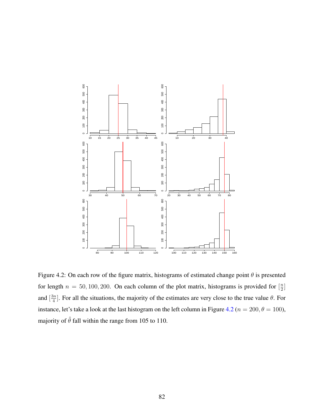

<span id="page-95-0"></span>Figure 4.2: On each row of the figure matrix, histograms of estimated change point *θ* is presented for length  $n = 50, 100, 200$ . On each column of the plot matrix, histograms is provided for  $\left[\frac{n}{2}\right]$  $\frac{n}{2}$ ] and  $\left[\frac{3n}{4}\right]$  $\frac{4}{4}$ . For all the situations, the majority of the estimates are very close to the true value  $\theta$ . For instance, let's take a look at the last histogram on the left column in Figure [4.2](#page-95-0) ( $n = 200, \theta = 100$ ), majority of  $\hat{\theta}$  fall within the range from 105 to 110.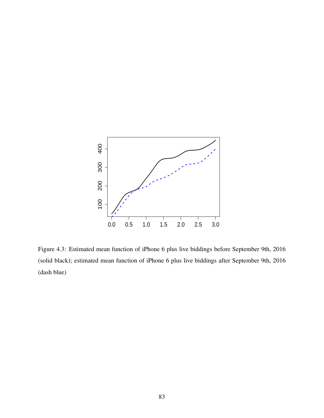

Figure 4.3: Estimated mean function of iPhone 6 plus live biddings before September 9th, 2016 (solid black); estimated mean function of iPhone 6 plus live biddings after September 9th, 2016 (dash blue)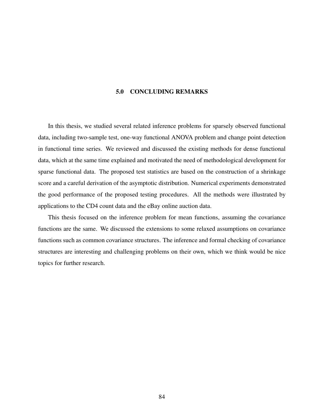# 5.0 CONCLUDING REMARKS

In this thesis, we studied several related inference problems for sparsely observed functional data, including two-sample test, one-way functional ANOVA problem and change point detection in functional time series. We reviewed and discussed the existing methods for dense functional data, which at the same time explained and motivated the need of methodological development for sparse functional data. The proposed test statistics are based on the construction of a shrinkage score and a careful derivation of the asymptotic distribution. Numerical experiments demonstrated the good performance of the proposed testing procedures. All the methods were illustrated by applications to the CD4 count data and the eBay online auction data.

This thesis focused on the inference problem for mean functions, assuming the covariance functions are the same. We discussed the extensions to some relaxed assumptions on covariance functions such as common covariance structures. The inference and formal checking of covariance structures are interesting and challenging problems on their own, which we think would be nice topics for further research.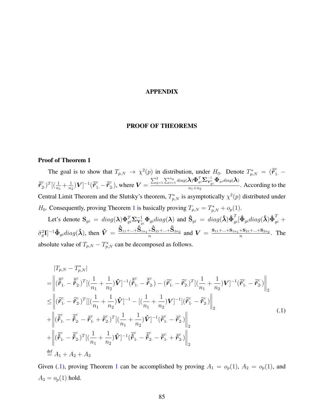#### APPENDIX

## PROOF OF THEOREMS

## Proof of Theorem 1

The goal is to show that  $T_{p,N} \to \chi^2(p)$  in distribution, under  $H_0$ . Denote  $T_{p,N}^* = (\bar{r}_{1}^c \bar{\tilde{r}}_{2}^{c}$  $\binom{c}{2}$ <sup>T</sup> $\left[\left(\frac{1}{n_1} + \frac{1}{n_2}\right)$  $\frac{1}{n_2}$ ) $\boldsymbol{V}]^{-1}$  $(\boldsymbol{\tilde{\bar{r}}}_1^c$   $- \boldsymbol{\tilde{\bar{r}}}_2^c$  $\binom{c}{2}$ , where  $V =$  $\sum_{g=1}^2\sum_{i=1}^{ng}diag(\boldsymbol{\lambda})\boldsymbol{\Phi}_{gi}^T\boldsymbol{\Sigma}_{\boldsymbol{\Upsilon}_{gi}^c}^{-1}\boldsymbol{\Phi}_{gidiag}(\boldsymbol{\lambda})$  $\frac{f(x+h_1+h_2)}{h_1+h_2}$ . According to the Central Limit Theorem and the Slutsky's theorem,  $T_{p,N}^*$  is asymptotically  $\chi^2(p)$  distributed under *H*<sub>0</sub>. Consequently, proving Theorem [1](#page-46-0) is basically proving  $T_{p,N} = T_{p,N}^* + o_p(1)$ .

Let's denote  $\mathbf{S}_{gi} = diag(\boldsymbol{\lambda}) \boldsymbol{\Phi}_{gi}^T \boldsymbol{\Sigma}_{\mathbf{Y}_{gi}^c}^{-1} \boldsymbol{\Phi}_{gi} diag(\boldsymbol{\lambda})$  and  $\mathbf{\hat{S}}_{gi} = diag(\boldsymbol{\hat{\lambda}}) \boldsymbol{\hat{\Phi}}_{gi}^T [\boldsymbol{\hat{\Phi}}_{gi} diag(\boldsymbol{\hat{\lambda}}) \boldsymbol{\hat{\Phi}}_{gi}^T +$  $\hat{\sigma}_g^2 \mathbf{I}$ ]<sup>-1</sup> $\hat{\Phi}_{gi} diag(\hat{\boldsymbol{\lambda}})$ , then  $\hat{\boldsymbol{V}} = \frac{\hat{\mathbf{S}}_{11} + ... + \hat{\mathbf{S}}_{1n_1} + \hat{\mathbf{S}}_{21} + ... + \hat{\mathbf{S}}_{2n_2}}{n}$  $\frac{N+S_{21}+...+S_{2n_2}}{n}$  and  $V = \frac{S_{11}+...+S_{1n_1}+S_{21}+...+S_{2n_2}}{n}$  $\frac{n^{1-3}21+...+32n_2}{n}$ . The absolute value of  $T_{p,N} - T_{p,N}^*$  can be decomposed as follows.

<span id="page-98-0"></span>
$$
|T_{p,N} - T_{p,N}^{*}|
$$
\n=
$$
\left\| (\bar{\tilde{\mathbf{r}}}_{1.}^{c} - \bar{\tilde{\mathbf{r}}}_{2.}^{c})^{T} [(\frac{1}{n_{1}} + \frac{1}{n_{2}}) \hat{\mathbf{V}}]^{-1} (\bar{\tilde{\mathbf{r}}}_{1.}^{c} - \bar{\tilde{\mathbf{r}}}_{2.}^{c}) - (\bar{\tilde{\mathbf{r}}}_{1.}^{c} - \bar{\tilde{\mathbf{r}}}_{2.}^{c})^{T} [(\frac{1}{n_{1}} + \frac{1}{n_{2}}) \mathbf{V}]^{-1} (\bar{\tilde{\mathbf{r}}}_{1.}^{c} - \bar{\tilde{\mathbf{r}}}_{2.}^{c}) \right\|_{2}
$$
\n
$$
\leq \left\| (\bar{\tilde{\mathbf{r}}}_{1.}^{c} - \bar{\tilde{\mathbf{r}}}_{2.}^{c})^{T} [[(\frac{1}{n_{1}} + \frac{1}{n_{2}}) \hat{\mathbf{V}}]^{-1} - [(\frac{1}{n_{1}} + \frac{1}{n_{2}}) \mathbf{V}]^{-1} [(\bar{\tilde{\mathbf{r}}}_{1.}^{c} - \bar{\tilde{\mathbf{r}}}_{2.}^{c}) \right\|_{2}
$$
\n
$$
+ \left\| (\bar{\tilde{\mathbf{r}}}_{1.}^{c} - \bar{\tilde{\mathbf{r}}}_{2.}^{c} - \bar{\tilde{\mathbf{r}}}_{1.}^{c} + \bar{\tilde{\mathbf{r}}}_{2.}^{c})^{T} [(\frac{1}{n_{1}} + \frac{1}{n_{2}}) \hat{\mathbf{V}}]^{-1} (\bar{\tilde{\mathbf{r}}}_{1.}^{c} - \bar{\tilde{\mathbf{r}}}_{2.}^{c}) \right\|_{2}
$$
\n
$$
+ \left\| (\bar{\tilde{\mathbf{r}}}_{1.}^{c} - \bar{\tilde{\mathbf{r}}}_{2.}^{c})^{T} [(\frac{1}{n_{1}} + \frac{1}{n_{2}}) \hat{\mathbf{V}}]^{-1} (\bar{\tilde{\mathbf{r}}}_{1.}^{c} - \bar{\tilde{\mathbf{r}}}_{2.}^{c} - \bar{\tilde{\mathbf{r}}}_{1.}^{c} + \bar{\tilde{\mathbf{r}}}_{2.}^{c}) \right\|_{2}
$$
\n

Given [\(.1\)](#page-98-0), proving Theorem [1](#page-46-0) can be accomplished by proving  $A_1 = o_p(1)$ ,  $A_2 = o_p(1)$ , and  $A_3 = o_p(1)$  hold.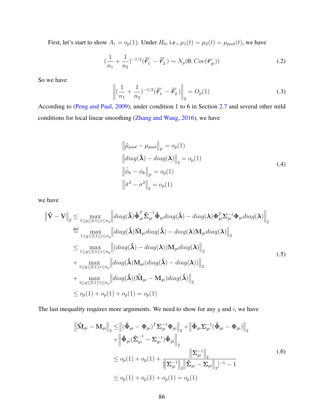First, let's start to show  $A_1 = o_p(1)$ . Under  $H_0$ , i.e.,  $\mu_1(t) = \mu_2(t) = \mu_{pool}(t)$ , we have

$$
\left(\frac{1}{n_1} + \frac{1}{n_2}\right)^{-1/2} (\vec{r}_{1.}^c - \vec{r}_{2.}^c) \sim N_p(\mathbf{0}, Cov(\tilde{r}_{gi}^c))
$$
\n(.2)

<span id="page-99-0"></span>So we have

$$
\left\| \left( \frac{1}{n_1} + \frac{1}{n_2} \right)^{-1/2} (\vec{r}_{1.}^c - \vec{r}_{2.}^c) \right\|_2 = O_p(1)
$$
 (3)

According to [\(Peng and Paul,](#page-114-0) [2009\)](#page-114-0), under condition 1 to 6 in Section [2.7](#page-45-0) and several other mild conditions for local linear smoothing [\(Zhang and Wang,](#page-115-1) [2016\)](#page-115-1), we have

$$
\left\|\hat{\mu}_{pool} - \mu_{pool}\right\|_{F} = o_{p}(1)
$$
  
\n
$$
\left\|diag(\hat{\lambda}) - diag(\lambda)\right\|_{2} = o_{p}(1)
$$
  
\n
$$
\left\|\hat{\phi}_{k} - \phi_{k}\right\|_{F} = o_{p}(1)
$$
  
\n
$$
\left\|\hat{\sigma}^{2} - \sigma^{2}\right\|_{2} = o_{p}(1)
$$
\n(.4)

<span id="page-99-1"></span>we have

$$
\begin{split}\n\left\|\hat{\mathbf{V}}-\mathbf{V}\right\|_{2} &\leq \max_{1\leq g\leq 2;1\leq i\leq n_{g}} \left\|\operatorname{diag}(\hat{\boldsymbol{\lambda}})\hat{\Phi}_{gi}^{T}\hat{\boldsymbol{\Sigma}}_{gi}^{-1}\hat{\Phi}_{gi}\operatorname{diag}(\hat{\boldsymbol{\lambda}})-\operatorname{diag}(\boldsymbol{\lambda})\Phi_{gi}^{T}\boldsymbol{\Sigma}_{gi}^{-1}\Phi_{gi}\operatorname{diag}(\boldsymbol{\lambda})\right\|_{2} \\
&\stackrel{\text{def}}{=} \max_{1\leq g\leq 2;1\leq i\leq n_{g}} \left\|\operatorname{diag}(\hat{\boldsymbol{\lambda}})\hat{\mathbf{M}}_{gi}\operatorname{diag}(\hat{\boldsymbol{\lambda}})-\operatorname{diag}(\boldsymbol{\lambda})\mathbf{M}_{gi}\operatorname{diag}(\boldsymbol{\lambda})\right\|_{2} \\
&\leq \max_{1\leq g\leq 2;1\leq i\leq n_{g}} \left\|\left(\operatorname{diag}(\hat{\boldsymbol{\lambda}})-\operatorname{diag}(\boldsymbol{\lambda})\right)\mathbf{M}_{gi}\operatorname{diag}(\boldsymbol{\lambda})\right\|_{2} \\
&\quad + \max_{1\leq g\leq 2;1\leq i\leq n_{g}} \left\|\operatorname{diag}(\hat{\boldsymbol{\lambda}})\mathbf{M}_{gi}(\operatorname{diag}(\hat{\boldsymbol{\lambda}})-\operatorname{diag}(\boldsymbol{\lambda}))\right\|_{2} \\
&\quad + \max_{1\leq g\leq 2;1\leq i\leq n_{g}} \left\|\operatorname{diag}(\hat{\boldsymbol{\lambda}})(\hat{\mathbf{M}}_{gi}-\mathbf{M}_{gi})\operatorname{diag}(\hat{\boldsymbol{\lambda}})\right\|_{2} \\
&\leq o_{p}(1) + o_{p}(1) + o_{p}(1) = o_{p}(1)\n\end{split} \tag{5}
$$

The last inequality requires more arguments. We need to show for any *g* and *i*, we have

$$
\left\| \hat{\mathbf{M}}_{gi} - \mathbf{M}_{gi} \right\|_{2} \leq \left\| (\hat{\Phi}_{gi} - \Phi_{gi})^{T} \Sigma_{gi}^{-1} \Phi_{gi} \right\|_{2} + \left\| \hat{\Phi}_{gi} \Sigma_{gi}^{-1} (\hat{\Phi}_{gi} - \Phi_{gi}) \right\|_{2} \n+ \left\| \hat{\Phi}_{gi} (\hat{\Sigma}_{gi}^{-1} - \Sigma_{gi}^{-1}) \hat{\Phi}_{gi} \right\|_{2} \n\leq o_{p}(1) + o_{p}(1) + \frac{\left\| \Sigma_{gi}^{-1} \right\|_{2}}{\left\| \Sigma_{gi}^{-1} \right\|_{2} \left\| \hat{\Sigma}_{gi} - \Sigma_{gi} \right\|_{2}^{-1} - 1}
$$
\n
$$
\leq o_{p}(1) + o_{p}(1) + o_{p}(1) = o_{p}(1)
$$
\n(.6)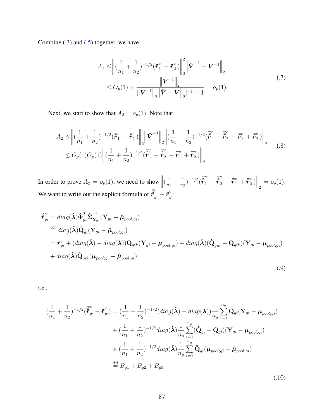Combine  $(.3)$  and  $(.5)$  together, we have

<span id="page-100-1"></span>
$$
A_1 \leq \left\| \left( \frac{1}{n_1} + \frac{1}{n_2} \right)^{-1/2} (\bar{\tilde{r}}_1^c - \bar{\tilde{r}}_2^c) \right\|_2^2 \left\| \hat{\mathbf{V}}^{-1} - \mathbf{V}^{-1} \right\|_2
$$
  
 
$$
\leq O_p(1) \times \frac{\left\| \mathbf{V}^{-1} \right\|_2}{\left\| \mathbf{V}^{-1} \right\|_2 \left\| \hat{\mathbf{V}} - \mathbf{V} \right\|_2 \left\| - 1 - 1 \right\|_2} = o_p(1)
$$
 (7)

Next, we start to show that  $A_2 = o_p(1)$ . Note that

$$
A_2 \leq \left\| \left( \frac{1}{n_1} + \frac{1}{n_2} \right)^{-1/2} (\bar{\tilde{\mathbf{r}}}^c_1 - \bar{\tilde{\mathbf{r}}}^c_2) \right\|_2 \left\| \hat{\mathbf{V}}^{-1} \right\|_2 \left\| (\frac{1}{n_1} + \frac{1}{n_2})^{-1/2} (\bar{\tilde{\mathbf{r}}}^c_1 - \bar{\tilde{\mathbf{r}}}^c_2 - \bar{\tilde{\mathbf{r}}}^c_1 + \bar{\tilde{\mathbf{r}}}^c_2) \right\|_2
$$
  
 
$$
\leq O_p(1) O_p(1) \left\| (\frac{1}{n_1} + \frac{1}{n_2})^{-1/2} (\bar{\tilde{\mathbf{r}}}^c_1 - \bar{\tilde{\mathbf{r}}}^c_2 - \bar{\tilde{\mathbf{r}}}^c_1 + \bar{\tilde{\mathbf{r}}}^c_2) \right\|_2
$$
 (8)

In order to prove  $A_2 = o_p(1)$ , we need to show  $\Big\|$  $\left(\frac{1}{n}\right)$  $\frac{1}{n_1} + \frac{1}{n_2}$  $\frac{1}{n_2}$ )<sup>-1/2</sup>( $\bar{\hat{\bm{r}}}^c_1$ . –  $\bar{\hat{\bm{r}}}^c_2$ . –  $\bar{\tilde{\bm{r}}}^c_1$ . +  $\bar{\tilde{\bm{r}}}^c_2$  $\left\| \frac{c}{2} \right\|_2 = o_p(1).$ We want to write out the explicit formula of  $\vec{\hat{r}}_g^c - \vec{r}_g^c$ *g*· :

$$
\hat{\boldsymbol{\tau}}_{gi}^{c} = diag(\hat{\boldsymbol{\lambda}}) \hat{\boldsymbol{\Phi}}_{gi}^{T} \hat{\boldsymbol{\Sigma}}_{\mathbf{Y}_{gi}}^{-1} (\mathbf{Y}_{gi} - \hat{\boldsymbol{\mu}}_{pool;gi})
$$
\n
$$
\stackrel{\text{def}}{=} diag(\hat{\boldsymbol{\lambda}}) \hat{\mathbf{Q}}_{gi} (\mathbf{Y}_{gi} - \hat{\boldsymbol{\mu}}_{pool;gi})
$$
\n
$$
= \tilde{\boldsymbol{r}}_{gi}^{c} + (diag(\hat{\boldsymbol{\lambda}}) - diag(\boldsymbol{\lambda})) \mathbf{Q}_{gik} (\mathbf{Y}_{gi} - \boldsymbol{\mu}_{pool;gi}) + diag(\hat{\boldsymbol{\lambda}}) (\hat{\mathbf{Q}}_{gik} - \mathbf{Q}_{gik}) (\mathbf{Y}_{gi} - \boldsymbol{\mu}_{pool;gi})
$$
\n
$$
+ diag(\hat{\boldsymbol{\lambda}}) \hat{\mathbf{Q}}_{gik} (\boldsymbol{\mu}_{pool;gi} - \hat{\boldsymbol{\mu}}_{pool;gi})
$$
\n(.9)

<span id="page-100-0"></span>i.e.,

$$
\begin{split}\n(\frac{1}{n_{1}} + \frac{1}{n_{2}})^{-1/2}(\tilde{\tilde{\boldsymbol{r}}}_{g.}^{c} - \tilde{\tilde{\boldsymbol{r}}}_{g.}^{c}) &= (\frac{1}{n_{1}} + \frac{1}{n_{2}})^{-1/2}(diag(\hat{\boldsymbol{\lambda}}) - diag(\boldsymbol{\lambda}))\frac{1}{n_{g}}\sum_{i=1}^{n_{g}}\mathbf{Q}_{gi}(\mathbf{Y}_{gi} - \boldsymbol{\mu}_{pool;gi}) \\
&+ (\frac{1}{n_{1}} + \frac{1}{n_{2}})^{-1/2}diag(\hat{\boldsymbol{\lambda}})\frac{1}{n_{g}}\sum_{i=1}^{n_{g}}(\hat{\mathbf{Q}}_{gi} - \mathbf{Q}_{gi})(\mathbf{Y}_{gi} - \boldsymbol{\mu}_{pool;gi}) \\
&+ (\frac{1}{n_{1}} + \frac{1}{n_{2}})^{-1/2}diag(\hat{\boldsymbol{\lambda}})\frac{1}{n_{g}}\sum_{i=1}^{n_{g}}\hat{\mathbf{Q}}_{gi}(\boldsymbol{\mu}_{pool;gi} - \hat{\boldsymbol{\mu}}_{pool;gi}) \\
&\stackrel{\text{def}}{=} B_{g1} + B_{g2} + B_{g3}\n\end{split} \tag{10}
$$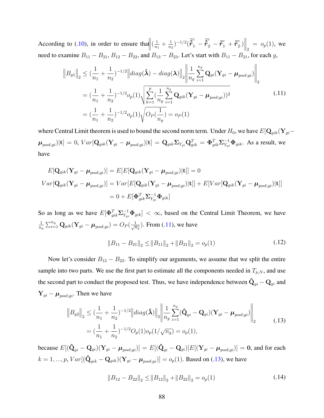According to [\(.10\)](#page-100-0), in order to ensure that  $\left(\frac{1}{n}\right)$  $\frac{1}{n_1} + \frac{1}{n_2}$  $\frac{1}{n_2}$ )<sup>-1/2</sup>( $\bar{\hat{\bm{r}}}^c_1$ . –  $\bar{\hat{\bm{r}}}^c_2$ . –  $\bar{\tilde{\bm{r}}}^c_1$ . +  $\bar{\tilde{\bm{r}}}^c_2$  $\begin{vmatrix} c \\ 2 \end{vmatrix}$  =  $o_p(1)$ , we need to examine  $B_{11} - B_{21}$ ,  $B_{12} - B_{22}$ , and  $B_{13} - B_{23}$ . Let's start with  $B_{11} - B_{21}$ , for each *g*,

<span id="page-101-0"></span>
$$
\|B_{g1}\|_{2} \leq (\frac{1}{n_{1}} + \frac{1}{n_{2}})^{-1/2} \left\| diag(\hat{\boldsymbol{\lambda}}) - diag(\boldsymbol{\lambda}) \right\|_{2} \left\| \frac{1}{n_{g}} \sum_{i=1}^{n_{g}} \mathbf{Q}_{gi} (\mathbf{Y}_{gi} - \boldsymbol{\mu}_{pool;gi}) \right\|_{2}
$$
  
=  $(\frac{1}{n_{1}} + \frac{1}{n_{2}})^{-1/2} o_{p}(1) \sqrt{\sum_{k=1}^{p} (\frac{1}{n_{g}} \sum_{i=1}^{n_{g}} \mathbf{Q}_{gik} (\mathbf{Y}_{gi} - \boldsymbol{\mu}_{pool;gi}))^{2}}$  (.11)  
=  $(\frac{1}{n_{1}} + \frac{1}{n_{2}})^{-1/2} o_{p}(1) \sqrt{O_{P}(\frac{1}{n_{g}})} = o_{P}(1)$ 

where Central Limit theorem is used to bound the second norm term. Under  $H_0$ , we have  $E[\mathbf{Q}_{gik}(\mathbf{Y}_{gi} \boldsymbol{\mu}_{pool;gi})[\mathbf{t}] = 0, Var[\mathbf{Q}_{gik}(\mathbf{Y}_{gi}-\boldsymbol{\mu}_{pool;gi})|\mathbf{t}] = \mathbf{Q}_{gik}\boldsymbol{\Sigma}_{Y_{gi}}\mathbf{Q}_{gik}^T = \boldsymbol{\Phi}_{gik}^T\boldsymbol{\Sigma}_{Y_{gi}}^{-1}\boldsymbol{\Phi}_{gik}.$  As a result, we have

$$
E[\mathbf{Q}_{gik}(\mathbf{Y}_{gi} - \boldsymbol{\mu}_{pool;gi})] = E[E[\mathbf{Q}_{gik}(\mathbf{Y}_{gi} - \boldsymbol{\mu}_{pool;gi})|\mathbf{t}]] = 0
$$
  
\n
$$
Var[\mathbf{Q}_{gik}(\mathbf{Y}_{gi} - \boldsymbol{\mu}_{pool;gi})] = Var[E[\mathbf{Q}_{gik}(\mathbf{Y}_{gi} - \boldsymbol{\mu}_{pool;gi})|\mathbf{t}]] + E[Var[\mathbf{Q}_{gik}(\mathbf{Y}_{gi} - \boldsymbol{\mu}_{pool;gi})|\mathbf{t}]]
$$
  
\n
$$
= 0 + E[\mathbf{\Phi}_{gik}^{T} \mathbf{\Sigma}_{Y_{gi}}^{-1} \mathbf{\Phi}_{gik}]
$$

So as long as we have  $E[\Phi_{gik}^T \Sigma_{Y_{gi}}^{-1} \Phi_{gik}] < \infty$ , based on the Central Limit Theorem, we have 1  $\frac{1}{n_g} \sum_{i=1}^{n_g} \mathbf{Q}_{gik}(\mathbf{Y}_{gi} - \boldsymbol{\mu}_{pool;gi}) = O_P(\frac{1}{\sqrt{n_g}})$ . From [\(.11\)](#page-101-0), we have

<span id="page-101-2"></span><span id="page-101-1"></span>
$$
||B_{11} - B_{21}||_2 \le ||B_{11}||_2 + ||B_{21}||_2 = o_p(1)
$$
\n(.12)

Now let's consider  $B_{12} - B_{22}$ . To simplify our arguments, we assume that we split the entire sample into two parts. We use the first part to estimate all the components needed in  $T_{p,N}$ , and use the second part to conduct the proposed test. Thus, we have independence between  $\mathbf{\hat{Q}}_{gi} - \mathbf{Q}_{gi}$  and  $\mathbf{Y}_{gi} - \boldsymbol{\mu}_{pool;gi}$ . Then we have

$$
\|B_{g2}\|_{2} \leq (\frac{1}{n_{1}} + \frac{1}{n_{2}})^{-1/2} \left\| diag(\hat{\boldsymbol{\lambda}}) \right\|_{2} \left\| \frac{1}{n_{g}} \sum_{i=1}^{n_{g}} (\hat{\mathbf{Q}}_{gi} - \mathbf{Q}_{gi}) (\mathbf{Y}_{gi} - \boldsymbol{\mu}_{pool;gi}) \right\|_{2}
$$
  
=  $(\frac{1}{n_{1}} + \frac{1}{n_{2}})^{-1/2} O_{p}(1) o_{p}(1/\sqrt{n_{g}}) = o_{p}(1),$  (13)

because  $E[(\hat{\bf Q}_{gi}-{\bf Q}_{gi})({\bf Y}_{gi}-{\bm\mu}_{pool;gi})]=E[(\hat{\bf Q}_{gi}-{\bf Q}_{gi})]E[({\bf Y}_{gi}-{\bm\mu}_{pool;gi})]={\bf 0},$  and for each  $k = 1, ..., p$ ,  $Var[(\hat{\mathbf{Q}}_{gik} - \mathbf{Q}_{gik})(\mathbf{Y}_{gi} - \boldsymbol{\mu}_{pool;gi})] = o_p(1)$ . Based on [\(.13\)](#page-101-1), we have

<span id="page-101-3"></span>
$$
||B_{12} - B_{22}||_2 \le ||B_{12}||_2 + ||B_{22}||_2 = o_p(1)
$$
\n(.14)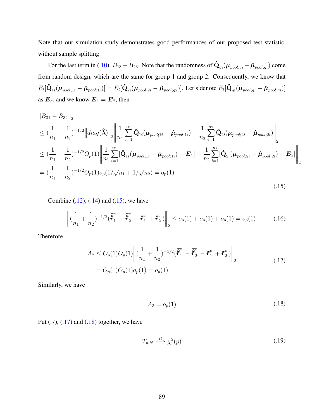Note that our simulation study demonstrates good performances of our proposed test statistic, without sample splitting.

For the last term in [\(.10\)](#page-100-0),  $B_{13}-B_{23}.$  Note that the randomness of  $\hat{\bf Q}_{gi}(\mu_{pool;gi}-\hat{\mu}_{pool;gi})$  come from random design, which are the same for group 1 and group 2. Consequently, we know that  $E_t[\hat{\bf Q}_{1i}(\mu_{pool;1i}-\hat{\mu}_{pool;1i})]=E_t[\hat{\bf Q}_{2i}(\mu_{pool;2i}-\hat{\mu}_{pool;g2})].$  Let's denote  $E_t[\hat{\bf Q}_{gi}(\mu_{pool;gi}-\hat{\mu}_{pool;gi})]$ as  $E_g$ , and we know  $E_1 = E_2$ , then

<span id="page-102-0"></span>
$$
\|B_{31} - B_{32}\|_2
$$
\n
$$
\leq (\frac{1}{n_1} + \frac{1}{n_2})^{-1/2} \|diag(\hat{\boldsymbol{\lambda}})\|_2 \left\| \frac{1}{n_1} \sum_{i=1}^{n_1} \hat{\mathbf{Q}}_{1i}(\boldsymbol{\mu}_{pool;1i} - \hat{\boldsymbol{\mu}}_{pool;1i}) - \frac{1}{n_2} \sum_{i=1}^{n_2} \hat{\mathbf{Q}}_{2i}(\boldsymbol{\mu}_{pool;2i} - \hat{\boldsymbol{\mu}}_{pool;2i}) \right\|_2
$$
\n
$$
\leq (\frac{1}{n_1} + \frac{1}{n_2})^{-1/2} O_p(1) \left\| \frac{1}{n_1} \sum_{i=1}^{n_1} [\hat{\mathbf{Q}}_{1i}(\boldsymbol{\mu}_{pool;1i} - \hat{\boldsymbol{\mu}}_{pool;1i}) - \mathbf{E}_1] - \frac{1}{n_2} \sum_{i=1}^{n_2} [\hat{\mathbf{Q}}_{2i}(\boldsymbol{\mu}_{pool;2i} - \hat{\boldsymbol{\mu}}_{pool;2i}) - \mathbf{E}_2] \right\|_2
$$
\n
$$
= (\frac{1}{n_1} + \frac{1}{n_2})^{-1/2} O_p(1) o_p(1/\sqrt{n_1} + 1/\sqrt{n_2}) = o_p(1)
$$
\n(15)

Combine  $(.12)$ ,  $(.14)$  and  $(.15)$ , we have

<span id="page-102-1"></span>
$$
\left\| \left( \frac{1}{n_1} + \frac{1}{n_2} \right)^{-1/2} \left( \tilde{\vec{r}}_1^c - \tilde{\vec{r}}_2^c - \bar{\vec{r}}_1^c + \bar{\vec{r}}_2^c \right) \right\|_2 \leq o_p(1) + o_p(1) + o_p(1) = o_p(1) \tag{16}
$$

Therefore,

<span id="page-102-2"></span>
$$
A_2 \le O_p(1)O_p(1)\left\| \left(\frac{1}{n_1} + \frac{1}{n_2}\right)^{-1/2} \left(\tilde{\tilde{r}}_1^c - \tilde{\tilde{r}}_2^c - \tilde{r}_1^c + \tilde{r}_2^c\right) \right\|_2
$$
  
=  $O_p(1)O_p(1)o_p(1) = o_p(1)$  (17)

Similarly, we have

$$
A_3 = o_p(1) \tag{18}
$$

Put  $(0.7)$ ,  $(0.17)$  and  $(0.18)$  together, we have

$$
T_{p,N} \xrightarrow{D} \chi^2(p) \tag{19}
$$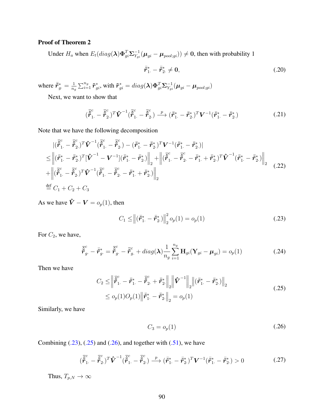# Proof of Theorem 2

Under  $H_a$  when  $E_t(diag(\lambda)\Phi_{gi}^T\Sigma_{Y_{gi}}^{-1}(\mu_{gi}-\mu_{pool;gi})) \neq 0$ , then with probability 1

$$
\bar{\tilde{r}}_{1}^{*} - \bar{\tilde{r}}_{2}^{*} \neq 0, \tag{.20}
$$

where  $\bar{\tilde{r}}_{g}^{*} = \frac{1}{n_e}$  $\frac{1}{n_g}\sum_{i=1}^{n_g}\tilde{\bm{r}}^*_{gi},$  with  $\tilde{\bm{r}}^*_{gi}=diag(\bm{\lambda})\bm{\Phi}^T_{gi}\bm{\Sigma}^{-1}_{Y_{gi}}(\bm{\mu}_{gi}-\bm{\mu}_{pool;gi})$ 

Next, we want to show that

$$
(\overline{\tilde{\vec{r}}}_{1.}^{c} - \overline{\tilde{\vec{r}}}_{2.}^{c})^T \hat{\boldsymbol{V}}^{-1} (\overline{\tilde{\vec{r}}}_{1.}^{c} - \overline{\tilde{\vec{r}}}_{2.}^{c}) \xrightarrow{p} (\overline{\tilde{r}}_{1.}^{*} - \overline{\tilde{r}}_{2.}^{*})^T \boldsymbol{V}^{-1} (\overline{\tilde{r}}_{1.}^{*} - \overline{\tilde{r}}_{2.}^{*})
$$
\n(.21)

Note that we have the following decomposition

$$
\begin{split}\n&|\langle \vec{\tilde{r}}_{1}^{c} - \vec{\tilde{r}}_{2}^{c}\rangle^{T}\hat{\mathbf{V}}^{-1}(\vec{\tilde{r}}_{1}^{c} - \vec{\tilde{r}}_{2}^{c}) - (\bar{r}_{1}^{*} - \bar{r}_{2}^{*})^{T}\mathbf{V}^{-1}(\bar{\tilde{r}}_{1}^{*} - \bar{\tilde{r}}_{2}^{*})| \\
&\leq \left\|(\bar{\tilde{r}}_{1}^{*} - \bar{\tilde{r}}_{2}^{*})^{T}[\hat{\mathbf{V}}^{-1} - \mathbf{V}^{-1}](\bar{\tilde{r}}_{1}^{*} - \bar{\tilde{r}}_{2}^{*})\right\|_{2} + \left\|(\bar{\tilde{r}}_{1}^{c} - \bar{\tilde{r}}_{2}^{c} - \bar{\tilde{r}}_{1}^{*} + \bar{\tilde{r}}_{2}^{*})^{T}\hat{\mathbf{V}}^{-1}(\bar{\tilde{r}}_{1}^{*} - \bar{\tilde{r}}_{2}^{*})\right\|_{2} \\
&+ \left\|(\bar{\tilde{r}}_{1}^{c} - \bar{\tilde{r}}_{2}^{c})^{T}\hat{\mathbf{V}}^{-1}(\bar{\tilde{r}}_{1}^{c} - \bar{\tilde{r}}_{2}^{c} - \bar{\tilde{r}}_{1}^{*} + \bar{\tilde{r}}_{2}^{*})\right\|_{2} \\
\overset{\text{def}}{=} C_{1} + C_{2} + C_{3}\n\end{split} \tag{22}
$$

As we have  $\hat{V} - V = o_p(1)$ , then

<span id="page-103-0"></span>
$$
C_1 \leq \left\| (\bar{\tilde{r}}_{1.}^* - \bar{\tilde{r}}_{2.}^*) \right\|_2^2 o_p(1) = o_p(1)
$$
 (.23)

For  $C_2$ , we have,

<span id="page-103-1"></span>
$$
\overline{\tilde{\vec{r}}}_{g.}^{c} - \overline{\tilde{r}}_{g.}^{*} = \overline{\tilde{\vec{r}}}_{g.}^{c} - \overline{\tilde{r}}_{g.}^{c} + diag(\boldsymbol{\lambda}) \frac{1}{n_{g}} \sum_{i=1}^{n_{g}} \mathbf{H}_{gi}(\mathbf{Y}_{gi} - \boldsymbol{\mu}_{gi}) = o_{p}(1)
$$
\n(.24)

Then we have

<span id="page-103-2"></span>
$$
C_2 \leq \left\| \tilde{\tilde{r}}_1^c - \bar{\tilde{r}}_1^* - \tilde{\tilde{r}}_2^c + \bar{\tilde{r}}_2^* \right\|_2 \left\| \tilde{\mathbf{V}}^{-1} \right\|_2 \left\| (\bar{\tilde{r}}_1^* - \bar{\tilde{r}}_2^*) \right\|_2
$$
  
 
$$
\leq o_p(1) O_p(1) \left\| \bar{r}_1^* - \bar{r}_2^* \right\|_2 = o_p(1)
$$
 (25)

Similarly, we have

$$
C_3 = o_p(1) \tag{.26}
$$

Combining  $(.23)$ ,  $(.25)$  and  $(.26)$ , and together with  $(.51)$ , we have

$$
(\overline{\tilde{\boldsymbol{r}}}_{1.}^{c} - \overline{\tilde{\boldsymbol{r}}}_{2.}^{c})^T \hat{\boldsymbol{V}}^{-1} (\overline{\tilde{\boldsymbol{r}}}_{1.}^{c} - \overline{\tilde{\boldsymbol{r}}}_{2.}^{c}) \xrightarrow{p} (\overline{\tilde{\boldsymbol{r}}}_{1.}^{*} - \overline{\tilde{\boldsymbol{r}}}_{2.}^{*})^T \boldsymbol{V}^{-1} (\overline{\tilde{\boldsymbol{r}}}_{1.}^{*} - \overline{\tilde{\boldsymbol{r}}}_{2.}^{*}) > 0
$$
\n(.27)

Thus,  $T_{p,N} \to \infty$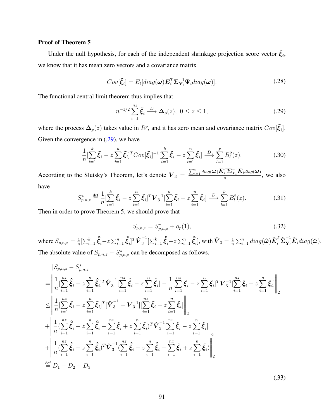## Proof of Theorem 5

Under the null hypothesis, for each of the independent shrinkage projection score vector  $\tilde{\xi}_i$ , we know that it has mean zero vectors and a covariance matrix

$$
Cov[\tilde{\xi}_i] = E_t[diag(\boldsymbol{\omega}) \boldsymbol{E}_i^T \boldsymbol{\Sigma}_{\mathbf{Y}_i}^{-1} \boldsymbol{\Psi}_i diag(\boldsymbol{\omega})]. \qquad (.28)
$$

The functional central limit theorem thus implies that

<span id="page-104-0"></span>
$$
n^{-1/2} \sum_{i=1}^{nz} \tilde{\xi}_i \stackrel{D}{\longrightarrow} \Delta_p(z), \ 0 \le z \le 1,
$$

where the process  $\Delta_p(z)$  takes value in  $R^p$ , and it has zero mean and covariance matrix  $Cov[\tilde{\xi}_i]$ . Given the convergence in  $(.29)$ , we have

$$
\frac{1}{n} \left[ \sum_{i=1}^{k} \tilde{\xi}_i - z \sum_{i=1}^{n} \tilde{\xi}_i \right]^T Cov[\tilde{\xi}_i]^{-1} \left[ \sum_{i=1}^{k} \tilde{\xi}_i - z \sum_{i=1}^{n} \tilde{\xi}_i \right] \xrightarrow{D} \sum_{l=1}^{p} B_l^2(z).
$$
 (30)

According to the Slutsky's Theorem, let's denote  $V_3 = \frac{\sum_{i=1}^n diag(\boldsymbol{\omega}) \boldsymbol{E}_i^T \boldsymbol{\Sigma}_{\mathbf{Y}_i}^{-1} \boldsymbol{E}_i diag(\boldsymbol{\omega})}{n}$  $\frac{1}{n} \frac{\sum Y_i \sum \text{diag}(\omega)}{n}$ , we also have

$$
S_{p,n,z}^* \stackrel{\text{def}}{=} \frac{1}{n} \left[ \sum_{i=1}^k \tilde{\xi}_i - z \sum_{i=1}^n \tilde{\xi}_i \right]^T \mathbf{V}_3^{-1} \left[ \sum_{i=1}^k \tilde{\xi}_i - z \sum_{i=1}^n \tilde{\xi}_i \right] \stackrel{D}{\longrightarrow} \sum_{l=1}^p B_l^2(z). \tag{31}
$$

Then in order to prove Theorem 5, we should prove that

<span id="page-104-1"></span>
$$
S_{p,n,z} = S_{p,n,z}^* + o_p(1),
$$
\n(.32)

where  $S_{p,n,z} = \frac{1}{n}$  $\frac{1}{n} [\sum_{i=1}^k \hat{\bar{\bm{\xi}}}_i - z \sum_{i=1}^n \hat{\bar{\bm{\xi}}}_i]^T \mathbf{\hat{V}}_3^{-1}$  $\int_3^{-1}[\sum_{i=1}^k\hat{\tilde{\xi}}_i - z\sum_{i=1}^n\hat{\tilde{\xi}}_i]$ , with  $\hat{\boldsymbol{V}}_3 = \frac{1}{n}$  $\frac{1}{n}\sum_{i=1}^n diag(\hat{\boldsymbol{\omega}})\hat{\boldsymbol{E}}_i^T\boldsymbol{\hat{\Sigma}}^{-1}\mathbf{\hat{E}}_idiag(\hat{\boldsymbol{\omega}}).$ The absolute value of  $S_{p,n,z} - S_{p,n,z}^*$  can be decomposed as follows.

$$
|S_{p,n,z} - S_{p,n,z}^{*}|
$$
\n=
$$
\left\| \frac{1}{n} \left[ \sum_{i=1}^{n} \hat{\xi}_{i} - z \sum_{i=1}^{n} \hat{\xi}_{i} \right]^{T} \hat{\mathbf{V}}_{3}^{-1} \left[ \sum_{i=1}^{n} \hat{\xi}_{i} - z \sum_{i=1}^{n} \hat{\xi}_{i} \right] - \frac{1}{n} \left[ \sum_{i=1}^{n} \tilde{\xi}_{i} - z \sum_{i=1}^{n} \tilde{\xi}_{i} \right]^{T} \mathbf{V}_{3}^{-1} \left[ \sum_{i=1}^{n} \tilde{\xi}_{i} - z \sum_{i=1}^{n} \tilde{\xi}_{i} \right] \right\|_{2}
$$
\n
$$
\leq \left\| \frac{1}{n} \left[ \sum_{i=1}^{n} \tilde{\xi}_{i} - z \sum_{i=1}^{n} \tilde{\xi}_{i} \right]^{T} \left[ \hat{\mathbf{V}}_{3}^{-1} - \mathbf{V}_{3}^{-1} \right] \left[ \sum_{i=1}^{n} \tilde{\xi}_{i} - z \sum_{i=1}^{n} \tilde{\xi}_{i} \right] \right\|_{2}
$$
\n
$$
+ \left\| \frac{1}{n} \left( \sum_{i=1}^{n} \hat{\xi}_{i} - z \sum_{i=1}^{n} \hat{\xi}_{i} - \sum_{i=1}^{n} \tilde{\xi}_{i} + z \sum_{i=1}^{n} \tilde{\xi}_{i} \right)^{T} \hat{\mathbf{V}}_{3}^{-1} \left[ \sum_{i=1}^{n} \tilde{\xi}_{i} - z \sum_{i=1}^{n} \tilde{\xi}_{i} \right] \right\|_{2}
$$
\n
$$
+ \left\| \frac{1}{n} \left( \sum_{i=1}^{n} \hat{\xi}_{i} - z \sum_{i=1}^{n} \hat{\xi}_{i} \right)^{T} \hat{\mathbf{V}}_{3}^{-1} \left( \sum_{i=1}^{n} \hat{\xi}_{i} - z \sum_{i=1}^{n} \hat{\xi}_{i} - \sum_{i=1}^{n} \tilde{\xi}_{i} + z \sum_{i=1}^{n} \tilde{\xi}_{i} \right) \right\|_{2}
$$
\n
$$
\stackrel{\text{
$$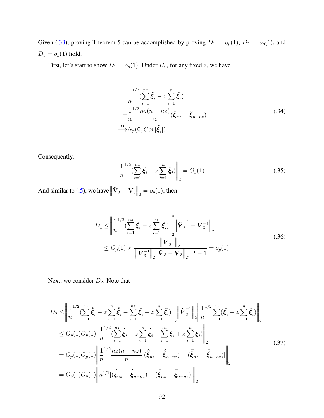Given [\(.33\)](#page-104-1), proving Theorem 5 can be accomplished by proving  $D_1 = o_p(1)$ ,  $D_2 = o_p(1)$ , and  $D_3 = o_p(1)$  hold.

First, let's start to show  $D_1 = o_p(1)$ . Under  $H_0$ , for any fixed *z*, we have

$$
\frac{1}{n}^{1/2} (\sum_{i=1}^{nz} \tilde{\xi}_i - z \sum_{i=1}^n \tilde{\xi}_i)
$$
\n
$$
= \frac{1}{n}^{1/2} \frac{nz(n - nz)}{n} (\bar{\xi}_{nz} - \bar{\xi}_{n - nz})
$$
\n
$$
\xrightarrow{D} N_p(\mathbf{0}, Cov[\tilde{\xi}_i])
$$
\n(.34)

Consequently,

$$
\left\| \frac{1}{n} \sum_{i=1}^{n/2} (\sum_{i=1}^{n} \tilde{\xi}_i - z \sum_{i=1}^{n} \tilde{\xi}_i) \right\|_2 = O_p(1).
$$
 (35)

And similar to [\(.5\)](#page-99-1), we have  $\left\| \mathbf{\hat{V}}_3 - \mathbf{V}_3 \right\|_2 = o_p(1)$ , then

$$
D_1 \leq \left\| \frac{1}{n}^{1/2} (\sum_{i=1}^{nz} \tilde{\xi}_i - z \sum_{i=1}^n \tilde{\xi}_i) \right\|_2^2 \left\| \hat{\mathbf{V}}_3^{-1} - \mathbf{V}_3^{-1} \right\|_2
$$
  
 
$$
\leq O_p(1) \times \frac{\left\| \mathbf{V}_3^{-1} \right\|_2}{\left\| \mathbf{V}_3^{-1} \right\|_2 \left\| \hat{\mathbf{V}}_3 - \mathbf{V}_3 \right\|_2^{-1} - 1} = o_p(1)
$$
 (36)

Next, we consider  $D_2$ . Note that

$$
D_2 \leq \left\| \frac{1}{n}^{1/2} (\sum_{i=1}^{nz} \hat{\xi}_i - z \sum_{i=1}^n \hat{\xi}_i - \sum_{i=1}^{nz} \tilde{\xi}_i + z \sum_{i=1}^n \tilde{\xi}_i) \right\|_2 \left\| \hat{\mathbf{V}}_3^{-1} \right\|_2 \left\| \frac{1}{n}^{1/2} \sum_{i=1}^{nz} (\tilde{\xi}_i - z \sum_{i=1}^n \tilde{\xi}_i) \right\|_2
$$
  
\n
$$
\leq O_p(1) O_p(1) \left\| \frac{1}{n}^{1/2} (\sum_{i=1}^{nz} \hat{\xi}_i - z \sum_{i=1}^n \hat{\xi}_i - \sum_{i=1}^n \tilde{\xi}_i + z \sum_{i=1}^n \tilde{\xi}_i) \right\|_2
$$
  
\n
$$
= O_p(1) O_p(1) \left\| \frac{1}{n}^{1/2} \frac{nz(n - nz)}{n} [(\tilde{\hat{\xi}}_{nz} - \tilde{\hat{\xi}}_{n - nz}) - (\tilde{\xi}_{nz} - \tilde{\xi}_{n - nz})] \right\|_2
$$
  
\n
$$
= O_p(1) O_p(1) \left\| n^{1/2} [(\tilde{\hat{\xi}}_{nz} - \tilde{\hat{\xi}}_{n - nz}) - (\tilde{\xi}_{nz} - \tilde{\xi}_{n - nz})] \right\|_2
$$
  
\n(0.37)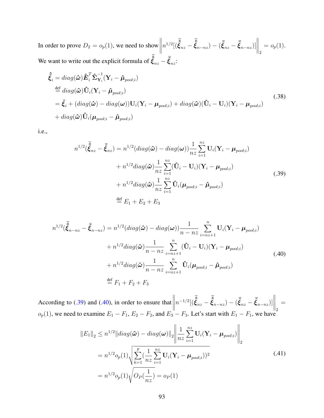In order to prove  $D_2 = o_p(1)$ , we need to show  $n^{1/2}[(\bar{\hat{\xi}}_{nz} - \bar{\hat{\xi}}_{n-nz}) - (\bar{\tilde{\xi}}_{nz} - \bar{\tilde{\xi}}_{n-nz})]$  $\bigg\|_2$  $= o_p(1)$ . We want to write out the explicit formula of  $\vec{\hat{\xi}}_{nz} - \vec{\hat{\xi}}_{nz}$ :

$$
\hat{\tilde{\xi}}_i = diag(\hat{\omega}) \hat{\boldsymbol{E}}_i^T \hat{\boldsymbol{\Sigma}}_{\mathbf{Y}_i}^{-1} (\mathbf{Y}_i - \hat{\boldsymbol{\mu}}_{pool;i}) \n\stackrel{\text{def}}{=} diag(\hat{\omega}) \hat{\mathbf{U}}_i (\mathbf{Y}_i - \hat{\boldsymbol{\mu}}_{pool;i}) \n= \tilde{\boldsymbol{\xi}}_i + (diag(\hat{\omega}) - diag(\omega)) \mathbf{U}_i (\mathbf{Y}_i - \boldsymbol{\mu}_{pool;i}) + diag(\hat{\omega}) (\hat{\mathbf{U}}_i - \mathbf{U}_i) (\mathbf{Y}_i - \boldsymbol{\mu}_{pool;i}) \n+ diag(\hat{\omega}) \hat{\mathbf{U}}_i (\boldsymbol{\mu}_{pool;i} - \hat{\boldsymbol{\mu}}_{pool;i})
$$
\n(.38)

<span id="page-106-0"></span>i.e.,

$$
n^{1/2}(\tilde{\tilde{\xi}}_{nz} - \tilde{\xi}_{nz}) = n^{1/2}(diag(\hat{\omega}) - diag(\omega))\frac{1}{nz}\sum_{i=1}^{nz} \mathbf{U}_i(\mathbf{Y}_i - \boldsymbol{\mu}_{pool;i})
$$
  
+  $n^{1/2}diag(\hat{\omega})\frac{1}{nz}\sum_{i=1}^{nz} (\hat{\mathbf{U}}_i - \mathbf{U}_i)(\mathbf{Y}_i - \boldsymbol{\mu}_{pool;i})$   
+  $n^{1/2}diag(\hat{\omega})\frac{1}{nz}\sum_{i=1}^{nz} \hat{\mathbf{U}}_i(\boldsymbol{\mu}_{pool;i} - \hat{\boldsymbol{\mu}}_{pool;i})$   

$$
\stackrel{\text{def}}{=} E_1 + E_2 + E_3
$$
 (39)

<span id="page-106-1"></span>
$$
n^{1/2}(\tilde{\tilde{\xi}}_{n-nz} - \tilde{\xi}_{n-nz}) = n^{1/2}(diag(\hat{\omega}) - diag(\omega))\frac{1}{n-nz}\sum_{i=nz+1}^{n} \mathbf{U}_{i}(\mathbf{Y}_{i} - \boldsymbol{\mu}_{pool;i})
$$
  
+ 
$$
n^{1/2}diag(\hat{\omega})\frac{1}{n-nz}\sum_{i=nz+1}^{n} (\hat{\mathbf{U}}_{i} - \mathbf{U}_{i})(\mathbf{Y}_{i} - \boldsymbol{\mu}_{pool;i})
$$
  
+ 
$$
n^{1/2}diag(\hat{\omega})\frac{1}{n-nz}\sum_{i=nz+1}^{n} \hat{\mathbf{U}}_{i}(\boldsymbol{\mu}_{pool;i} - \hat{\boldsymbol{\mu}}_{pool;i})
$$
  

$$
\stackrel{\text{def}}{=} F_{1} + F_{2} + F_{3}
$$
 (40)

According to  $(.39)$  and  $(.40)$ , in order to ensure that  $n^{-1/2}[(\bar{\hat{\xi}}_{nz} - \bar{\hat{\xi}}_{n-nz}) - (\bar{\tilde{\xi}}_{nz} - \bar{\tilde{\xi}}_{n-nz})]$  $\bigg\|_2$ =  $o_p(1)$ , we need to examine  $E_1 - F_1$ ,  $E_2 - F_2$ , and  $E_3 - F_3$ . Let's start with  $E_1 - F_1$ , we have

<span id="page-106-2"></span>
$$
||E_1||_2 \le n^{1/2} ||diag(\hat{\boldsymbol{\omega}}) - diag(\boldsymbol{\omega})||_2 \left\| \frac{1}{nz} \sum_{i=1}^{nz} \mathbf{U}_i (\mathbf{Y}_i - \boldsymbol{\mu}_{pool;i}) \right\|_2
$$
  
=  $n^{1/2} o_p(1) \sqrt{\sum_{k=1}^{p} (\frac{1}{nz} \sum_{i=1}^{nz} \mathbf{U}_i (\mathbf{Y}_i - \boldsymbol{\mu}_{pool;i}))^2}$  (.41)  
=  $n^{1/2} o_p(1) \sqrt{O_P(\frac{1}{nz})} = o_P(1)$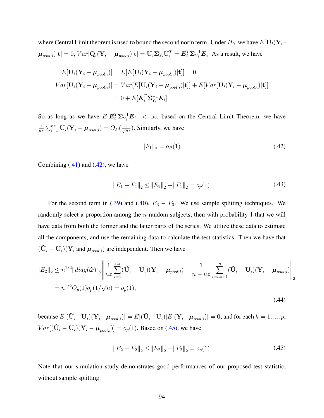where Central Limit theorem is used to bound the second norm term. Under  $H_0$ , we have  $E[\mathbf{U}_i(\mathbf{Y}_i-\mathbf{U}_i)]$  $\bm{\mu}_{pool;i})[\mathbf{t}]=0, Var[\mathbf{Q}_i(\mathbf{Y}_i-\bm{\mu}_{pool;i})|\mathbf{t}]=\mathbf{U}_i\Sigma_{Y_i}\mathbf{U}_i^T=\bm{E}_i^T\bm{\Sigma}_{Y_i}^{-1}\bm{E}_i.$  As a result, we have

$$
E[\mathbf{U}_i(\mathbf{Y}_i - \boldsymbol{\mu}_{pool;i})] = E[E[\mathbf{U}_i(\mathbf{Y}_i - \boldsymbol{\mu}_{pool;i})|\mathbf{t}]] = 0
$$
  
\n
$$
Var[\mathbf{U}_i(\mathbf{Y}_i - \boldsymbol{\mu}_{pool;i})] = Var[E[\mathbf{U}_i(\mathbf{Y}_i - \boldsymbol{\mu}_{pool;i})|\mathbf{t}]] + E[Var[\mathbf{U}_i(\mathbf{Y}_i - \boldsymbol{\mu}_{pool;i})|\mathbf{t}]]
$$
  
\n
$$
= 0 + E[\mathbf{E}_i^T \mathbf{\Sigma}_{Y_i}^{-1} \mathbf{E}_i]
$$

So as long as we have  $E[\mathbf{E}_i^T \Sigma_{Y_i}^{-1} \mathbf{E}_i] < \infty$ , based on the Central Limit Theorem, we have 1  $\frac{1}{nz}\sum_{i=1}^{nz}\mathbf{U}_i(\mathbf{Y}_i - \boldsymbol{\mu}_{pool;i}) = O_P(\frac{1}{\sqrt{n}})$  $\frac{1}{nz}$ ). Similarly, we have

<span id="page-107-0"></span>
$$
||F_1||_2 = o_P(1)
$$
\n(.42)

Combining  $(.41)$  and  $(.42)$ , we have

$$
||E_1 - F_1||_2 \le ||E_1||_2 + ||F_1||_2 = o_p(1)
$$
\n(.43)

For the second term in [\(.39\)](#page-106-0) and [\(.40\)](#page-106-1),  $E_3 - F_3$ . We use sample splitting techniques. We randomly select a proportion among the *n* random subjects, then with probability 1 that we will have data from both the former and the latter parts of the series. We utilize these data to estimate all the components, and use the remaining data to calculate the test statistics. Then we have that  $(\hat{\mathbf{U}}_i - \mathbf{U}_i)(\mathbf{Y}_i \text{ and } \boldsymbol{\mu}_{pool;i})$  are independent. Then we have

$$
||E_2||_2 \le n^{1/2} ||diag(\hat{\boldsymbol{\omega}})||_2 \left\| \frac{1}{nz} \sum_{i=1}^{nz} (\hat{\mathbf{U}}_i - \mathbf{U}_i)(\mathbf{Y}_i - \boldsymbol{\mu}_{pool;i}) - \frac{1}{n - nz} \sum_{i=nz+1}^{n} (\hat{\mathbf{U}}_i - \mathbf{U}_i)(\mathbf{Y}_i - \boldsymbol{\mu}_{pool;i}) \right\|_2
$$
  
=  $n^{1/2} O_p(1) o_p(1/\sqrt{n}) = o_p(1),$  (.44)

because  $E[(\mathbf{\hat{U}}_i - \mathbf{U}_i)(\mathbf{Y}_i - \boldsymbol{\mu}_{pool;i})] = E[(\mathbf{\hat{U}}_i - \mathbf{U}_i)]E[(\mathbf{Y}_i - \boldsymbol{\mu}_{pool;i})] = \mathbf{0},$  and for each  $k = 1,...,p,$  $Var[(\mathbf{\hat{U}}_i - \mathbf{U}_i)(\mathbf{Y}_i - \boldsymbol{\mu}_{pool;i})] = o_p(1)$ . Based on [\(.45\)](#page-107-1), we have

<span id="page-107-1"></span>
$$
||E_2 - F_2||_2 \le ||E_2||_2 + ||F_2||_2 = o_p(1)
$$
\n(.45)

Note that our simulation study demonstrates good performances of our proposed test statistic, without sample splitting.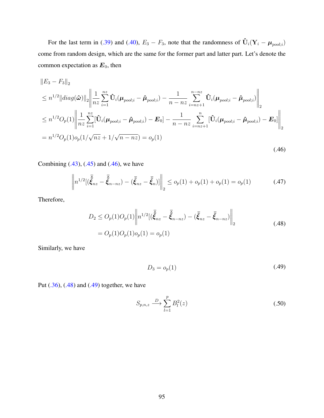For the last term in [\(.39\)](#page-106-0) and [\(.40\)](#page-106-1),  $E_3 - F_3$ , note that the randomness of  $\mathbf{\hat{U}}_i(\mathbf{Y}_i - \boldsymbol{\mu}_{pool;i})$ come from random design, which are the same for the former part and latter part. Let's denote the common expectation as  $E_0$ , then

<span id="page-108-0"></span>
$$
||E_3 - F_3||_2
$$
  
\n
$$
\leq n^{1/2} ||diag(\hat{\omega})||_2 \left\| \frac{1}{nz} \sum_{i=1}^{nz} \hat{\mathbf{U}}_i (\boldsymbol{\mu}_{pool;i} - \hat{\boldsymbol{\mu}}_{pool;i}) - \frac{1}{n - nz} \sum_{i=nz+1}^{n - nz} \hat{\mathbf{U}}_i (\boldsymbol{\mu}_{pool;i} - \hat{\boldsymbol{\mu}}_{pool;i}) \right\|_2
$$
  
\n
$$
\leq n^{1/2} O_p(1) \left\| \frac{1}{nz} \sum_{i=1}^{nz} [\hat{\mathbf{U}}_i (\boldsymbol{\mu}_{pool;i} - \hat{\boldsymbol{\mu}}_{pool;i}) - \mathbf{E}_0] - \frac{1}{n - nz} \sum_{i=nz+1}^{n} [\hat{\mathbf{U}}_i (\boldsymbol{\mu}_{pool;i} - \hat{\boldsymbol{\mu}}_{pool;i}) - \mathbf{E}_0] \right\|_2
$$
  
\n
$$
= n^{1/2} O_p(1) o_p(1/\sqrt{nz} + 1/\sqrt{n - nz}) = o_p(1)
$$
\n(.46)

Combining  $(.43)$ ,  $(.45)$  and  $(.46)$ , we have

<span id="page-108-1"></span>
$$
\left\| n^{1/2} [(\bar{\hat{\xi}}_{nz} - \bar{\hat{\xi}}_{n-nz}) - (\bar{\xi}_{nz} - \bar{\xi}_n)] \right\|_2 \leq o_p(1) + o_p(1) + o_p(1) = o_p(1)
$$
 (.47)

Therefore,

<span id="page-108-2"></span>
$$
D_2 \le O_p(1)O_p(1)\left\|n^{1/2}[(\bar{\hat{\xi}}_{nz} - \bar{\hat{\xi}}_{n-nz}) - (\bar{\xi}_{nz} - \bar{\hat{\xi}}_{n-nz})]\right\|_2
$$
  
=  $O_p(1)O_p(1)o_p(1) = o_p(1)$  (.48)

Similarly, we have

$$
D_3 = o_p(1) \tag{.49}
$$

Put  $(.36)$ ,  $(.48)$  and  $(.49)$  together, we have

$$
S_{p,n,z} \xrightarrow{D} \sum_{l=1}^{p} B_l^2(z) \tag{.50}
$$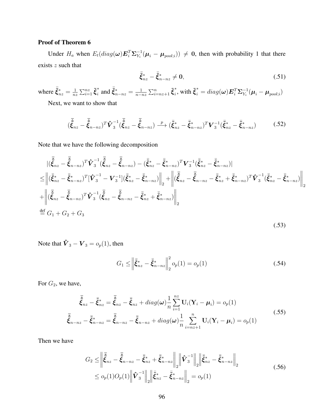## Proof of Theorem 6

Under  $H_a$  when  $E_t(diag(\omega)E_i^T\Sigma_{Y_i}^{-1}(\mu_i-\mu_{pool;i})) \neq 0$ , then with probability 1 that there exists *z* such that

$$
\bar{\tilde{\xi}}_{nz}^* - \bar{\tilde{\xi}}_{n-nz}^* \neq 0, \tag{.51}
$$

where  $\bar{\tilde{\xi}}_{nz}^* = \frac{1}{n^2}$  $\frac{1}{nz}\sum_{i=1}^{nz}\tilde{\boldsymbol{\xi}}_{i}^{*}$  $\sum_{i=1}^{n}$  and  $\bar{\xi}_{n-nz}^{*} = \frac{1}{n-z}$  $\frac{1}{n-nz}\sum_{i=nz+1}^{n}\tilde{\boldsymbol{\xi}}_{i}^{*}$  $\bm{\tilde{\xi}}_i^* = diag(\bm{\omega}) \bm{E}_i^T \bm{\Sigma}_{Y_i}^{-1} (\bm{\mu}_i - \bm{\mu}_{pool;i})$ 

Next, we want to show that

$$
(\bar{\hat{\xi}}_{nz} - \bar{\hat{\xi}}_{n-nz})^T \hat{\mathbf{V}}_3^{-1} (\bar{\hat{\xi}}_{nz} - \bar{\hat{\xi}}_{n-nz}) \xrightarrow{p} (\bar{\xi}_{nz}^* - \bar{\xi}_{n-nz}^*)^T \mathbf{V}_3^{-1} (\bar{\xi}_{nz}^* - \bar{\xi}_{n-nz}^*)
$$
(.52)

Note that we have the following decomposition

$$
\begin{split}\n&|\langle\bar{\hat{\xi}}_{nz} - \bar{\hat{\xi}}_{n-nz}\rangle^{T}\hat{\mathbf{V}}_{3}^{-1}(\bar{\hat{\xi}}_{nz} - \bar{\hat{\xi}}_{n-nz}) - (\bar{\xi}_{nz}^{*} - \bar{\hat{\xi}}_{n-nz})^{T}\mathbf{V}_{3}^{-1}(\bar{\hat{\xi}}_{nz}^{*} - \bar{\hat{\xi}}_{n-nz})| \\
&\leq \left\|(\bar{\hat{\xi}}_{nz}^{*} - \bar{\hat{\xi}}_{n-nz}^{*})^{T}[\hat{\mathbf{V}}_{3}^{-1} - \mathbf{V}_{3}^{-1}](\bar{\hat{\xi}}_{nz}^{*} - \bar{\hat{\xi}}_{n-nz}^{*})\right\|_{2} + \left\|(\bar{\hat{\xi}}_{nz} - \bar{\hat{\xi}}_{n-nz} - \bar{\hat{\xi}}_{nz}^{*} + \bar{\hat{\xi}}_{n-nz}^{*})^{T}\hat{\mathbf{V}}_{3}^{-1}(\bar{\hat{\xi}}_{nz}^{*} - \bar{\hat{\xi}}_{n-nz})\right\|_{2} \\
&+ \left\|(\bar{\hat{\xi}}_{nz} - \bar{\hat{\xi}}_{n-nz})^{T}\hat{\mathbf{V}}_{3}^{-1}(\bar{\hat{\xi}}_{nz} - \bar{\hat{\xi}}_{n-nz} - \bar{\hat{\xi}}_{nz}^{*} + \bar{\hat{\xi}}_{n-nz}^{*})\right\|_{2} \\
&\stackrel{\text{def}}{=} G_{1} + G_{2} + G_{3} \tag{53}\n\end{split}
$$

Note that  $\hat{V}_3 - V_3 = o_p(1)$ , then

<span id="page-109-0"></span>
$$
G_1 \le \left\| \bar{\tilde{\xi}}_{nz}^* - \bar{\tilde{\xi}}_{n-nz}^* \right\|_2^2 o_p(1) = o_p(1)
$$
\n(.54)

For  $G_2$ , we have,

$$
\overline{\tilde{\xi}}_{nz} - \overline{\tilde{\xi}}_{nz}^* = \overline{\tilde{\xi}}_{nz} - \overline{\tilde{\xi}}_{nz} + diag(\omega) \frac{1}{n} \sum_{i=1}^{nz} \mathbf{U}_i (\mathbf{Y}_i - \boldsymbol{\mu}_i) = o_p(1)
$$
\n
$$
\overline{\tilde{\xi}}_{n-nz} - \overline{\tilde{\xi}}_{n-nz}^* = \overline{\tilde{\xi}}_{n-nz} - \overline{\tilde{\xi}}_{n-nz} + diag(\omega) \frac{1}{n} \sum_{i=nz+1}^{n} \mathbf{U}_i (\mathbf{Y}_i - \boldsymbol{\mu}_i) = o_p(1)
$$
\n(.55)

Then we have

<span id="page-109-1"></span>
$$
G_2 \leq \left\| \tilde{\tilde{\xi}}_{nz} - \tilde{\tilde{\xi}}_{n-nz} - \bar{\tilde{\xi}}_{nz}^* + \bar{\tilde{\xi}}_{n-nz}^* \right\|_2 \left\| \tilde{\mathbf{V}}_3^{-1} \right\|_2 \left\| \bar{\tilde{\xi}}_{nz}^* - \bar{\tilde{\xi}}_{n-nz}^* \right\|_2
$$
  

$$
\leq o_p(1)O_p(1) \left\| \hat{\mathbf{V}}_3^{-1} \right\|_2 \left\| \bar{\tilde{\xi}}_{nz}^* - \bar{\tilde{\xi}}_{n-nz}^* \right\|_2 = o_p(1)
$$
 (56)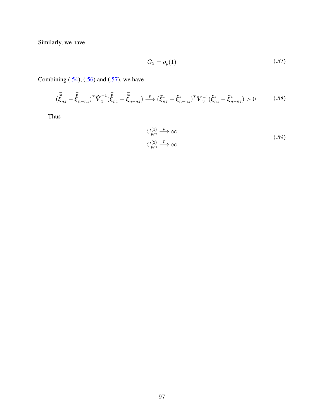<span id="page-110-0"></span>Similarly, we have

$$
G_3 = o_p(1) \tag{.57}
$$

Combining  $(.54)$ ,  $(.56)$  and  $(.57)$ , we have

$$
(\bar{\hat{\xi}}_{nz} - \bar{\hat{\xi}}_{n-nz})^T \hat{\mathbf{V}}_3^{-1} (\bar{\hat{\xi}}_{nz} - \bar{\hat{\xi}}_{n-nz}) \xrightarrow{p} (\bar{\xi}_{nz}^* - \bar{\xi}_{n-nz}^*)^T \mathbf{V}_3^{-1} (\bar{\xi}_{nz}^* - \bar{\xi}_{n-nz}^*) > 0 \tag{.58}
$$

Thus

$$
C_{p,n}^{(1)} \xrightarrow{p} \infty
$$
  
\n
$$
C_{p,n}^{(2)} \xrightarrow{p} \infty
$$
\n(.59)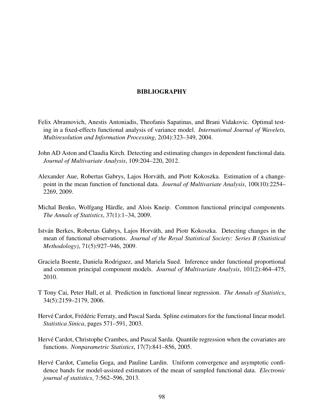## BIBLIOGRAPHY

- Felix Abramovich, Anestis Antoniadis, Theofanis Sapatinas, and Brani Vidakovic. Optimal testing in a fixed-effects functional analysis of variance model. *International Journal of Wavelets, Multiresolution and Information Processing*, 2(04):323–349, 2004.
- John AD Aston and Claudia Kirch. Detecting and estimating changes in dependent functional data. *Journal of Multivariate Analysis*, 109:204–220, 2012.
- Alexander Aue, Robertas Gabrys, Lajos Horváth, and Piotr Kokoszka. Estimation of a changepoint in the mean function of functional data. *Journal of Multivariate Analysis*, 100(10):2254– 2269, 2009.
- Michal Benko, Wolfgang Härdle, and Alois Kneip. Common functional principal components. *The Annals of Statistics*, 37(1):1–34, 2009.
- István Berkes, Robertas Gabrys, Lajos Horváth, and Piotr Kokoszka. Detecting changes in the mean of functional observations. *Journal of the Royal Statistical Society: Series B (Statistical Methodology)*, 71(5):927–946, 2009.
- Graciela Boente, Daniela Rodriguez, and Mariela Sued. Inference under functional proportional and common principal component models. *Journal of Multivariate Analysis*, 101(2):464–475, 2010.
- T Tony Cai, Peter Hall, et al. Prediction in functional linear regression. *The Annals of Statistics*, 34(5):2159–2179, 2006.
- Hervé Cardot, Frédéric Ferraty, and Pascal Sarda. Spline estimators for the functional linear model. *Statistica Sinica*, pages 571–591, 2003.
- Hervé Cardot, Christophe Crambes, and Pascal Sarda. Quantile regression when the covariates are functions. *Nonparametric Statistics*, 17(7):841–856, 2005.
- Hervé Cardot, Camelia Goga, and Pauline Lardin. Uniform convergence and asymptotic confidence bands for model-assisted estimators of the mean of sampled functional data. *Electronic journal of statistics*, 7:562–596, 2013.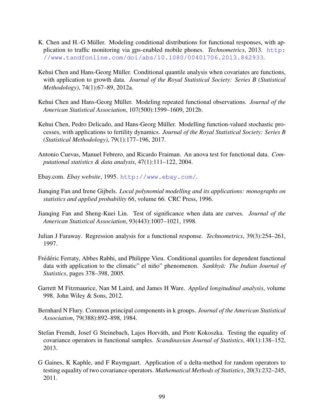- K. Chen and H.-G Müller. Modeling conditional distributions for functional responses, with application to traffic monitoring via gps-enabled mobile phones. *Technometrics*, 2013. [http:](http://www.tandfonline.com/doi/abs/10.1080/00401706.2013.842933) [//www.tandfonline.com/doi/abs/10.1080/00401706.2013.842933](http://www.tandfonline.com/doi/abs/10.1080/00401706.2013.842933).
- Kehui Chen and Hans-Georg Müller. Conditional quantile analysis when covariates are functions, with application to growth data. *Journal of the Royal Statistical Society: Series B (Statistical Methodology)*, 74(1):67–89, 2012a.
- Kehui Chen and Hans-Georg Müller. Modeling repeated functional observations. *Journal of the American Statistical Association*, 107(500):1599–1609, 2012b.
- Kehui Chen, Pedro Delicado, and Hans-Georg Müller. Modelling function-valued stochastic processes, with applications to fertility dynamics. *Journal of the Royal Statistical Society: Series B (Statistical Methodology)*, 79(1):177–196, 2017.
- Antonio Cuevas, Manuel Febrero, and Ricardo Fraiman. An anova test for functional data. *Computational statistics & data analysis*, 47(1):111–122, 2004.
- Ebay.com. *Ebay website*, 1995. <http://www.ebay.com/>.
- Jianqing Fan and Irene Gijbels. *Local polynomial modelling and its applications: monographs on statistics and applied probability 66*, volume 66. CRC Press, 1996.
- Jianqing Fan and Sheng-Kuei Lin. Test of significance when data are curves. *Journal of the American Statistical Association*, 93(443):1007–1021, 1998.
- Julian J Faraway. Regression analysis for a functional response. *Technometrics*, 39(3):254–261, 1997.
- Frédéric Ferraty, Abbes Rabhi, and Philippe Vieu. Conditional quantiles for dependent functional data with application to the climatic" el niño" phenomenon. *Sankhyā: The Indian Journal of Statistics*, pages 378–398, 2005.
- Garrett M Fitzmaurice, Nan M Laird, and James H Ware. *Applied longitudinal analysis*, volume 998. John Wiley & Sons, 2012.
- Bernhard N Flury. Common principal components in k groups. *Journal of the American Statistical Association*, 79(388):892–898, 1984.
- Stefan Fremdt, Josef G Steinebach, Lajos Horváth, and Piotr Kokoszka. Testing the equality of covariance operators in functional samples. *Scandinavian Journal of Statistics*, 40(1):138–152, 2013.
- G Gaines, K Kaphle, and F Ruymgaart. Application of a delta-method for random operators to testing equality of two covariance operators. *Mathematical Methods of Statistics*, 20(3):232–245, 2011.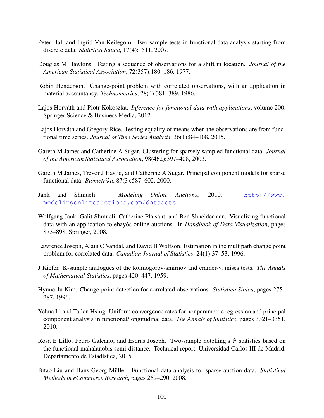- Peter Hall and Ingrid Van Keilegom. Two-sample tests in functional data analysis starting from discrete data. *Statistica Sinica*, 17(4):1511, 2007.
- Douglas M Hawkins. Testing a sequence of observations for a shift in location. *Journal of the American Statistical Association*, 72(357):180–186, 1977.
- Robin Henderson. Change-point problem with correlated observations, with an application in material accountancy. *Technometrics*, 28(4):381–389, 1986.
- Lajos Horváth and Piotr Kokoszka. *Inference for functional data with applications*, volume 200. Springer Science & Business Media, 2012.
- Lajos Horváth and Gregory Rice. Testing equality of means when the observations are from functional time series. *Journal of Time Series Analysis*, 36(1):84–108, 2015.
- Gareth M James and Catherine A Sugar. Clustering for sparsely sampled functional data. *Journal of the American Statistical Association*, 98(462):397–408, 2003.
- Gareth M James, Trevor J Hastie, and Catherine A Sugar. Principal component models for sparse functional data. *Biometrika*, 87(3):587–602, 2000.
- Jank and Shmueli. *Modeling Online Auctions*, 2010. [http://www.](http://www.modelingonlineauctions.com/datasets) [modelingonlineauctions.com/datasets](http://www.modelingonlineauctions.com/datasets).
- Wolfgang Jank, Galit Shmueli, Catherine Plaisant, and Ben Shneiderman. Visualizing functional data with an application to ebayos online auctions. In *Handbook of Data Visualization*, pages 873–898. Springer, 2008.
- Lawrence Joseph, Alain C Vandal, and David B Wolfson. Estimation in the multipath change point problem for correlated data. *Canadian Journal of Statistics*, 24(1):37–53, 1996.
- J Kiefer. K-sample analogues of the kolmogorov-smirnov and cramer-v. mises tests. ´ *The Annals of Mathematical Statistics*, pages 420–447, 1959.
- Hyune-Ju Kim. Change-point detection for correlated observations. *Statistica Sinica*, pages 275– 287, 1996.
- Yehua Li and Tailen Hsing. Uniform convergence rates for nonparametric regression and principal component analysis in functional/longitudinal data. *The Annals of Statistics*, pages 3321–3351, 2010.
- Rosa E Lillo, Pedro Galeano, and Esdras Joseph. Two-sample hotelling's  $t^2$  statistics based on the functional mahalanobis semi-distance. Technical report, Universidad Carlos III de Madrid. Departamento de Estadística, 2015.
- Bitao Liu and Hans-Georg Müller. Functional data analysis for sparse auction data. Statistical *Methods in eCommerce Research*, pages 269–290, 2008.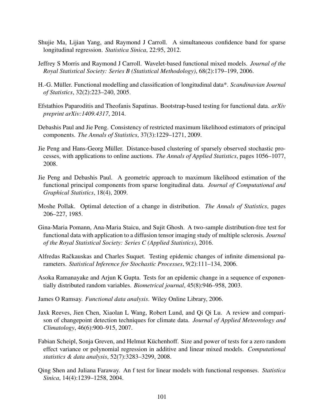- Shujie Ma, Lijian Yang, and Raymond J Carroll. A simultaneous confidence band for sparse longitudinal regression. *Statistica Sinica*, 22:95, 2012.
- Jeffrey S Morris and Raymond J Carroll. Wavelet-based functional mixed models. *Journal of the Royal Statistical Society: Series B (Statistical Methodology)*, 68(2):179–199, 2006.
- H.-G. Muller. Functional modelling and classification of longitudinal data\*. ¨ *Scandinavian Journal of Statistics*, 32(2):223–240, 2005.
- Efstathios Paparoditis and Theofanis Sapatinas. Bootstrap-based testing for functional data. *arXiv preprint arXiv:1409.4317*, 2014.
- Debashis Paul and Jie Peng. Consistency of restricted maximum likelihood estimators of principal components. *The Annals of Statistics*, 37(3):1229–1271, 2009.
- Jie Peng and Hans-Georg Muller. Distance-based clustering of sparsely observed stochastic pro- ¨ cesses, with applications to online auctions. *The Annals of Applied Statistics*, pages 1056–1077, 2008.
- Jie Peng and Debashis Paul. A geometric approach to maximum likelihood estimation of the functional principal components from sparse longitudinal data. *Journal of Computational and Graphical Statistics*, 18(4), 2009.
- Moshe Pollak. Optimal detection of a change in distribution. *The Annals of Statistics*, pages 206–227, 1985.
- Gina-Maria Pomann, Ana-Maria Staicu, and Sujit Ghosh. A two-sample distribution-free test for functional data with application to a diffusion tensor imaging study of multiple sclerosis. *Journal of the Royal Statistical Society: Series C (Applied Statistics)*, 2016.
- Alfredas Račkauskas and Charles Suquet. Testing epidemic changes of infinite dimensional parameters. *Statistical Inference for Stochastic Processes*, 9(2):111–134, 2006.
- Asoka Ramanayake and Arjun K Gupta. Tests for an epidemic change in a sequence of exponentially distributed random variables. *Biometrical journal*, 45(8):946–958, 2003.
- James O Ramsay. *Functional data analysis*. Wiley Online Library, 2006.
- Jaxk Reeves, Jien Chen, Xiaolan L Wang, Robert Lund, and Qi Qi Lu. A review and comparison of changepoint detection techniques for climate data. *Journal of Applied Meteorology and Climatology*, 46(6):900–915, 2007.
- Fabian Scheipl, Sonja Greven, and Helmut Küchenhoff. Size and power of tests for a zero random effect variance or polynomial regression in additive and linear mixed models. *Computational statistics & data analysis*, 52(7):3283–3299, 2008.
- Qing Shen and Juliana Faraway. An f test for linear models with functional responses. *Statistica Sinica*, 14(4):1239–1258, 2004.